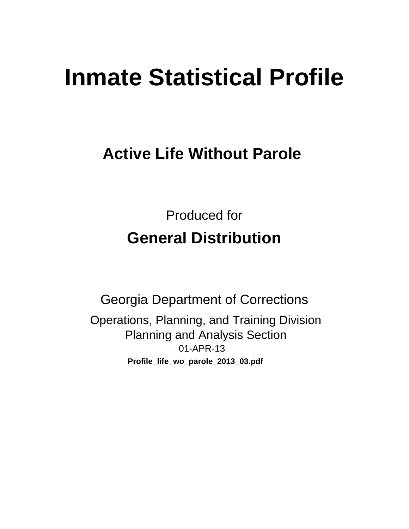# **Inmate Statistical Profile**

# **Active Life Without Parole**

**Produced for General Distribution** 

**Georgia Department of Corrections** Operations, Planning, and Training Division **Planning and Analysis Section** 01-APR-13 Profile\_life\_wo\_parole\_2013\_03.pdf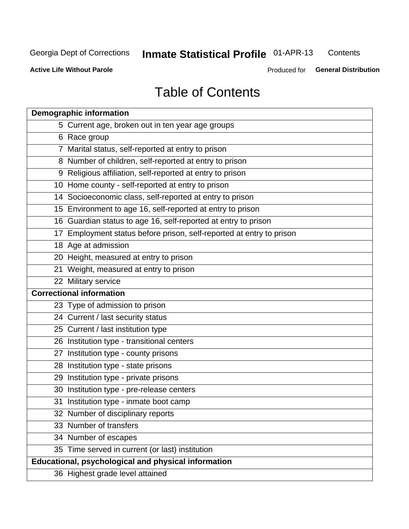# **Inmate Statistical Profile 01-APR-13**

Contents

**Active Life Without Parole** 

Produced for General Distribution

# **Table of Contents**

| <b>Demographic information</b>                                       |
|----------------------------------------------------------------------|
| 5 Current age, broken out in ten year age groups                     |
| 6 Race group                                                         |
| 7 Marital status, self-reported at entry to prison                   |
| 8 Number of children, self-reported at entry to prison               |
| 9 Religious affiliation, self-reported at entry to prison            |
| 10 Home county - self-reported at entry to prison                    |
| 14 Socioeconomic class, self-reported at entry to prison             |
| 15 Environment to age 16, self-reported at entry to prison           |
| 16 Guardian status to age 16, self-reported at entry to prison       |
| 17 Employment status before prison, self-reported at entry to prison |
| 18 Age at admission                                                  |
| 20 Height, measured at entry to prison                               |
| 21 Weight, measured at entry to prison                               |
| 22 Military service                                                  |
| <b>Correctional information</b>                                      |
| 23 Type of admission to prison                                       |
| 24 Current / last security status                                    |
| 25 Current / last institution type                                   |
| 26 Institution type - transitional centers                           |
| 27 Institution type - county prisons                                 |
| 28 Institution type - state prisons                                  |
| 29 Institution type - private prisons                                |
| 30 Institution type - pre-release centers                            |
| 31 Institution type - inmate boot camp                               |
| 32 Number of disciplinary reports                                    |
| 33 Number of transfers                                               |
| 34 Number of escapes                                                 |
| 35 Time served in current (or last) institution                      |
| Educational, psychological and physical information                  |
| 36 Highest grade level attained                                      |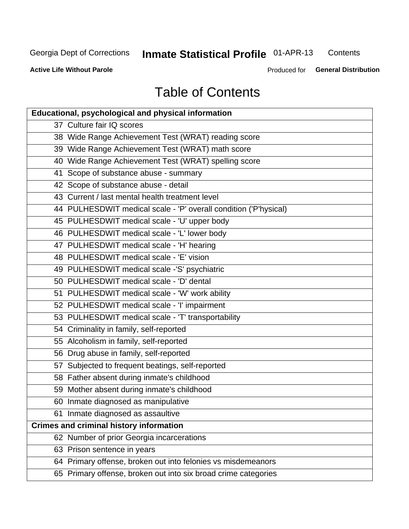# **Inmate Statistical Profile 01-APR-13**

Contents

**Active Life Without Parole** 

Produced for General Distribution

# **Table of Contents**

| <b>Educational, psychological and physical information</b>       |
|------------------------------------------------------------------|
| 37 Culture fair IQ scores                                        |
| 38 Wide Range Achievement Test (WRAT) reading score              |
| 39 Wide Range Achievement Test (WRAT) math score                 |
| 40 Wide Range Achievement Test (WRAT) spelling score             |
| 41 Scope of substance abuse - summary                            |
| 42 Scope of substance abuse - detail                             |
| 43 Current / last mental health treatment level                  |
| 44 PULHESDWIT medical scale - 'P' overall condition ('P'hysical) |
| 45 PULHESDWIT medical scale - 'U' upper body                     |
| 46 PULHESDWIT medical scale - 'L' lower body                     |
| 47 PULHESDWIT medical scale - 'H' hearing                        |
| 48 PULHESDWIT medical scale - 'E' vision                         |
| 49 PULHESDWIT medical scale -'S' psychiatric                     |
| 50 PULHESDWIT medical scale - 'D' dental                         |
| 51 PULHESDWIT medical scale - 'W' work ability                   |
| 52 PULHESDWIT medical scale - 'I' impairment                     |
| 53 PULHESDWIT medical scale - 'T' transportability               |
| 54 Criminality in family, self-reported                          |
| 55 Alcoholism in family, self-reported                           |
| 56 Drug abuse in family, self-reported                           |
| 57 Subjected to frequent beatings, self-reported                 |
| 58 Father absent during inmate's childhood                       |
| 59 Mother absent during inmate's childhood                       |
| 60 Inmate diagnosed as manipulative                              |
| 61 Inmate diagnosed as assaultive                                |
| <b>Crimes and criminal history information</b>                   |
| 62 Number of prior Georgia incarcerations                        |
| 63 Prison sentence in years                                      |
| 64 Primary offense, broken out into felonies vs misdemeanors     |
| 65 Primary offense, broken out into six broad crime categories   |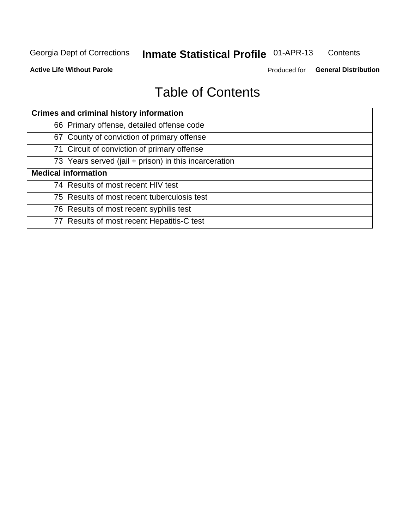#### **Inmate Statistical Profile 01-APR-13** Contents

**Active Life Without Parole** 

Produced for General Distribution

# **Table of Contents**

| <b>Crimes and criminal history information</b>        |
|-------------------------------------------------------|
| 66 Primary offense, detailed offense code             |
| 67 County of conviction of primary offense            |
| 71 Circuit of conviction of primary offense           |
| 73 Years served (jail + prison) in this incarceration |
| <b>Medical information</b>                            |
| 74 Results of most recent HIV test                    |
| 75 Results of most recent tuberculosis test           |
| 76 Results of most recent syphilis test               |
| 77 Results of most recent Hepatitis-C test            |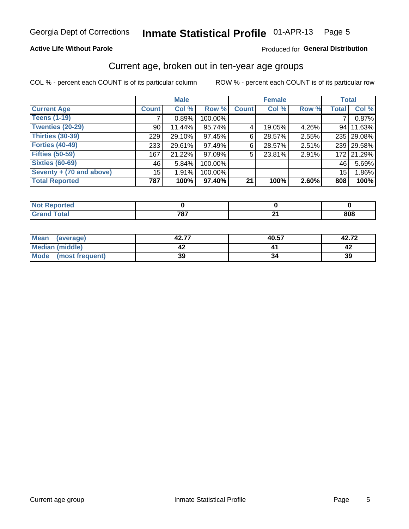#### Inmate Statistical Profile 01-APR-13 Page 5

## **Active Life Without Parole**

## Produced for General Distribution

## Current age, broken out in ten-year age groups

COL % - percent each COUNT is of its particular column

|                          |              | <b>Male</b> |         |              | <b>Female</b> |       | <b>Total</b>    |            |
|--------------------------|--------------|-------------|---------|--------------|---------------|-------|-----------------|------------|
| <b>Current Age</b>       | <b>Count</b> | Col %       | Row %   | <b>Count</b> | Col %         | Row % | <b>Total</b>    | Col %      |
| <b>Teens (1-19)</b>      |              | 0.89%       | 100.00% |              |               |       | 7               | 0.87%      |
| <b>Twenties (20-29)</b>  | 90           | 11.44%      | 95.74%  | 4            | 19.05%        | 4.26% | 94 <sub>1</sub> | 11.63%     |
| Thirties (30-39)         | 229          | 29.10%      | 97.45%  | 6            | 28.57%        | 2.55% |                 | 235 29.08% |
| <b>Forties (40-49)</b>   | 233          | 29.61%      | 97.49%  | 6            | 28.57%        | 2.51% |                 | 239 29.58% |
| <b>Fifties (50-59)</b>   | 167          | 21.22%      | 97.09%  | 5            | 23.81%        | 2.91% |                 | 172 21.29% |
| <b>Sixties (60-69)</b>   | 46           | 5.84%       | 100.00% |              |               |       | 46              | 5.69%      |
| Seventy + (70 and above) | 15           | 1.91%       | 100.00% |              |               |       | 15              | 1.86%      |
| <b>Total Reported</b>    | 787          | 100%        | 97.40%  | 21           | 100%          | 2.60% | 808             | 100%       |

| _____ | 707<br>____ | л.<br>- - | 808 |
|-------|-------------|-----------|-----|

| <b>Mean</b><br>(average)       | 42.77 | 40.57 | 42.72 |
|--------------------------------|-------|-------|-------|
| Median (middle)                |       |       |       |
| <b>Mode</b><br>(most frequent) | 39    |       | 39    |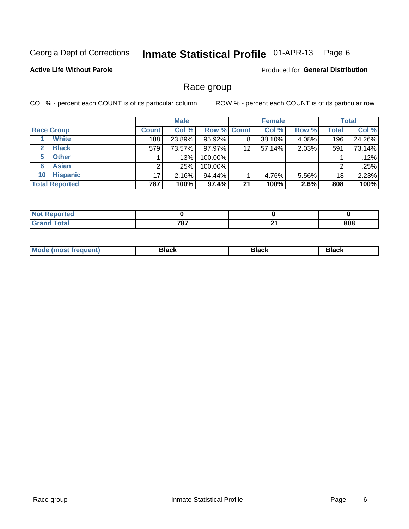#### Inmate Statistical Profile 01-APR-13 Page 6

## **Active Life Without Parole**

Produced for General Distribution

## Race group

COL % - percent each COUNT is of its particular column

|                              |              | <b>Male</b> |                    |    | <b>Female</b> |       |              | <b>Total</b> |
|------------------------------|--------------|-------------|--------------------|----|---------------|-------|--------------|--------------|
| <b>Race Group</b>            | <b>Count</b> | Col %       | <b>Row % Count</b> |    | Col %         | Row % | <b>Total</b> | Col %        |
| <b>White</b>                 | 188          | 23.89%      | 95.92%             | 8  | 38.10%        | 4.08% | 196          | 24.26%       |
| <b>Black</b><br>$\mathbf{2}$ | 579          | 73.57%      | 97.97%             | 12 | 57.14%        | 2.03% | 591          | 73.14%       |
| <b>Other</b><br>5.           |              | .13%        | 100.00%            |    |               |       |              | .12%         |
| <b>Asian</b><br>6            |              | .25%        | 100.00%            |    |               |       | 2            | .25%         |
| <b>Hispanic</b><br>10        | 17           | 2.16%       | 94.44%             |    | 4.76%         | 5.56% | 18           | 2.23%        |
| <b>Total Reported</b>        | 787          | 100%        | 97.4%              | 21 | 100%          | 2.6%  | 808          | 100%         |

| .<br>rreo   |      |      |     |
|-------------|------|------|-----|
| $C = 4 - 7$ | 707  | . .  | 808 |
| _____       | 10 I | $ -$ |     |

| M | - - - | Piavn |
|---|-------|-------|
|   |       |       |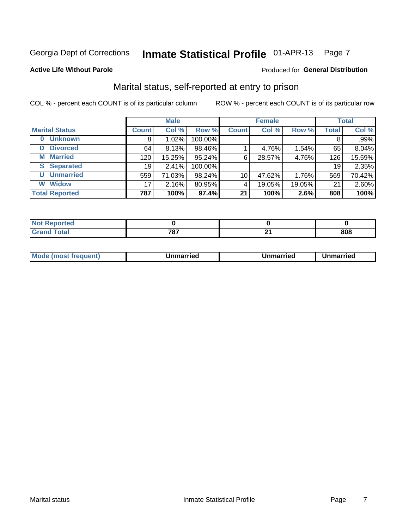#### Inmate Statistical Profile 01-APR-13 Page 7

### **Active Life Without Parole**

#### Produced for General Distribution

## Marital status, self-reported at entry to prison

COL % - percent each COUNT is of its particular column

|                            |                 | <b>Male</b> |         |              | <b>Female</b> |        |       | <b>Total</b> |
|----------------------------|-----------------|-------------|---------|--------------|---------------|--------|-------|--------------|
| <b>Marital Status</b>      | <b>Count</b>    | Col %       | Row %   | <b>Count</b> | Col %         | Row %  | Total | Col %        |
| <b>Unknown</b><br>$\bf{0}$ | 8'              | 1.02%       | 100.00% |              |               |        | 8     | .99%         |
| <b>Divorced</b><br>D       | 64              | 8.13%       | 98.46%  |              | 4.76%         | 1.54%  | 65    | 8.04%        |
| <b>Married</b><br>М        | 120             | $15.25\%$   | 95.24%  | 6            | 28.57%        | 4.76%  | 126   | 15.59%       |
| <b>Separated</b><br>S      | 19              | 2.41%       | 100.00% |              |               |        | 19    | 2.35%        |
| <b>Unmarried</b><br>U      | 559             | 71.03%      | 98.24%  | 10           | 47.62%        | 1.76%  | 569   | 70.42%       |
| <b>Widow</b><br>W          | 17 <sub>1</sub> | 2.16%       | 80.95%  | 4            | 19.05%        | 19.05% | 21    | 2.60%        |
| <b>Total Reported</b>      | 787             | 100%        | 97.4%   | 21           | 100%          | 2.6%   | 808   | 100%         |

| m r<br><b>Tea</b> |     |     |            |
|-------------------|-----|-----|------------|
|                   | 707 | . . | one<br>ovo |

|--|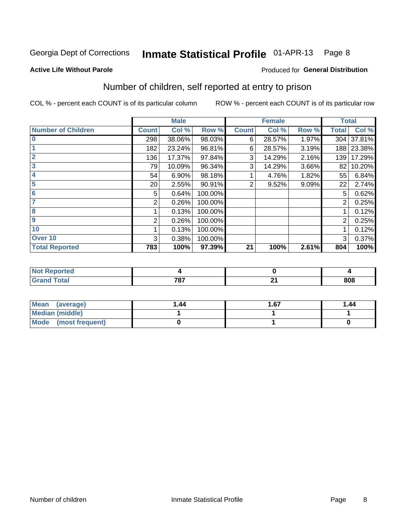#### Inmate Statistical Profile 01-APR-13 Page 8

**Active Life Without Parole** 

#### Produced for General Distribution

# Number of children, self reported at entry to prison

COL % - percent each COUNT is of its particular column

|                           |              | <b>Male</b> |         |              | <b>Female</b> |       | <b>Total</b>   |            |
|---------------------------|--------------|-------------|---------|--------------|---------------|-------|----------------|------------|
| <b>Number of Children</b> | <b>Count</b> | Col %       | Row %   | <b>Count</b> | Col %         | Row % | <b>Total</b>   | Col %      |
| $\overline{\mathbf{0}}$   | 298          | 38.06%      | 98.03%  | 6            | 28.57%        | 1.97% |                | 304 37.81% |
|                           | 182          | 23.24%      | 96.81%  | 6            | 28.57%        | 3.19% |                | 188 23.38% |
| $\overline{2}$            | 136          | 17.37%      | 97.84%  | 3            | 14.29%        | 2.16% | 139            | 17.29%     |
| 3                         | 79           | 10.09%      | 96.34%  | 3            | 14.29%        | 3.66% | 82             | 10.20%     |
| 4                         | 54           | 6.90%       | 98.18%  |              | 4.76%         | 1.82% | 55             | 6.84%      |
| 5                         | 20           | 2.55%       | 90.91%  | 2            | 9.52%         | 9.09% | 22             | 2.74%      |
| 6                         | 5            | 0.64%       | 100.00% |              |               |       | 5              | 0.62%      |
|                           | 2            | 0.26%       | 100.00% |              |               |       | 2              | 0.25%      |
| 8                         |              | 0.13%       | 100.00% |              |               |       |                | 0.12%      |
| 9                         | 2            | 0.26%       | 100.00% |              |               |       | $\overline{2}$ | 0.25%      |
| 10                        |              | 0.13%       | 100.00% |              |               |       |                | 0.12%      |
| Over 10                   | 3            | 0.38%       | 100.00% |              |               |       | 3              | 0.37%      |
| <b>Total Reported</b>     | 783          | 100%        | 97.39%  | 21           | 100%          | 2.61% | 804            | 100%       |

| rrea<br>.<br>. |           |            |     |
|----------------|-----------|------------|-----|
| υιαι<br>_____  | 707<br>01 | - -<br>. . | 808 |

| Mean<br>(average)       | 1.44 | 1.67 | 1.44 |
|-------------------------|------|------|------|
| <b>Median (middle)</b>  |      |      |      |
| Mode<br>(most frequent) |      |      |      |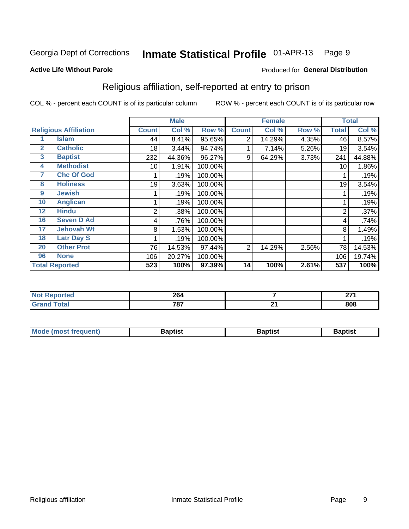#### Inmate Statistical Profile 01-APR-13 Page 9

Produced for General Distribution

#### **Active Life Without Parole**

## Religious affiliation, self-reported at entry to prison

COL % - percent each COUNT is of its particular column

|              |                              |              | <b>Male</b> |         |              | <b>Female</b> |       |                | <b>Total</b> |
|--------------|------------------------------|--------------|-------------|---------|--------------|---------------|-------|----------------|--------------|
|              | <b>Religious Affiliation</b> | <b>Count</b> | Col %       | Row %   | <b>Count</b> | Col %         | Row % | <b>Total</b>   | Col %        |
|              | Islam                        | 44           | 8.41%       | 95.65%  | 2            | 14.29%        | 4.35% | 46             | 8.57%        |
| $\mathbf{2}$ | <b>Catholic</b>              | 18           | 3.44%       | 94.74%  |              | 7.14%         | 5.26% | 19             | 3.54%        |
| 3            | <b>Baptist</b>               | 232          | 44.36%      | 96.27%  | 9            | 64.29%        | 3.73% | 241            | 44.88%       |
| 4            | <b>Methodist</b>             | 10           | 1.91%       | 100.00% |              |               |       | 10             | 1.86%        |
| 7            | <b>Chc Of God</b>            |              | .19%        | 100.00% |              |               |       |                | .19%         |
| 8            | <b>Holiness</b>              | 19           | 3.63%       | 100.00% |              |               |       | 19             | 3.54%        |
| 9            | <b>Jewish</b>                |              | .19%        | 100.00% |              |               |       |                | .19%         |
| 10           | <b>Anglican</b>              |              | .19%        | 100.00% |              |               |       |                | .19%         |
| 12           | <b>Hindu</b>                 | 2            | .38%        | 100.00% |              |               |       | $\overline{2}$ | .37%         |
| 16           | <b>Seven D Ad</b>            | 4            | .76%        | 100.00% |              |               |       | 4              | .74%         |
| 17           | <b>Jehovah Wt</b>            | 8            | 1.53%       | 100.00% |              |               |       | 8              | 1.49%        |
| 18           | <b>Latr Day S</b>            |              | .19%        | 100.00% |              |               |       |                | .19%         |
| 20           | <b>Other Prot</b>            | 76           | 14.53%      | 97.44%  | 2            | 14.29%        | 2.56% | 78             | 14.53%       |
| 96           | <b>None</b>                  | 106          | 20.27%      | 100.00% |              |               |       | 106            | 19.74%       |
|              | <b>Total Reported</b>        | 523          | 100%        | 97.39%  | 14           | 100%          | 2.61% | 537            | 100%         |

| ortea<br>$\sim$ | 264         |     | $\sim$<br>--- |
|-----------------|-------------|-----|---------------|
|                 | 707<br>10 I | . . | 808           |

| <b>Mode (most frequent)</b> | եaptist | 3aptisเ | aptist |
|-----------------------------|---------|---------|--------|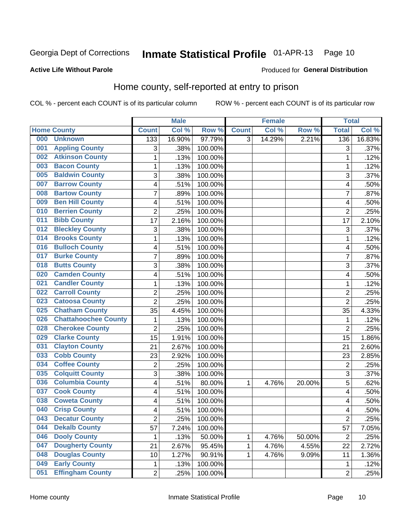#### Inmate Statistical Profile 01-APR-13 Page 10

### **Active Life Without Parole**

#### Produced for General Distribution

## Home county, self-reported at entry to prison

COL % - percent each COUNT is of its particular column

|     |                             |                | <b>Male</b> |         |              | <b>Female</b> |        | <b>Total</b>            |        |
|-----|-----------------------------|----------------|-------------|---------|--------------|---------------|--------|-------------------------|--------|
|     | <b>Home County</b>          | <b>Count</b>   | Col %       | Row %   | <b>Count</b> | Col %         | Row %  | <b>Total</b>            | Col %  |
| 000 | <b>Unknown</b>              | 133            | 16.90%      | 97.79%  | 3            | 14.29%        | 2.21%  | 136                     | 16.83% |
| 001 | <b>Appling County</b>       | 3              | .38%        | 100.00% |              |               |        | 3                       | .37%   |
| 002 | <b>Atkinson County</b>      | 1              | .13%        | 100.00% |              |               |        | 1                       | .12%   |
| 003 | <b>Bacon County</b>         | 1              | .13%        | 100.00% |              |               |        | 1                       | .12%   |
| 005 | <b>Baldwin County</b>       | 3              | .38%        | 100.00% |              |               |        | 3                       | .37%   |
| 007 | <b>Barrow County</b>        | 4              | .51%        | 100.00% |              |               |        | 4                       | .50%   |
| 008 | <b>Bartow County</b>        | $\overline{7}$ | .89%        | 100.00% |              |               |        | 7                       | .87%   |
| 009 | <b>Ben Hill County</b>      | 4              | .51%        | 100.00% |              |               |        | 4                       | .50%   |
| 010 | <b>Berrien County</b>       | $\overline{2}$ | .25%        | 100.00% |              |               |        | $\overline{2}$          | .25%   |
| 011 | <b>Bibb County</b>          | 17             | 2.16%       | 100.00% |              |               |        | 17                      | 2.10%  |
| 012 | <b>Bleckley County</b>      | 3              | .38%        | 100.00% |              |               |        | 3                       | .37%   |
| 014 | <b>Brooks County</b>        | 1              | .13%        | 100.00% |              |               |        | 1                       | .12%   |
| 016 | <b>Bulloch County</b>       | 4              | .51%        | 100.00% |              |               |        | 4                       | .50%   |
| 017 | <b>Burke County</b>         | $\overline{7}$ | .89%        | 100.00% |              |               |        | 7                       | .87%   |
| 018 | <b>Butts County</b>         | 3              | .38%        | 100.00% |              |               |        | 3                       | .37%   |
| 020 | <b>Camden County</b>        | 4              | .51%        | 100.00% |              |               |        | 4                       | .50%   |
| 021 | <b>Candler County</b>       | 1              | .13%        | 100.00% |              |               |        | 1                       | .12%   |
| 022 | <b>Carroll County</b>       | $\overline{c}$ | .25%        | 100.00% |              |               |        | $\overline{c}$          | .25%   |
| 023 | <b>Catoosa County</b>       | $\overline{2}$ | .25%        | 100.00% |              |               |        | $\overline{2}$          | .25%   |
| 025 | <b>Chatham County</b>       | 35             | 4.45%       | 100.00% |              |               |        | 35                      | 4.33%  |
| 026 | <b>Chattahoochee County</b> | 1              | .13%        | 100.00% |              |               |        | 1                       | .12%   |
| 028 | <b>Cherokee County</b>      | $\overline{2}$ | .25%        | 100.00% |              |               |        | $\overline{2}$          | .25%   |
| 029 | <b>Clarke County</b>        | 15             | 1.91%       | 100.00% |              |               |        | 15                      | 1.86%  |
| 031 | <b>Clayton County</b>       | 21             | 2.67%       | 100.00% |              |               |        | 21                      | 2.60%  |
| 033 | <b>Cobb County</b>          | 23             | 2.92%       | 100.00% |              |               |        | 23                      | 2.85%  |
| 034 | <b>Coffee County</b>        | 2              | .25%        | 100.00% |              |               |        | $\overline{2}$          | .25%   |
| 035 | <b>Colquitt County</b>      | $\overline{3}$ | .38%        | 100.00% |              |               |        | 3                       | .37%   |
| 036 | <b>Columbia County</b>      | 4              | .51%        | 80.00%  | 1            | 4.76%         | 20.00% | 5                       | .62%   |
| 037 | <b>Cook County</b>          | 4              | .51%        | 100.00% |              |               |        | $\overline{\mathbf{4}}$ | .50%   |
| 038 | <b>Coweta County</b>        | 4              | .51%        | 100.00% |              |               |        | 4                       | .50%   |
| 040 | <b>Crisp County</b>         | 4              | .51%        | 100.00% |              |               |        | 4                       | .50%   |
| 043 | <b>Decatur County</b>       | 2              | .25%        | 100.00% |              |               |        | $\overline{2}$          | .25%   |
| 044 | <b>Dekalb County</b>        | 57             | 7.24%       | 100.00% |              |               |        | 57                      | 7.05%  |
| 046 | <b>Dooly County</b>         | 1              | .13%        | 50.00%  | 1            | 4.76%         | 50.00% | $\overline{2}$          | .25%   |
| 047 | <b>Dougherty County</b>     | 21             | 2.67%       | 95.45%  | 1            | 4.76%         | 4.55%  | 22                      | 2.72%  |
| 048 | <b>Douglas County</b>       | 10             | 1.27%       | 90.91%  | 1            | 4.76%         | 9.09%  | 11                      | 1.36%  |
| 049 | <b>Early County</b>         | 1              | .13%        | 100.00% |              |               |        | 1                       | .12%   |
| 051 | <b>Effingham County</b>     | $\overline{2}$ | .25%        | 100.00% |              |               |        | $\overline{2}$          | .25%   |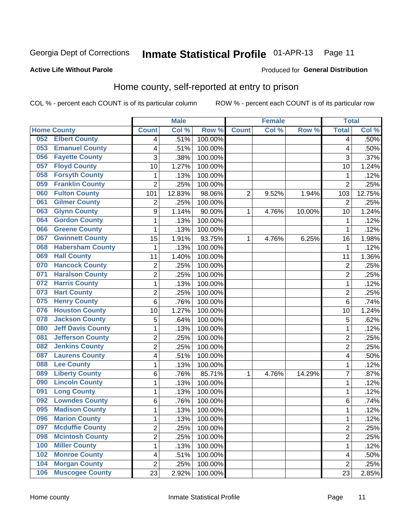#### Inmate Statistical Profile 01-APR-13 Page 11

### **Active Life Without Parole**

#### Produced for General Distribution

## Home county, self-reported at entry to prison

COL % - percent each COUNT is of its particular column

|     |                          |                | <b>Male</b> |         |                | <b>Female</b> |        | <b>Total</b>   |        |
|-----|--------------------------|----------------|-------------|---------|----------------|---------------|--------|----------------|--------|
|     | <b>Home County</b>       | <b>Count</b>   | Col %       | Row %   | <b>Count</b>   | Col %         | Row %  | <b>Total</b>   | Col %  |
| 052 | <b>Elbert County</b>     | 4              | .51%        | 100.00% |                |               |        | 4              | .50%   |
| 053 | <b>Emanuel County</b>    | 4              | .51%        | 100.00% |                |               |        | 4              | .50%   |
| 056 | <b>Fayette County</b>    | 3              | .38%        | 100.00% |                |               |        | 3              | .37%   |
| 057 | <b>Floyd County</b>      | 10             | 1.27%       | 100.00% |                |               |        | 10             | 1.24%  |
| 058 | <b>Forsyth County</b>    | 1              | .13%        | 100.00% |                |               |        | 1              | .12%   |
| 059 | <b>Franklin County</b>   | $\overline{2}$ | .25%        | 100.00% |                |               |        | $\overline{2}$ | .25%   |
| 060 | <b>Fulton County</b>     | 101            | 12.83%      | 98.06%  | $\overline{2}$ | 9.52%         | 1.94%  | 103            | 12.75% |
| 061 | <b>Gilmer County</b>     | $\overline{2}$ | .25%        | 100.00% |                |               |        | $\overline{2}$ | .25%   |
| 063 | <b>Glynn County</b>      | 9              | 1.14%       | 90.00%  | 1              | 4.76%         | 10.00% | 10             | 1.24%  |
| 064 | <b>Gordon County</b>     | 1              | .13%        | 100.00% |                |               |        | 1              | .12%   |
| 066 | <b>Greene County</b>     | 1              | .13%        | 100.00% |                |               |        | 1              | .12%   |
| 067 | <b>Gwinnett County</b>   | 15             | 1.91%       | 93.75%  | 1              | 4.76%         | 6.25%  | 16             | 1.98%  |
| 068 | <b>Habersham County</b>  | $\mathbf{1}$   | .13%        | 100.00% |                |               |        | 1              | .12%   |
| 069 | <b>Hall County</b>       | 11             | 1.40%       | 100.00% |                |               |        | 11             | 1.36%  |
| 070 | <b>Hancock County</b>    | $\overline{2}$ | .25%        | 100.00% |                |               |        | $\overline{2}$ | .25%   |
| 071 | <b>Haralson County</b>   | $\overline{2}$ | .25%        | 100.00% |                |               |        | $\overline{2}$ | .25%   |
| 072 | <b>Harris County</b>     | 1              | .13%        | 100.00% |                |               |        | 1              | .12%   |
| 073 | <b>Hart County</b>       | $\overline{2}$ | .25%        | 100.00% |                |               |        | $\overline{c}$ | .25%   |
| 075 | <b>Henry County</b>      | 6              | .76%        | 100.00% |                |               |        | 6              | .74%   |
| 076 | <b>Houston County</b>    | 10             | 1.27%       | 100.00% |                |               |        | 10             | 1.24%  |
| 078 | <b>Jackson County</b>    | 5              | .64%        | 100.00% |                |               |        | 5              | .62%   |
| 080 | <b>Jeff Davis County</b> | 1              | .13%        | 100.00% |                |               |        | 1              | .12%   |
| 081 | <b>Jefferson County</b>  | $\overline{2}$ | .25%        | 100.00% |                |               |        | $\overline{2}$ | .25%   |
| 082 | <b>Jenkins County</b>    | $\overline{c}$ | .25%        | 100.00% |                |               |        | $\overline{2}$ | .25%   |
| 087 | <b>Laurens County</b>    | 4              | .51%        | 100.00% |                |               |        | 4              | .50%   |
| 088 | <b>Lee County</b>        | 1              | .13%        | 100.00% |                |               |        | 1              | .12%   |
| 089 | <b>Liberty County</b>    | 6              | .76%        | 85.71%  | 1              | 4.76%         | 14.29% | 7              | .87%   |
| 090 | <b>Lincoln County</b>    | 1              | .13%        | 100.00% |                |               |        | 1              | .12%   |
| 091 | <b>Long County</b>       | 1              | .13%        | 100.00% |                |               |        | 1              | .12%   |
| 092 | <b>Lowndes County</b>    | $\,6$          | .76%        | 100.00% |                |               |        | 6              | .74%   |
| 095 | <b>Madison County</b>    | $\mathbf{1}$   | .13%        | 100.00% |                |               |        | 1              | .12%   |
| 096 | <b>Marion County</b>     | 1              | .13%        | 100.00% |                |               |        | 1              | .12%   |
| 097 | <b>Mcduffie County</b>   | $\overline{2}$ | .25%        | 100.00% |                |               |        | $\overline{2}$ | .25%   |
| 098 | <b>Mcintosh County</b>   | $\overline{c}$ | .25%        | 100.00% |                |               |        | 2              | .25%   |
| 100 | <b>Miller County</b>     | $\mathbf{1}$   | .13%        | 100.00% |                |               |        | 1              | .12%   |
| 102 | <b>Monroe County</b>     | 4              | .51%        | 100.00% |                |               |        | 4              | .50%   |
| 104 | <b>Morgan County</b>     | $\overline{2}$ | .25%        | 100.00% |                |               |        | 2              | .25%   |
| 106 | <b>Muscogee County</b>   | 23             | 2.92%       | 100.00% |                |               |        | 23             | 2.85%  |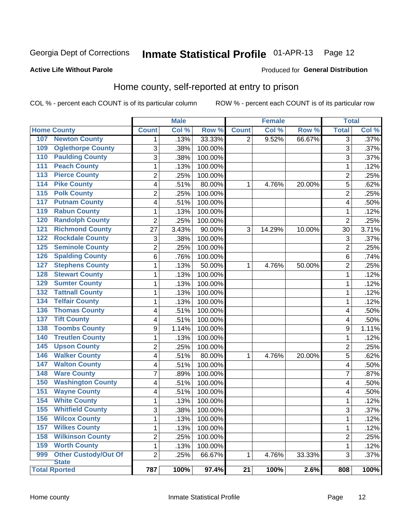#### Inmate Statistical Profile 01-APR-13 Page 12

### **Active Life Without Parole**

#### Produced for General Distribution

## Home county, self-reported at entry to prison

COL % - percent each COUNT is of its particular column

|                  |                                      |                | <b>Male</b> |         |                 | <b>Female</b> |        |                | <b>Total</b> |  |
|------------------|--------------------------------------|----------------|-------------|---------|-----------------|---------------|--------|----------------|--------------|--|
|                  | <b>Home County</b>                   | <b>Count</b>   | Col %       | Row %   | <b>Count</b>    | Col %         | Row %  | <b>Total</b>   | Col %        |  |
| 107              | <b>Newton County</b>                 | 1              | .13%        | 33.33%  | 2               | 9.52%         | 66.67% | 3              | .37%         |  |
| 109              | <b>Oglethorpe County</b>             | 3              | .38%        | 100.00% |                 |               |        | 3              | .37%         |  |
| 110              | <b>Paulding County</b>               | 3              | .38%        | 100.00% |                 |               |        | 3              | .37%         |  |
| 111              | <b>Peach County</b>                  | 1              | .13%        | 100.00% |                 |               |        | 1              | .12%         |  |
| 113              | <b>Pierce County</b>                 | $\overline{2}$ | .25%        | 100.00% |                 |               |        | $\overline{c}$ | .25%         |  |
| 114              | <b>Pike County</b>                   | 4              | .51%        | 80.00%  | 1               | 4.76%         | 20.00% | 5              | .62%         |  |
| $\overline{115}$ | <b>Polk County</b>                   | $\overline{2}$ | .25%        | 100.00% |                 |               |        | $\overline{2}$ | .25%         |  |
| 117              | <b>Putnam County</b>                 | 4              | .51%        | 100.00% |                 |               |        | 4              | .50%         |  |
| 119              | <b>Rabun County</b>                  | 1              | .13%        | 100.00% |                 |               |        | 1              | .12%         |  |
| 120              | <b>Randolph County</b>               | 2              | .25%        | 100.00% |                 |               |        | $\overline{2}$ | .25%         |  |
| 121              | <b>Richmond County</b>               | 27             | 3.43%       | 90.00%  | 3               | 14.29%        | 10.00% | 30             | 3.71%        |  |
| 122              | <b>Rockdale County</b>               | 3              | .38%        | 100.00% |                 |               |        | 3              | .37%         |  |
| 125              | <b>Seminole County</b>               | $\overline{2}$ | .25%        | 100.00% |                 |               |        | $\overline{2}$ | .25%         |  |
| 126              | <b>Spalding County</b>               | 6              | .76%        | 100.00% |                 |               |        | $\,6$          | .74%         |  |
| 127              | <b>Stephens County</b>               | 1              | .13%        | 50.00%  | 1               | 4.76%         | 50.00% | $\overline{2}$ | .25%         |  |
| 128              | <b>Stewart County</b>                | 1              | .13%        | 100.00% |                 |               |        | 1              | .12%         |  |
| 129              | <b>Sumter County</b>                 | 1              | .13%        | 100.00% |                 |               |        | 1              | .12%         |  |
| 132              | <b>Tattnall County</b>               | $\mathbf 1$    | .13%        | 100.00% |                 |               |        | 1              | .12%         |  |
| 134              | <b>Telfair County</b>                | $\mathbf 1$    | .13%        | 100.00% |                 |               |        | 1              | .12%         |  |
| 136              | <b>Thomas County</b>                 | 4              | .51%        | 100.00% |                 |               |        | 4              | .50%         |  |
| $\overline{137}$ | <b>Tift County</b>                   | 4              | .51%        | 100.00% |                 |               |        | 4              | .50%         |  |
| 138              | <b>Toombs County</b>                 | 9              | 1.14%       | 100.00% |                 |               |        | 9              | 1.11%        |  |
| 140              | <b>Treutlen County</b>               | 1              | .13%        | 100.00% |                 |               |        | 1              | .12%         |  |
| 145              | <b>Upson County</b>                  | $\overline{2}$ | .25%        | 100.00% |                 |               |        | $\overline{c}$ | .25%         |  |
| 146              | <b>Walker County</b>                 | 4              | .51%        | 80.00%  | 1               | 4.76%         | 20.00% | 5              | .62%         |  |
| 147              | <b>Walton County</b>                 | 4              | .51%        | 100.00% |                 |               |        | 4              | .50%         |  |
| 148              | <b>Ware County</b>                   | $\overline{7}$ | .89%        | 100.00% |                 |               |        | 7              | .87%         |  |
| 150              | <b>Washington County</b>             | 4              | .51%        | 100.00% |                 |               |        | 4              | .50%         |  |
| 151              | <b>Wayne County</b>                  | 4              | .51%        | 100.00% |                 |               |        | 4              | .50%         |  |
| 154              | <b>White County</b>                  | 1              | .13%        | 100.00% |                 |               |        | 1              | .12%         |  |
| 155              | <b>Whitfield County</b>              | 3              | .38%        | 100.00% |                 |               |        | 3              | .37%         |  |
| 156              | <b>Wilcox County</b>                 | 1              | .13%        | 100.00% |                 |               |        | 1              | .12%         |  |
| 157              | <b>Wilkes County</b>                 | $\mathbf 1$    | .13%        | 100.00% |                 |               |        | 1              | .12%         |  |
| 158              | <b>Wilkinson County</b>              | $\overline{2}$ | .25%        | 100.00% |                 |               |        | $\overline{2}$ | .25%         |  |
| 159              | <b>Worth County</b>                  | $\mathbf{1}$   | .13%        | 100.00% |                 |               |        | 1              | .12%         |  |
| 999              | <b>Other Custody/Out Of</b>          | $\overline{2}$ | .25%        | 66.67%  | 1               | 4.76%         | 33.33% | 3              | .37%         |  |
|                  | <b>State</b><br><b>Total Rported</b> | 787            | 100%        | 97.4%   | $\overline{21}$ | 100%          | 2.6%   | 808            | 100%         |  |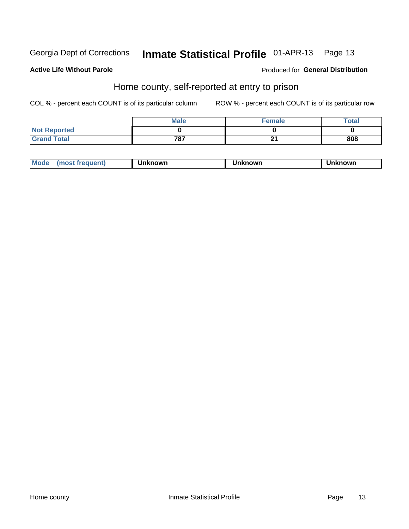#### Inmate Statistical Profile 01-APR-13 Page 13

## **Active Life Without Parole**

#### Produced for General Distribution

## Home county, self-reported at entry to prison

COL % - percent each COUNT is of its particular column

|                     | <b>Male</b> | Female | Total |
|---------------------|-------------|--------|-------|
| <b>Not Reported</b> |             |        |       |
| <b>Grand Total</b>  | 787         | - -    | 808   |

| Mode | ∖known | nown | າknown<br>пк |
|------|--------|------|--------------|
|------|--------|------|--------------|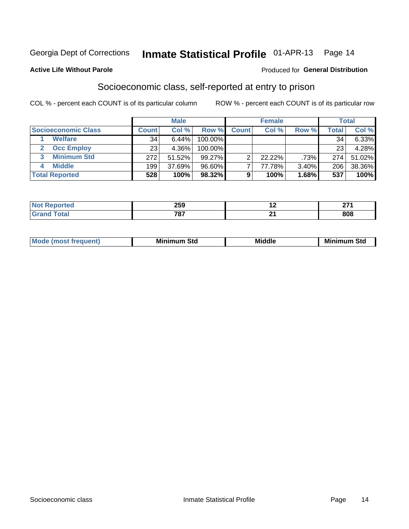# Inmate Statistical Profile 01-APR-13 Page 14

#### **Active Life Without Parole**

#### Produced for General Distribution

## Socioeconomic class, self-reported at entry to prison

COL % - percent each COUNT is of its particular column

|                       | <b>Male</b> |        |           |              | <b>Female</b> |       | <b>Total</b> |          |
|-----------------------|-------------|--------|-----------|--------------|---------------|-------|--------------|----------|
| Socioeconomic Class   | Count⊺      | Col %  | Row %     | <b>Count</b> | Col %         | Row % | Total,       | Col %    |
| <b>Welfare</b>        | 34          | 6.44%  | 100.00%   |              |               |       | 34           | $6.33\%$ |
| <b>Occ Employ</b>     | 23          | 4.36%  | 100.00%   |              |               |       | 23           | 4.28%    |
| <b>Minimum Std</b>    | 272         | 51.52% | $99.27\%$ | ⌒            | $22.22\%$     | .73%  | 274          | 51.02%   |
| <b>Middle</b>         | 199         | 37.69% | 96.60%    |              | 77.78%        | 3.40% | 206          | 38.36%   |
| <b>Total Reported</b> | 528         | 100%   | 98.32%    |              | 100%          | 1.68% | 537          | 100%     |

|      | 259        |      | ---        |
|------|------------|------|------------|
| ____ | フロフ<br>___ | $ -$ | ៰៱៰<br>puo |

|  | Mo | Minin<br>Std<br>$- - - -$ | <b>Middle</b> | Min<br>Std<br>. |
|--|----|---------------------------|---------------|-----------------|
|--|----|---------------------------|---------------|-----------------|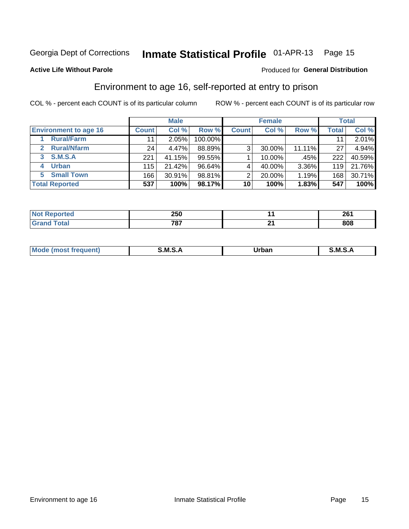# Inmate Statistical Profile 01-APR-13 Page 15

## **Active Life Without Parole**

#### Produced for General Distribution

## Environment to age 16, self-reported at entry to prison

COL % - percent each COUNT is of its particular column

|                                    |              | <b>Male</b> |           |              | <b>Female</b> |        |              | <b>Total</b> |
|------------------------------------|--------------|-------------|-----------|--------------|---------------|--------|--------------|--------------|
| <b>Environment to age 16</b>       | <b>Count</b> | Col %       | Row %     | <b>Count</b> | Col %         | Row %  | <b>Total</b> | Col %        |
| <b>Rural/Farm</b>                  | 11           | 2.05%       | 100.00%   |              |               |        |              | 2.01%        |
| <b>Rural/Nfarm</b><br>$\mathbf{2}$ | 24           | 4.47%       | 88.89%    | 3            | 30.00%        | 11.11% | 27           | 4.94%        |
| 3 S.M.S.A                          | 221          | 41.15%      | 99.55%    |              | 10.00%        | .45%   | 222          | 40.59%       |
| <b>Urban</b><br>4                  | 115          | 21.42%      | $96.64\%$ |              | 40.00%        | 3.36%  | 119          | 21.76%       |
| 5 Small Town                       | 166          | 30.91%      | 98.81%    | っ            | 20.00%        | 1.19%  | 168          | 30.71%       |
| <b>Total Reported</b>              | 537          | 100%        | 98.17%    | 10           | 100%          | 1.83%  | 547          | 100%         |

| ----<br>prtea<br>NOT<br> | <b>OEN</b><br>∠o∪ | ne/<br>-- |
|--------------------------|-------------------|-----------|
| $T0$ tol                 | 707<br>יש         | 808       |

| $Mc$ | M | <b>Jrhan</b> | M.     |
|------|---|--------------|--------|
|      |   | _____        | ______ |
|      |   |              |        |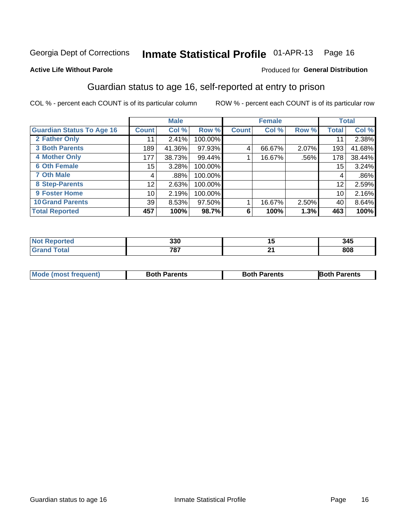# Inmate Statistical Profile 01-APR-13 Page 16

## **Active Life Without Parole**

### Produced for General Distribution

## Guardian status to age 16, self-reported at entry to prison

COL % - percent each COUNT is of its particular column

|                                  |              | <b>Male</b> |         |              | <b>Female</b> |         |              | <b>Total</b> |
|----------------------------------|--------------|-------------|---------|--------------|---------------|---------|--------------|--------------|
| <b>Guardian Status To Age 16</b> | <b>Count</b> | Col %       | Row %   | <b>Count</b> | Col %         | Row %   | <b>Total</b> | Col %        |
| 2 Father Only                    | 11           | 2.41%       | 100.00% |              |               |         | 11           | 2.38%        |
| <b>3 Both Parents</b>            | 189          | 41.36%      | 97.93%  | 4            | 66.67%        | 2.07%   | 193          | 41.68%       |
| <b>4 Mother Only</b>             | 177          | 38.73%      | 99.44%  |              | 16.67%        | $.56\%$ | 178          | 38.44%       |
| <b>6 Oth Female</b>              | 15           | 3.28%       | 100.00% |              |               |         | 15           | 3.24%        |
| <b>7 Oth Male</b>                | 4            | .88%        | 100.00% |              |               |         | 4            | $.86\%$      |
| 8 Step-Parents                   | 12           | 2.63%       | 100.00% |              |               |         | 12           | 2.59%        |
| 9 Foster Home                    | 10           | 2.19%       | 100.00% |              |               |         | 10           | 2.16%        |
| <b>10 Grand Parents</b>          | 39           | 8.53%       | 97.50%  |              | 16.67%        | 2.50%   | 40           | 8.64%        |
| <b>Total Reported</b>            | 457          | 100%        | 98.7%   | 6            | 100%          | 1.3%    | 463          | 100%         |

| ted | 330          | 1 W      | 345 |
|-----|--------------|----------|-----|
|     | 707<br>' O I | ົ<br>- - | 808 |

| <b>Mode (most frequent)</b> | <b>Both Parents</b> | <b>Both Parents</b> | <b>Both Parents</b> |
|-----------------------------|---------------------|---------------------|---------------------|
|                             |                     |                     |                     |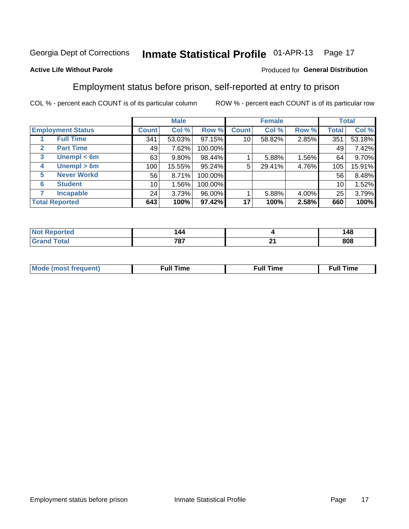#### Inmate Statistical Profile 01-APR-13 Page 17

## **Active Life Without Parole**

### Produced for General Distribution

## Employment status before prison, self-reported at entry to prison

COL % - percent each COUNT is of its particular column

|                                  |              | <b>Male</b> |           |              | <b>Female</b> |       |       | <b>Total</b> |
|----------------------------------|--------------|-------------|-----------|--------------|---------------|-------|-------|--------------|
| <b>Employment Status</b>         | <b>Count</b> | Col %       | Row %     | <b>Count</b> | Col %         | Row % | Total | Col %        |
| <b>Full Time</b>                 | 341          | 53.03%      | $97.15\%$ | 10           | 58.82%        | 2.85% | 351   | 53.18%       |
| <b>Part Time</b><br>$\mathbf{2}$ | 49           | 7.62%       | 100.00%   |              |               |       | 49    | 7.42%        |
| Unempl $<$ 6m<br>3               | 63           | 9.80%       | 98.44%    |              | 5.88%         | 1.56% | 64    | 9.70%        |
| Unempl > 6m<br>4                 | 100          | 15.55%      | 95.24%    | 5            | 29.41%        | 4.76% | 105   | 15.91%       |
| <b>Never Workd</b><br>5          | 56           | 8.71%       | 100.00%   |              |               |       | 56    | 8.48%        |
| <b>Student</b><br>6              | 10           | 1.56%       | 100.00%   |              |               |       | 10    | 1.52%        |
| <b>Incapable</b><br>7            | 24           | 3.73%       | 96.00%    |              | 5.88%         | 4.00% | 25    | 3.79%        |
| <b>Total Reported</b>            | 643          | 100%        | 97.42%    | 17           | 100%          | 2.58% | 660   | 100%         |

| ю | 144         |     | 148 |
|---|-------------|-----|-----|
|   | 797<br>וט י | . . | 808 |

| Mc | ∴ul! | ----<br>ıme<br>w |
|----|------|------------------|
|    |      |                  |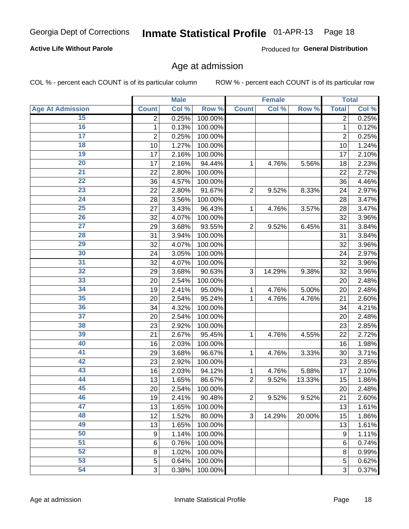#### Inmate Statistical Profile 01-APR-13 Page 18

## **Active Life Without Parole**

Produced for General Distribution

## Age at admission

COL % - percent each COUNT is of its particular column

|                         |                         | <b>Male</b> |         |                | <b>Female</b> |        |                | <b>Total</b> |
|-------------------------|-------------------------|-------------|---------|----------------|---------------|--------|----------------|--------------|
| <b>Age At Admission</b> | <b>Count</b>            | Col %       | Row %   | <b>Count</b>   | Col %         | Row %  | <b>Total</b>   | Col %        |
| 15                      | 2                       | 0.25%       | 100.00% |                |               |        | 2              | 0.25%        |
| 16                      | 1                       | 0.13%       | 100.00% |                |               |        | $\mathbf{1}$   | 0.12%        |
| $\overline{17}$         | $\overline{\mathbf{c}}$ | 0.25%       | 100.00% |                |               |        | $\overline{2}$ | 0.25%        |
| 18                      | 10                      | 1.27%       | 100.00% |                |               |        | 10             | 1.24%        |
| 19                      | 17                      | 2.16%       | 100.00% |                |               |        | 17             | 2.10%        |
| $\overline{20}$         | 17                      | 2.16%       | 94.44%  | 1              | 4.76%         | 5.56%  | 18             | 2.23%        |
| 21                      | 22                      | 2.80%       | 100.00% |                |               |        | 22             | 2.72%        |
| 22                      | 36                      | 4.57%       | 100.00% |                |               |        | 36             | 4.46%        |
| 23                      | 22                      | 2.80%       | 91.67%  | $\overline{2}$ | 9.52%         | 8.33%  | 24             | 2.97%        |
| 24                      | 28                      | 3.56%       | 100.00% |                |               |        | 28             | 3.47%        |
| $\overline{25}$         | 27                      | 3.43%       | 96.43%  | 1              | 4.76%         | 3.57%  | 28             | 3.47%        |
| 26                      | 32                      | 4.07%       | 100.00% |                |               |        | 32             | 3.96%        |
| $\overline{27}$         | 29                      | 3.68%       | 93.55%  | $\overline{2}$ | 9.52%         | 6.45%  | 31             | 3.84%        |
| 28                      | 31                      | 3.94%       | 100.00% |                |               |        | 31             | 3.84%        |
| 29                      | 32                      | 4.07%       | 100.00% |                |               |        | 32             | 3.96%        |
| 30                      | 24                      | 3.05%       | 100.00% |                |               |        | 24             | 2.97%        |
| 31                      | 32                      | 4.07%       | 100.00% |                |               |        | 32             | 3.96%        |
| 32                      | 29                      | 3.68%       | 90.63%  | 3              | 14.29%        | 9.38%  | 32             | 3.96%        |
| 33                      | 20                      | 2.54%       | 100.00% |                |               |        | 20             | 2.48%        |
| 34                      | 19                      | 2.41%       | 95.00%  | 1              | 4.76%         | 5.00%  | 20             | 2.48%        |
| 35                      | 20                      | 2.54%       | 95.24%  | 1              | 4.76%         | 4.76%  | 21             | 2.60%        |
| 36                      | 34                      | 4.32%       | 100.00% |                |               |        | 34             | 4.21%        |
| $\overline{37}$         | 20                      | 2.54%       | 100.00% |                |               |        | 20             | 2.48%        |
| 38                      | 23                      | 2.92%       | 100.00% |                |               |        | 23             | 2.85%        |
| 39                      | 21                      | 2.67%       | 95.45%  | 1              | 4.76%         | 4.55%  | 22             | 2.72%        |
| 40                      | 16                      | 2.03%       | 100.00% |                |               |        | 16             | 1.98%        |
| 41                      | 29                      | 3.68%       | 96.67%  | 1              | 4.76%         | 3.33%  | 30             | 3.71%        |
| 42                      | 23                      | 2.92%       | 100.00% |                |               |        | 23             | 2.85%        |
| 43                      | 16                      | 2.03%       | 94.12%  | 1              | 4.76%         | 5.88%  | 17             | 2.10%        |
| 44                      | 13                      | 1.65%       | 86.67%  | $\overline{2}$ | 9.52%         | 13.33% | 15             | 1.86%        |
| 45                      | 20                      | 2.54%       | 100.00% |                |               |        | 20             | 2.48%        |
| 46                      | 19                      | 2.41%       | 90.48%  | $\overline{2}$ | 9.52%         | 9.52%  | 21             | 2.60%        |
| 47                      | 13                      | 1.65%       | 100.00% |                |               |        | 13             | 1.61%        |
| 48                      | 12                      | 1.52%       | 80.00%  | 3              | 14.29%        | 20.00% | 15             | 1.86%        |
| 49                      | 13                      | 1.65%       | 100.00% |                |               |        | 13             | 1.61%        |
| 50                      | 9                       | 1.14%       | 100.00% |                |               |        | 9              | 1.11%        |
| $\overline{51}$         | $6\phantom{1}6$         | 0.76%       | 100.00% |                |               |        | 6              | 0.74%        |
| 52                      | 8                       | 1.02%       | 100.00% |                |               |        | 8              | 0.99%        |
| 53                      | 5                       | 0.64%       | 100.00% |                |               |        | 5              | 0.62%        |
| 54                      | 3                       | 0.38%       | 100.00% |                |               |        | 3              | 0.37%        |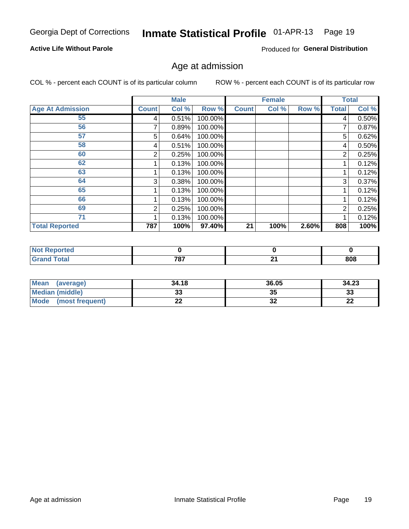#### Inmate Statistical Profile 01-APR-13 Page 19

## **Active Life Without Parole**

Produced for General Distribution

## Age at admission

COL % - percent each COUNT is of its particular column

|                         |              | <b>Male</b> |         |              | <b>Female</b> |       |                | <b>Total</b> |
|-------------------------|--------------|-------------|---------|--------------|---------------|-------|----------------|--------------|
| <b>Age At Admission</b> | <b>Count</b> | Col %       | Row %   | <b>Count</b> | Col %         | Row % | <b>Total</b>   | Col %        |
| 55                      | 4            | 0.51%       | 100.00% |              |               |       | 4              | 0.50%        |
| 56                      |              | 0.89%       | 100.00% |              |               |       |                | 0.87%        |
| 57                      | 5            | 0.64%       | 100.00% |              |               |       | 5              | 0.62%        |
| 58                      | 4            | 0.51%       | 100.00% |              |               |       | 4              | 0.50%        |
| 60                      | 2            | 0.25%       | 100.00% |              |               |       | 2              | 0.25%        |
| 62                      |              | 0.13%       | 100.00% |              |               |       |                | 0.12%        |
| 63                      |              | 0.13%       | 100.00% |              |               |       |                | 0.12%        |
| 64                      | 3            | 0.38%       | 100.00% |              |               |       | 3              | 0.37%        |
| 65                      |              | 0.13%       | 100.00% |              |               |       |                | 0.12%        |
| 66                      |              | 0.13%       | 100.00% |              |               |       |                | 0.12%        |
| 69                      | 2            | 0.25%       | 100.00% |              |               |       | $\overline{2}$ | 0.25%        |
| 71                      |              | 0.13%       | 100.00% |              |               |       |                | 0.12%        |
| <b>Total Reported</b>   | 787          | 100%        | 97.40%  | 21           | 100%          | 2.60% | 808            | 100%         |

| rted  |              |          |     |
|-------|--------------|----------|-----|
| _____ | 707<br>, , , | ົ<br>- - | 808 |

| Mean<br>(average)              | 34.18 | 36.05    | 34.23    |
|--------------------------------|-------|----------|----------|
| <b>Median (middle)</b>         | ົ     | 35       | າາ<br>ند |
| <b>Mode</b><br>(most frequent) | --    | ^^<br>JZ | n,<br>LL |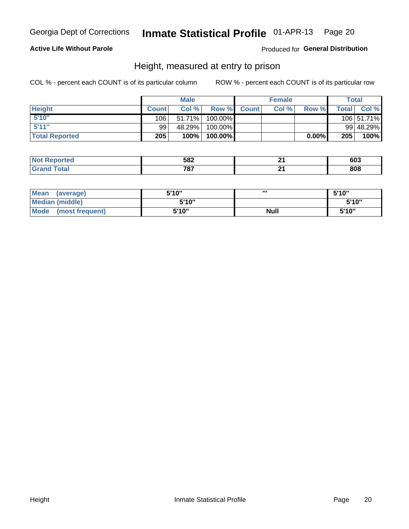#### Inmate Statistical Profile 01-APR-13 Page 20

## **Active Life Without Parole**

## Produced for General Distribution

## Height, measured at entry to prison

COL % - percent each COUNT is of its particular column

|                       |              | <b>Male</b> |         |             | <b>Female</b> |          |         | Total      |
|-----------------------|--------------|-------------|---------|-------------|---------------|----------|---------|------------|
| <b>Height</b>         | <b>Count</b> | Col %       |         | Row % Count | Col %         | Row %    | Total I | Col %      |
| 5'10''                | 106          | 51.71%      | 100.00% |             |               |          |         | 106 51.71% |
| 5'11''                | 99           | 48.29%      | 100.00% |             |               |          |         | 99 48.29%  |
| <b>Total Reported</b> | 205          | 100%        | 100.00% |             |               | $0.00\%$ | 205     | $100\%$    |

| <b>Not</b><br><b>orted</b><br><b>Rebo</b> r | 582 |    | 603 |
|---------------------------------------------|-----|----|-----|
| <b>Total</b><br><b>Grand</b>                | 707 | м. | 808 |

| <b>Mean</b><br>(average)       | 5'10'' | ,,,         | 5'10" |
|--------------------------------|--------|-------------|-------|
| <b>Median (middle)</b>         | 5'10"  |             | 5'10" |
| <b>Mode</b><br>(most frequent) | 5'10"  | <b>Null</b> | 5'10" |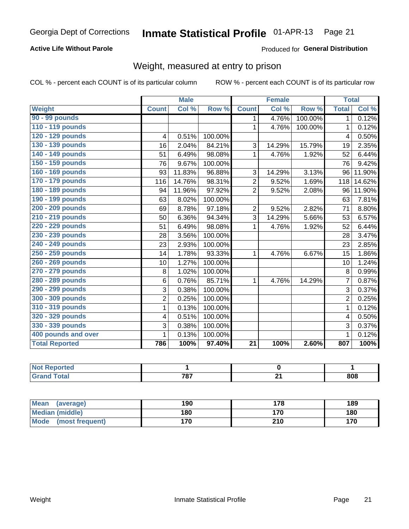#### Inmate Statistical Profile 01-APR-13 Page 21

## **Active Life Without Parole**

**Produced for General Distribution** 

# Weight, measured at entry to prison

COL % - percent each COUNT is of its particular column

|                       |                | <b>Male</b> |         |                 | <b>Female</b> |         |                | <b>Total</b> |
|-----------------------|----------------|-------------|---------|-----------------|---------------|---------|----------------|--------------|
| <b>Weight</b>         | <b>Count</b>   | Col %       | Row %   | <b>Count</b>    | Col %         | Row %   | <b>Total</b>   | Col %        |
| 90 - 99 pounds        |                |             |         | 1               | 4.76%         | 100.00% | 1 <sup>1</sup> | 0.12%        |
| 110 - 119 pounds      |                |             |         | 1               | 4.76%         | 100.00% | 1              | 0.12%        |
| 120 - 129 pounds      | 4              | 0.51%       | 100.00% |                 |               |         | 4              | 0.50%        |
| 130 - 139 pounds      | 16             | 2.04%       | 84.21%  | 3               | 14.29%        | 15.79%  | 19             | 2.35%        |
| 140 - 149 pounds      | 51             | 6.49%       | 98.08%  | 1               | 4.76%         | 1.92%   | 52             | 6.44%        |
| 150 - 159 pounds      | 76             | 9.67%       | 100.00% |                 |               |         | 76             | 9.42%        |
| 160 - 169 pounds      | 93             | 11.83%      | 96.88%  | 3               | 14.29%        | 3.13%   | 96             | 11.90%       |
| 170 - 179 pounds      | 116            | 14.76%      | 98.31%  | $\overline{2}$  | 9.52%         | 1.69%   | 118            | 14.62%       |
| 180 - 189 pounds      | 94             | 11.96%      | 97.92%  | $\overline{2}$  | 9.52%         | 2.08%   | 96             | 11.90%       |
| 190 - 199 pounds      | 63             | 8.02%       | 100.00% |                 |               |         | 63             | 7.81%        |
| 200 - 209 pounds      | 69             | 8.78%       | 97.18%  | $\overline{2}$  | 9.52%         | 2.82%   | 71             | 8.80%        |
| 210 - 219 pounds      | 50             | 6.36%       | 94.34%  | 3               | 14.29%        | 5.66%   | 53             | 6.57%        |
| 220 - 229 pounds      | 51             | 6.49%       | 98.08%  | 1               | 4.76%         | 1.92%   | 52             | 6.44%        |
| 230 - 239 pounds      | 28             | 3.56%       | 100.00% |                 |               |         | 28             | 3.47%        |
| 240 - 249 pounds      | 23             | 2.93%       | 100.00% |                 |               |         | 23             | 2.85%        |
| 250 - 259 pounds      | 14             | 1.78%       | 93.33%  | 1               | 4.76%         | 6.67%   | 15             | 1.86%        |
| 260 - 269 pounds      | 10             | 1.27%       | 100.00% |                 |               |         | 10             | 1.24%        |
| 270 - 279 pounds      | 8              | 1.02%       | 100.00% |                 |               |         | 8              | 0.99%        |
| 280 - 289 pounds      | 6              | 0.76%       | 85.71%  | 1               | 4.76%         | 14.29%  | $\overline{7}$ | 0.87%        |
| 290 - 299 pounds      | 3              | 0.38%       | 100.00% |                 |               |         | 3              | 0.37%        |
| 300 - 309 pounds      | $\overline{2}$ | 0.25%       | 100.00% |                 |               |         | $\overline{2}$ | 0.25%        |
| 310 - 319 pounds      | 1              | 0.13%       | 100.00% |                 |               |         | $\mathbf 1$    | 0.12%        |
| 320 - 329 pounds      | 4              | 0.51%       | 100.00% |                 |               |         | $\overline{4}$ | 0.50%        |
| 330 - 339 pounds      | 3              | 0.38%       | 100.00% |                 |               |         | 3              | 0.37%        |
| 400 pounds and over   | 1              | 0.13%       | 100.00% |                 |               |         | 1              | 0.12%        |
| <b>Total Reported</b> | 786            | 100%        | 97.40%  | $\overline{21}$ | 100%          | 2.60%   | 807            | 100%         |

| тес |              |     |
|-----|--------------|-----|
|     | 707<br>1 V I | 808 |

| <b>Mean</b><br>(average)       | 190 | 178 | 189 |
|--------------------------------|-----|-----|-----|
| <b>Median (middle)</b>         | 180 | 170 | 180 |
| <b>Mode</b><br>(most frequent) | 170 | 210 | 170 |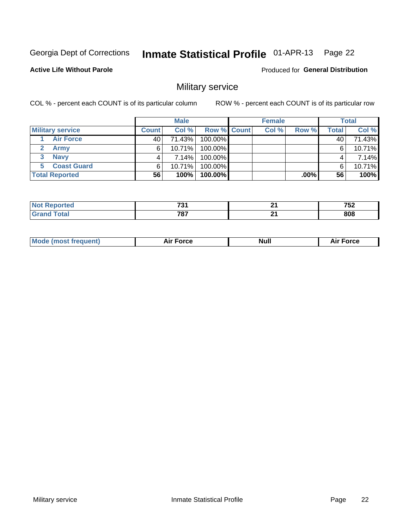#### Inmate Statistical Profile 01-APR-13 Page 22

### **Active Life Without Parole**

Produced for General Distribution

## Military service

COL % - percent each COUNT is of its particular column

|                         |              | <b>Male</b> |             | <b>Female</b> |         |        | <b>Total</b> |
|-------------------------|--------------|-------------|-------------|---------------|---------|--------|--------------|
| <b>Military service</b> | <b>Count</b> | Col%        | Row % Count | Col %         | Row %   | Totall | Col %        |
| <b>Air Force</b>        | 40           | 71.43%      | 100.00%     |               |         | 40     | 71.43%       |
| <b>Army</b>             | 6.           | 10.71%      | 100.00%     |               |         | 6      | 10.71%       |
| <b>Navy</b><br>3        |              | 7.14%       | 100.00%     |               |         | 4      | 7.14%        |
| <b>Coast Guard</b>      | 6.           | 10.71%      | 100.00%     |               |         | 6      | 10.71%       |
| <b>Total Reported</b>   | 56           | 100%        | 100.00%     |               | $.00\%$ | 56     | 100%         |

|      | 704<br>. .<br>$-$ | п.<br>$ -$ | ---<br>' 76 |
|------|-------------------|------------|-------------|
| ____ | 707<br><br>___    | п.<br>- -  | ona<br>ουσ  |

| Mode (most frequent) | Force<br>Aır | Null | ∙orce |
|----------------------|--------------|------|-------|
|                      |              |      |       |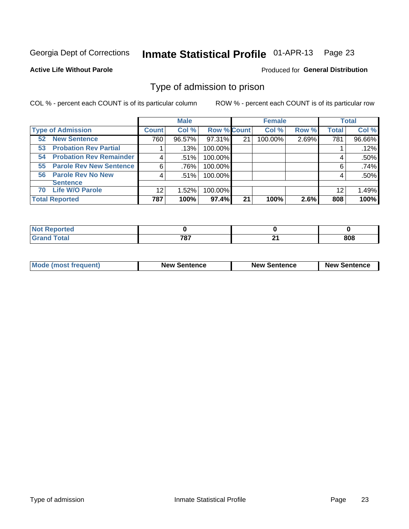#### Inmate Statistical Profile 01-APR-13 Page 23

#### **Active Life Without Parole**

#### Produced for General Distribution

## Type of admission to prison

COL % - percent each COUNT is of its particular column

|                                        |              | <b>Male</b> |                    |    | <b>Female</b> |       |              | <b>Total</b> |
|----------------------------------------|--------------|-------------|--------------------|----|---------------|-------|--------------|--------------|
| <b>Type of Admission</b>               | <b>Count</b> | Col %       | <b>Row % Count</b> |    | Col %         | Row % | <b>Total</b> | Col %        |
| <b>New Sentence</b><br>52 <sub>2</sub> | 760          | 96.57%      | 97.31%             | 21 | 100.00%       | 2.69% | 781          | 96.66%       |
| <b>Probation Rev Partial</b><br>53     |              | .13%        | 100.00%            |    |               |       |              | .12%         |
| <b>Probation Rev Remainder</b><br>54   |              | .51%        | 100.00%            |    |               |       |              | $.50\%$      |
| <b>Parole Rev New Sentence</b><br>55   | 6            | .76%        | 100.00%            |    |               |       | 6            | .74%         |
| <b>Parole Rev No New</b><br>56         | 4            | .51%        | 100.00%            |    |               |       | 4            | .50%         |
| <b>Sentence</b>                        |              |             |                    |    |               |       |              |              |
| <b>Life W/O Parole</b><br>70           | 12           | 1.52%       | 100.00%            |    |               |       | 12           | 1.49%        |
| <b>Total Reported</b>                  | 787          | 100%        | 97.4%              | 21 | 100%          | 2.6%  | 808          | 100%         |

| ported<br><b>NOT</b><br>$\sim$ |     |   |     |
|--------------------------------|-----|---|-----|
| `otal                          | 707 | ົ | 808 |
| -                              | τо. |   |     |

| <b>Mode (most frequent)</b> | <b>New Sentence</b> | <b>New Sentence</b> | <b>New Sentence</b> |
|-----------------------------|---------------------|---------------------|---------------------|
|                             |                     |                     |                     |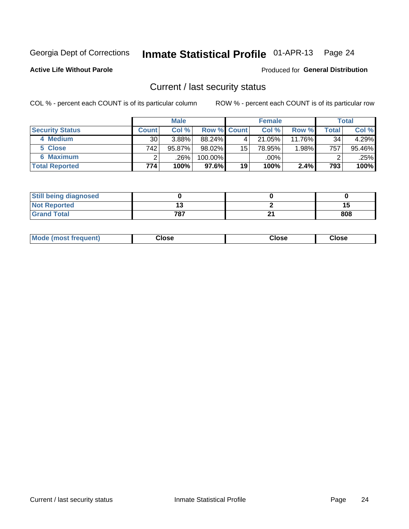# Inmate Statistical Profile 01-APR-13 Page 24

**Active Life Without Parole** 

#### Produced for General Distribution

## Current / last security status

COL % - percent each COUNT is of its particular column

|                        |              | <b>Male</b> |                    |    | <b>Female</b> |           |       | <b>Total</b> |
|------------------------|--------------|-------------|--------------------|----|---------------|-----------|-------|--------------|
| <b>Security Status</b> | <b>Count</b> | Col %       | <b>Row % Count</b> |    | Col %         | Row %     | Total | Col %        |
| 4 Medium               | 30           | $3.88\%$    | $88.24\%$          | 4  | 21.05%        | $11.76\%$ | 34    | 4.29%        |
| 5 Close                | 742          | 95.87%      | 98.02%             | 15 | 78.95%        | 1.98%     | 757   | 95.46%       |
| <b>6 Maximum</b>       |              | .26%        | 100.00%            |    | .00%          |           |       | .25%         |
| <b>Total Reported</b>  | 774          | 100%        | 97.6%              | 19 | 100%          | 2.4%      | 793   | 100%         |

| <b>Still being diagnosed</b> |     |    |     |
|------------------------------|-----|----|-----|
| <b>Not Reported</b>          |     |    |     |
| <b>Grand Total</b>           | 787 | n. | 808 |

| <b>Mode (most frequent)</b> | Close | Close | <b>Close</b> |
|-----------------------------|-------|-------|--------------|
|                             |       |       |              |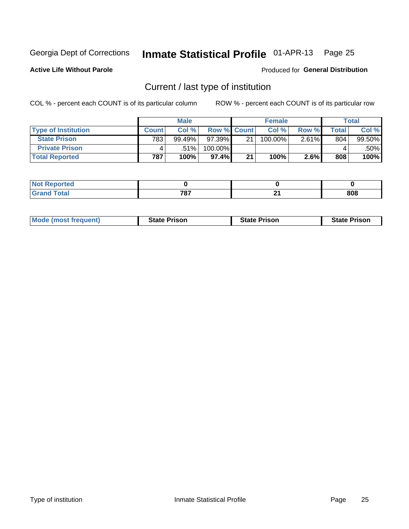# Inmate Statistical Profile 01-APR-13 Page 25

**Active Life Without Parole** 

Produced for General Distribution

# Current / last type of institution

COL % - percent each COUNT is of its particular column

|                            |       | <b>Male</b> |                    |    | <b>Female</b> |       |                          | <b>Total</b> |
|----------------------------|-------|-------------|--------------------|----|---------------|-------|--------------------------|--------------|
| <b>Type of Institution</b> | Count | Col %       | <b>Row % Count</b> |    | Col %         | Row % | $\mathsf{Total}_{\perp}$ | Col %        |
| <b>State Prison</b>        | 783   | 99.49%      | $97.39\%$          | 21 | 100.00%       | 2.61% | 804                      | 99.50%       |
| <b>Private Prison</b>      |       | $.51\%$     | 100.00%            |    |               |       |                          | .50%         |
| <b>Total Reported</b>      | 787   | 100%        | $97.4\%$           | 21 | 100%          | 2.6%  | 808                      | 100%         |

| τeα                         |                  |            |     |
|-----------------------------|------------------|------------|-----|
| $\sim$ $\sim$ $\sim$ $\sim$ | 707<br>$\cdot$ . | л.<br>$ -$ | 808 |

| <b>Mode (most frequent)</b> | <b>State Prison</b> | <b>State Prison</b> | <b>State Prison</b> |
|-----------------------------|---------------------|---------------------|---------------------|
|                             |                     |                     |                     |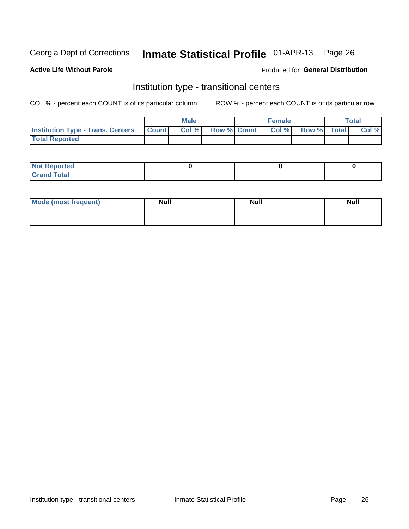# Inmate Statistical Profile 01-APR-13 Page 26

#### **Active Life Without Parole**

### Produced for General Distribution

## Institution type - transitional centers

COL % - percent each COUNT is of its particular column

|                                          |              | <b>Male</b> |                    | <b>Female</b> |             | Total |
|------------------------------------------|--------------|-------------|--------------------|---------------|-------------|-------|
| <b>Institution Type - Trans. Centers</b> | <b>Count</b> | Col %       | <b>Row % Count</b> | Col %         | Row % Total | Col % |
| <b>Total Reported</b>                    |              |             |                    |               |             |       |

| <b>Reported</b><br><b>NOT</b><br>$\sim$            |  |  |
|----------------------------------------------------|--|--|
| $f$ $f \circ f \circ f$<br>$C = 1$<br><b>TULAI</b> |  |  |

| Mode (most frequent) | <b>Null</b> | <b>Null</b> | <b>Null</b> |
|----------------------|-------------|-------------|-------------|
|                      |             |             |             |
|                      |             |             |             |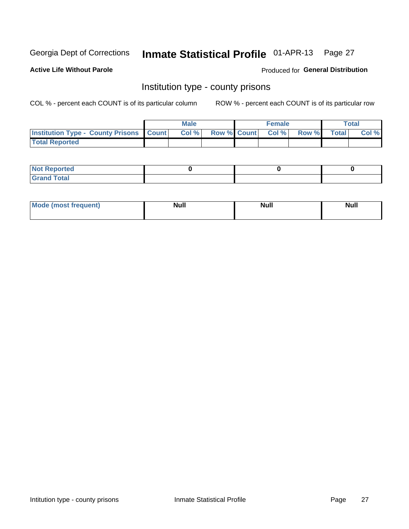# Inmate Statistical Profile 01-APR-13 Page 27

**Active Life Without Parole** 

Produced for General Distribution

## Institution type - county prisons

COL % - percent each COUNT is of its particular column

|                                                    | <b>Male</b> |                          | <b>Female</b> |             | <b>Total</b> |
|----------------------------------------------------|-------------|--------------------------|---------------|-------------|--------------|
| <b>Institution Type - County Prisons   Count  </b> | Col %       | <b>Row % Count Col %</b> |               | Row % Total | Col %        |
| <b>Total Reported</b>                              |             |                          |               |             |              |

| <b>Not</b><br>: Reported<br> |  |  |
|------------------------------|--|--|
| <b>Total</b><br>---          |  |  |

| <b>Mode</b>      | <b>Null</b> | <b>Null</b> | <b>Null</b> |
|------------------|-------------|-------------|-------------|
| (most freauent). |             |             |             |
|                  |             |             |             |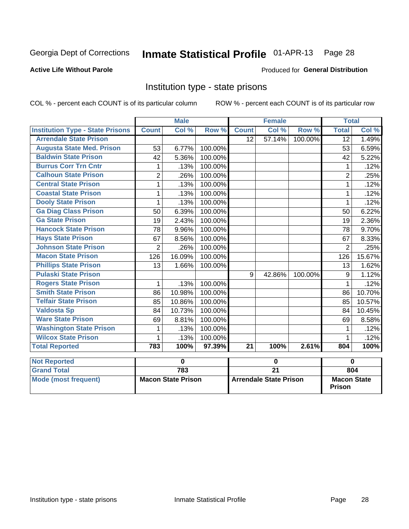#### Inmate Statistical Profile 01-APR-13 Page 28

## **Active Life Without Parole**

#### Produced for General Distribution

## Institution type - state prisons

COL % - percent each COUNT is of its particular column

|                                         |                | <b>Male</b> |         |              | <b>Female</b> |         | <b>Total</b>   |        |
|-----------------------------------------|----------------|-------------|---------|--------------|---------------|---------|----------------|--------|
| <b>Institution Type - State Prisons</b> | <b>Count</b>   | Col %       | Row %   | <b>Count</b> | Col %         | Row %   | <b>Total</b>   | Col %  |
| <b>Arrendale State Prison</b>           |                |             |         | 12           | 57.14%        | 100.00% | 12             | 1.49%  |
| <b>Augusta State Med. Prison</b>        | 53             | 6.77%       | 100.00% |              |               |         | 53             | 6.59%  |
| <b>Baldwin State Prison</b>             | 42             | 5.36%       | 100.00% |              |               |         | 42             | 5.22%  |
| <b>Burrus Corr Trn Cntr</b>             |                | .13%        | 100.00% |              |               |         |                | .12%   |
| <b>Calhoun State Prison</b>             | $\overline{2}$ | .26%        | 100.00% |              |               |         | $\overline{2}$ | .25%   |
| <b>Central State Prison</b>             | 1              | .13%        | 100.00% |              |               |         |                | .12%   |
| <b>Coastal State Prison</b>             | 1              | .13%        | 100.00% |              |               |         |                | .12%   |
| <b>Dooly State Prison</b>               | 1              | .13%        | 100.00% |              |               |         |                | .12%   |
| <b>Ga Diag Class Prison</b>             | 50             | 6.39%       | 100.00% |              |               |         | 50             | 6.22%  |
| <b>Ga State Prison</b>                  | 19             | 2.43%       | 100.00% |              |               |         | 19             | 2.36%  |
| <b>Hancock State Prison</b>             | 78             | 9.96%       | 100.00% |              |               |         | 78             | 9.70%  |
| <b>Hays State Prison</b>                | 67             | 8.56%       | 100.00% |              |               |         | 67             | 8.33%  |
| <b>Johnson State Prison</b>             | $\overline{2}$ | .26%        | 100.00% |              |               |         | $\overline{2}$ | .25%   |
| <b>Macon State Prison</b>               | 126            | 16.09%      | 100.00% |              |               |         | 126            | 15.67% |
| <b>Phillips State Prison</b>            | 13             | 1.66%       | 100.00% |              |               |         | 13             | 1.62%  |
| <b>Pulaski State Prison</b>             |                |             |         | 9            | 42.86%        | 100.00% | 9              | 1.12%  |
| <b>Rogers State Prison</b>              | 1              | .13%        | 100.00% |              |               |         | 1              | .12%   |
| <b>Smith State Prison</b>               | 86             | 10.98%      | 100.00% |              |               |         | 86             | 10.70% |
| <b>Telfair State Prison</b>             | 85             | 10.86%      | 100.00% |              |               |         | 85             | 10.57% |
| <b>Valdosta Sp</b>                      | 84             | 10.73%      | 100.00% |              |               |         | 84             | 10.45% |
| <b>Ware State Prison</b>                | 69             | 8.81%       | 100.00% |              |               |         | 69             | 8.58%  |
| <b>Washington State Prison</b>          | 1              | .13%        | 100.00% |              |               |         |                | .12%   |
| <b>Wilcox State Prison</b>              | 1              | .13%        | 100.00% |              |               |         |                | .12%   |
| <b>Total Reported</b>                   | 783            | 100%        | 97.39%  | 21           | 100%          | 2.61%   | 804            | 100%   |
| <b>Not Reported</b>                     |                | $\bf{0}$    |         |              | $\bf{0}$      |         | $\bf{0}$       |        |

| ∣Not Reported∣       |                           |                               |                                     |
|----------------------|---------------------------|-------------------------------|-------------------------------------|
| <b>Grand Total</b>   | 783                       |                               | 804                                 |
| Mode (most frequent) | <b>Macon State Prison</b> | <b>Arrendale State Prison</b> | <b>Macon State</b><br><b>Prison</b> |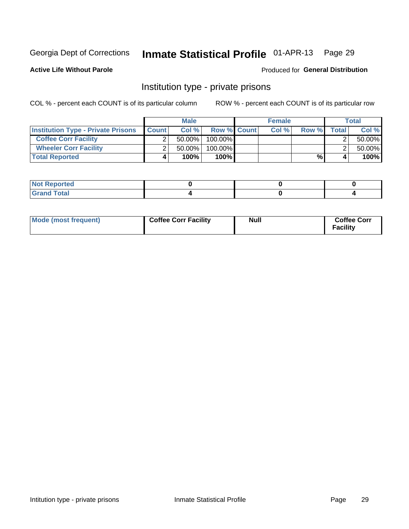# Inmate Statistical Profile 01-APR-13 Page 29

Produced for General Distribution

## **Active Life Without Parole**

## Institution type - private prisons

COL % - percent each COUNT is of its particular column

|                                           |              | <b>Male</b> |                    | <b>Female</b> |       |              | <b>Total</b> |
|-------------------------------------------|--------------|-------------|--------------------|---------------|-------|--------------|--------------|
| <b>Institution Type - Private Prisons</b> | <b>Count</b> | Col%        | <b>Row % Count</b> | Col%          | Row % | <b>Total</b> | Col %        |
| <b>Coffee Corr Facility</b>               |              | $50.00\%$   | $100.00\%$         |               |       |              | 50.00%       |
| <b>Wheeler Corr Facility</b>              |              | $50.00\%$   | 100.00%            |               |       |              | 50.00%       |
| <b>Total Reported</b>                     | 4            | 100%        | 100%               |               | %     |              | 100%         |

| Not Reported |  |  |
|--------------|--|--|
| Total        |  |  |

| Mode (most frequent) | <b>Coffee Corr Facility</b> | <b>Null</b> | <b>Coffee Corr</b><br><b>Facility</b> |
|----------------------|-----------------------------|-------------|---------------------------------------|
|----------------------|-----------------------------|-------------|---------------------------------------|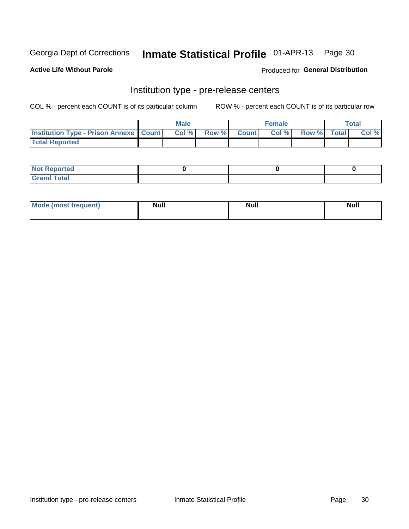# Inmate Statistical Profile 01-APR-13 Page 30

**Active Life Without Parole** 

**Produced for General Distribution** 

# Institution type - pre-release centers

COL % - percent each COUNT is of its particular column

|                                                    | <b>Male</b> |             | <b>Female</b> |             | <b>Total</b> |
|----------------------------------------------------|-------------|-------------|---------------|-------------|--------------|
| <b>Institution Type - Prison Annexe   Count   </b> | Col %       | Row % Count | Col %         | Row % Total | Col %        |
| <b>Total Reported</b>                              |             |             |               |             |              |

| <b>Reported</b><br>I NOT                      |  |  |
|-----------------------------------------------|--|--|
| <b>Total</b><br>Carar<br>$\sim$ . When $\sim$ |  |  |

| Mor<br><b>ruent</b> )<br>rea<br>nos | <b>Null</b> | <b>Moll</b><br>_____ | . .<br><b>Null</b> |
|-------------------------------------|-------------|----------------------|--------------------|
|                                     |             |                      |                    |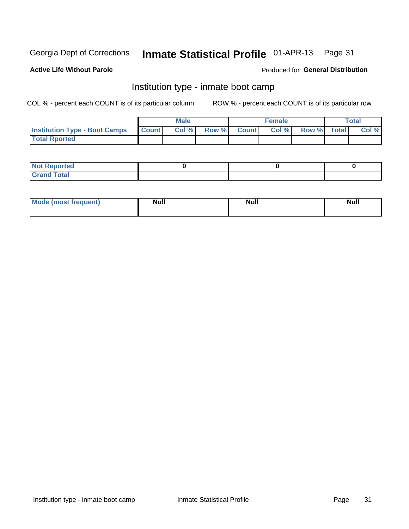#### Inmate Statistical Profile 01-APR-13 Page 31

## **Active Life Without Parole**

## Produced for General Distribution

## Institution type - inmate boot camp

COL % - percent each COUNT is of its particular column

|                                      |              | <b>Male</b> |               |              | <b>Female</b> |             | <b>Total</b> |
|--------------------------------------|--------------|-------------|---------------|--------------|---------------|-------------|--------------|
| <b>Institution Type - Boot Camps</b> | <b>Count</b> | Col %       | <b>Row %I</b> | <b>Count</b> | Col %         | Row % Total | Col %        |
| <b>Total Rported</b>                 |              |             |               |              |               |             |              |

| <b>Not Reported</b> |  |  |
|---------------------|--|--|
| <b>Total</b><br>Cro |  |  |

| <b>I Mode (most frequent)</b> | <b>Null</b> | <b>Null</b> | <b>Null</b> |
|-------------------------------|-------------|-------------|-------------|
|                               |             |             |             |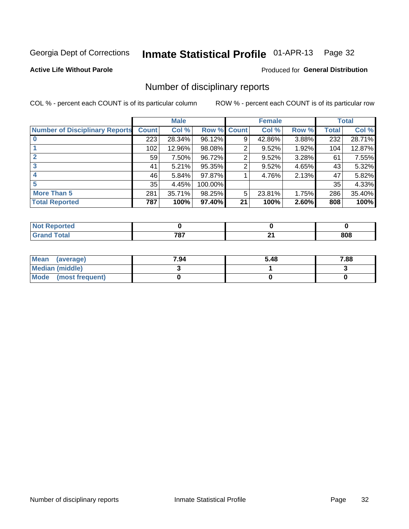#### Inmate Statistical Profile 01-APR-13 Page 32

**Active Life Without Parole** 

#### Produced for General Distribution

## Number of disciplinary reports

COL % - percent each COUNT is of its particular column

|                                       | <b>Male</b>  |        | <b>Female</b> |    |        | <b>Total</b> |              |        |
|---------------------------------------|--------------|--------|---------------|----|--------|--------------|--------------|--------|
| <b>Number of Disciplinary Reports</b> | <b>Count</b> | Col %  | Row % Count   |    | Col %  | Row %        | <b>Total</b> | Col %  |
|                                       | 223          | 28.34% | 96.12%        | 9  | 42.86% | 3.88%        | 232          | 28.71% |
|                                       | 102          | 12.96% | 98.08%        | 2  | 9.52%  | 1.92%        | 104          | 12.87% |
| $\mathbf{2}$                          | 59           | 7.50%  | 96.72%        | 2  | 9.52%  | 3.28%        | 61           | 7.55%  |
| 3                                     | 41           | 5.21%  | 95.35%        | 2  | 9.52%  | 4.65%        | 43           | 5.32%  |
|                                       | 46           | 5.84%  | 97.87%        |    | 4.76%  | 2.13%        | 47           | 5.82%  |
| 5                                     | 35           | 4.45%  | 100.00%       |    |        |              | 35           | 4.33%  |
| <b>More Than 5</b>                    | 281          | 35.71% | 98.25%        | 5  | 23.81% | 1.75%        | 286          | 35.40% |
| <b>Total Reported</b>                 | 787          | 100%   | 97.40%        | 21 | 100%   | 2.60%        | 808          | 100%   |

| NO<br>тео    |            |     |
|--------------|------------|-----|
| <b>Total</b> | 707<br>701 | 808 |

| Mean (average)       | 7.94 | 5.48 | 7.88 |
|----------------------|------|------|------|
| Median (middle)      |      |      |      |
| Mode (most frequent) |      |      |      |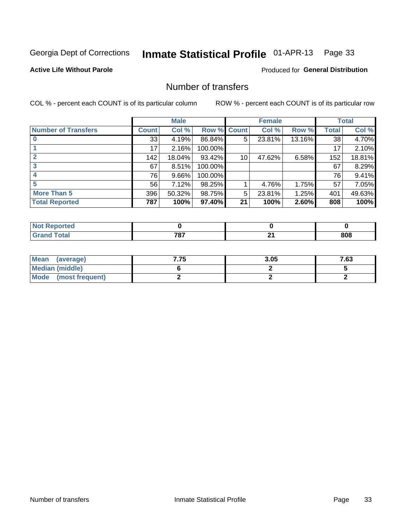# Inmate Statistical Profile 01-APR-13 Page 33

## **Active Life Without Parole**

## **Produced for General Distribution**

## Number of transfers

COL % - percent each COUNT is of its particular column

|                            |         | <b>Male</b> |         |              | <b>Female</b> |        |              | <b>Total</b> |
|----------------------------|---------|-------------|---------|--------------|---------------|--------|--------------|--------------|
| <b>Number of Transfers</b> | Count l | Col %       | Row %   | <b>Count</b> | Col %         | Row %  | <b>Total</b> | Col %        |
|                            | 33      | 4.19%       | 86.84%  | 5            | 23.81%        | 13.16% | 38           | 4.70%        |
|                            | 17      | 2.16%       | 100.00% |              |               |        | 17           | 2.10%        |
|                            | 142     | 18.04%      | 93.42%  | 10           | 47.62%        | 6.58%  | 152          | 18.81%       |
| 3                          | 67      | 8.51%       | 100.00% |              |               |        | 67           | 8.29%        |
|                            | 76      | 9.66%       | 100.00% |              |               |        | 76           | 9.41%        |
| 5                          | 56      | 7.12%       | 98.25%  |              | 4.76%         | 1.75%  | 57           | 7.05%        |
| <b>More Than 5</b>         | 396     | 50.32%      | 98.75%  | 5            | 23.81%        | 1.25%  | 401          | 49.63%       |
| <b>Total Reported</b>      | 787     | 100%        | 97.40%  | 21           | 100%          | 2.60%  | 808          | 100%         |

| N<br>τеι     |            |    |     |
|--------------|------------|----|-----|
| <b>Total</b> | 707<br>101 | п. | 808 |

| Mean (average)       | 7.75 | 3.05 | 7.63 |
|----------------------|------|------|------|
| Median (middle)      |      |      |      |
| Mode (most frequent) |      |      |      |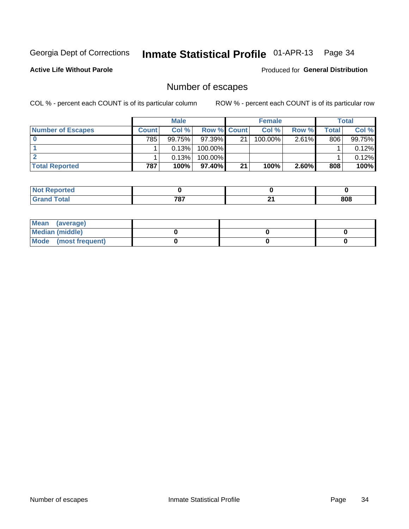# Inmate Statistical Profile 01-APR-13 Page 34

**Active Life Without Parole** 

Produced for General Distribution

# Number of escapes

COL % - percent each COUNT is of its particular column

|                          | <b>Male</b>  |        |                    | <b>Female</b> |            |          | Total |        |
|--------------------------|--------------|--------|--------------------|---------------|------------|----------|-------|--------|
| <b>Number of Escapes</b> | <b>Count</b> | Col%   | <b>Row % Count</b> |               | Col %      | Row %    | Total | Col %  |
|                          | 785          | 99.75% | $97.39\%$          | 21            | $100.00\%$ | $2.61\%$ | 806   | 99.75% |
|                          |              | 0.13%  | 100.00%            |               |            |          |       | 0.12%  |
|                          |              | 0.13%  | $100.00\%$         |               |            |          |       | 0.12%  |
| <b>Total Reported</b>    | 787          | 100%   | 97.40% I           | 21            | 100%       | 2.60%    | 808   | 100%   |

| orted<br><b>NOT</b> |     |     |     |
|---------------------|-----|-----|-----|
| <b>f</b> otal       | 707 | л.  | 808 |
| Grand               | וסי | - - |     |

| Mean (average)       |  |  |
|----------------------|--|--|
| Median (middle)      |  |  |
| Mode (most frequent) |  |  |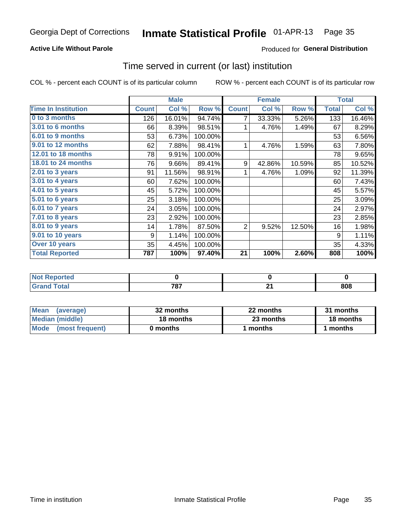#### Inmate Statistical Profile 01-APR-13 Page 35

## **Active Life Without Parole**

## **Produced for General Distribution**

## Time served in current (or last) institution

COL % - percent each COUNT is of its particular column

|                            |              | <b>Male</b> |         |              | <b>Female</b> |        |              | <b>Total</b> |
|----------------------------|--------------|-------------|---------|--------------|---------------|--------|--------------|--------------|
| <b>Time In Institution</b> | <b>Count</b> | Col %       | Row %   | <b>Count</b> | Col %         | Row %  | <b>Total</b> | Col %        |
| 0 to 3 months              | 126          | 16.01%      | 94.74%  | 7            | 33.33%        | 5.26%  | 133          | 16.46%       |
| <b>3.01 to 6 months</b>    | 66           | 8.39%       | 98.51%  |              | 4.76%         | 1.49%  | 67           | 8.29%        |
| 6.01 to 9 months           | 53           | 6.73%       | 100.00% |              |               |        | 53           | 6.56%        |
| 9.01 to 12 months          | 62           | 7.88%       | 98.41%  | 1            | 4.76%         | 1.59%  | 63           | 7.80%        |
| 12.01 to 18 months         | 78           | 9.91%       | 100.00% |              |               |        | 78           | 9.65%        |
| <b>18.01 to 24 months</b>  | 76           | 9.66%       | 89.41%  | 9            | 42.86%        | 10.59% | 85           | 10.52%       |
| 2.01 to 3 years            | 91           | 11.56%      | 98.91%  | 1            | 4.76%         | 1.09%  | 92           | 11.39%       |
| 3.01 to 4 years            | 60           | 7.62%       | 100.00% |              |               |        | 60           | 7.43%        |
| $4.01$ to 5 years          | 45           | 5.72%       | 100.00% |              |               |        | 45           | 5.57%        |
| 5.01 to 6 years            | 25           | 3.18%       | 100.00% |              |               |        | 25           | 3.09%        |
| 6.01 to 7 years            | 24           | 3.05%       | 100.00% |              |               |        | 24           | 2.97%        |
| $7.01$ to 8 years          | 23           | 2.92%       | 100.00% |              |               |        | 23           | 2.85%        |
| 8.01 to 9 years            | 14           | 1.78%       | 87.50%  | 2            | 9.52%         | 12.50% | 16           | 1.98%        |
| 9.01 to 10 years           | 9            | 1.14%       | 100.00% |              |               |        | 9            | 1.11%        |
| Over 10 years              | 35           | 4.45%       | 100.00% |              |               |        | 35           | 4.33%        |
| <b>Total Reported</b>      | 787          | 100%        | 97.40%  | 21           | 100%          | 2.60%  | 808          | 100%         |

| <b>Reported</b> |            |                              |     |
|-----------------|------------|------------------------------|-----|
| .'otal          | 707<br>ູບ. | <br>$\overline{\phantom{0}}$ | 808 |

| <b>Mean</b><br>(average) | 32 months | 22 months | 31 months |
|--------------------------|-----------|-----------|-----------|
| Median (middle)          | 18 months | 23 months | 18 months |
| Mode (most frequent)     | 0 months  | 1 months  | 1 months  |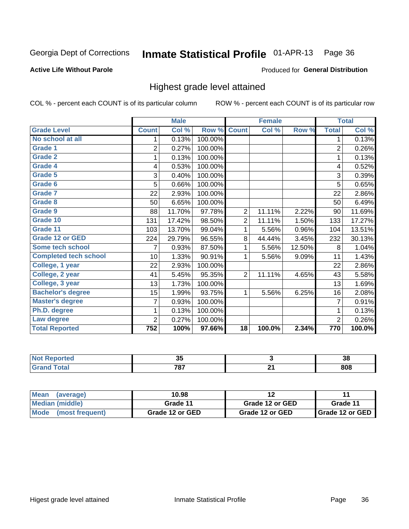#### Inmate Statistical Profile 01-APR-13 Page 36

#### **Active Life Without Parole**

#### Produced for General Distribution

## Highest grade level attained

COL % - percent each COUNT is of its particular column

|                              |                | <b>Male</b> |         |                | <b>Female</b> |        |                  | <b>Total</b> |
|------------------------------|----------------|-------------|---------|----------------|---------------|--------|------------------|--------------|
| <b>Grade Level</b>           | <b>Count</b>   | Col %       | Row %   | <b>Count</b>   | Col %         | Row %  | <b>Total</b>     | Col %        |
| No school at all             | 1              | 0.13%       | 100.00% |                |               |        | 1                | 0.13%        |
| <b>Grade 1</b>               | $\overline{c}$ | 0.27%       | 100.00% |                |               |        | $\overline{2}$   | 0.26%        |
| <b>Grade 2</b>               | 1              | 0.13%       | 100.00% |                |               |        | 1                | 0.13%        |
| Grade 4                      | 4              | 0.53%       | 100.00% |                |               |        | 4                | 0.52%        |
| <b>Grade 5</b>               | 3              | 0.40%       | 100.00% |                |               |        | 3                | 0.39%        |
| Grade 6                      | 5              | 0.66%       | 100.00% |                |               |        | 5                | 0.65%        |
| <b>Grade 7</b>               | 22             | 2.93%       | 100.00% |                |               |        | 22               | 2.86%        |
| <b>Grade 8</b>               | 50             | 6.65%       | 100.00% |                |               |        | 50               | 6.49%        |
| Grade 9                      | 88             | 11.70%      | 97.78%  | $\overline{2}$ | 11.11%        | 2.22%  | 90               | 11.69%       |
| Grade 10                     | 131            | 17.42%      | 98.50%  | $\overline{2}$ | 11.11%        | 1.50%  | 133              | 17.27%       |
| Grade 11                     | 103            | 13.70%      | 99.04%  | 1              | 5.56%         | 0.96%  | 104              | 13.51%       |
| <b>Grade 12 or GED</b>       | 224            | 29.79%      | 96.55%  | 8              | 44.44%        | 3.45%  | 232              | 30.13%       |
| Some tech school             | 7              | 0.93%       | 87.50%  | 1              | 5.56%         | 12.50% | 8                | 1.04%        |
| <b>Completed tech school</b> | 10             | 1.33%       | 90.91%  | 1              | 5.56%         | 9.09%  | 11               | 1.43%        |
| College, 1 year              | 22             | 2.93%       | 100.00% |                |               |        | 22               | 2.86%        |
| College, 2 year              | 41             | 5.45%       | 95.35%  | $\overline{2}$ | 11.11%        | 4.65%  | 43               | 5.58%        |
| College, 3 year              | 13             | 1.73%       | 100.00% |                |               |        | 13               | 1.69%        |
| <b>Bachelor's degree</b>     | 15             | 1.99%       | 93.75%  | 1              | 5.56%         | 6.25%  | 16               | 2.08%        |
| <b>Master's degree</b>       | 7              | 0.93%       | 100.00% |                |               |        | 7                | 0.91%        |
| Ph.D. degree                 | 1              | 0.13%       | 100.00% |                |               |        | 1                | 0.13%        |
| Law degree                   | $\overline{2}$ | 0.27%       | 100.00% |                |               |        | $\overline{2}$   | 0.26%        |
| <b>Total Reported</b>        | 752            | 100%        | 97.66%  | 18             | 100.0%        | 2.34%  | $\overline{770}$ | 100.0%       |

| keported | --<br>uu     | ົ<br>00 |
|----------|--------------|---------|
| ota      | 707<br>1 O I | 808     |

| <b>Mean</b><br>(average) | 10.98           |                 | 44                       |
|--------------------------|-----------------|-----------------|--------------------------|
| Median (middle)          | Grade 11        | Grade 12 or GED | Grade 11                 |
| Mode (most frequent)     | Grade 12 or GED | Grade 12 or GED | <b>I</b> Grade 12 or GED |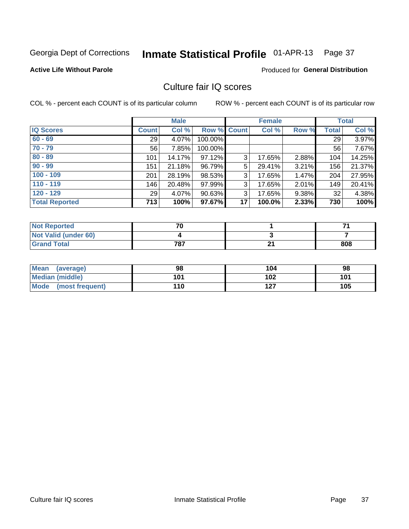# Inmate Statistical Profile 01-APR-13 Page 37

## **Active Life Without Parole**

### Produced for General Distribution

## Culture fair IQ scores

COL % - percent each COUNT is of its particular column

|                       |              | <b>Male</b> |             |                 | <b>Female</b> |          |              | <b>Total</b> |
|-----------------------|--------------|-------------|-------------|-----------------|---------------|----------|--------------|--------------|
| <b>IQ Scores</b>      | <b>Count</b> | Col %       | Row % Count |                 | Col %         | Row %    | <b>Total</b> | Col %        |
| $60 - 69$             | 29           | 4.07%       | 100.00%     |                 |               |          | 29           | 3.97%        |
| $70 - 79$             | 56           | 7.85%       | 100.00%     |                 |               |          | 56           | 7.67%        |
| $80 - 89$             | 101          | 14.17%      | 97.12%      | 3               | 17.65%        | 2.88%    | 104          | 14.25%       |
| $90 - 99$             | 151          | 21.18%      | 96.79%      | 5               | 29.41%        | 3.21%    | 156          | 21.37%       |
| $100 - 109$           | 201          | 28.19%      | 98.53%      | 3               | 17.65%        | 1.47%    | 204          | 27.95%       |
| $110 - 119$           | 146          | 20.48%      | 97.99%      | 3               | 17.65%        | 2.01%    | 149          | 20.41%       |
| $120 - 129$           | 29           | 4.07%       | 90.63%      | 3               | 17.65%        | $9.38\%$ | 32           | 4.38%        |
| <b>Total Reported</b> | 713          | 100%        | 97.67%      | 17 <sup>1</sup> | 100.0%        | 2.33%    | 730          | 100%         |

| <b>Not Reported</b>         | 70  |   |     |
|-----------------------------|-----|---|-----|
| <b>Not Valid (under 60)</b> |     |   |     |
| <b>Grand Total</b>          | 787 | ົ | 808 |

| <b>Mean</b><br>(average)       | 98  | 104 | 98  |
|--------------------------------|-----|-----|-----|
| <b>Median (middle)</b>         | 101 | 102 | 101 |
| <b>Mode</b><br>(most frequent) | 110 | 127 | 105 |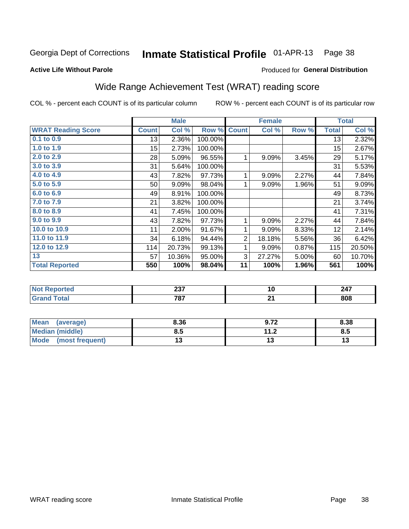#### Inmate Statistical Profile 01-APR-13 Page 38

### **Active Life Without Parole**

## Produced for General Distribution

# Wide Range Achievement Test (WRAT) reading score

COL % - percent each COUNT is of its particular column

|                           |              |        |         |                | <b>Female</b> |       |              | <b>Total</b> |
|---------------------------|--------------|--------|---------|----------------|---------------|-------|--------------|--------------|
| <b>WRAT Reading Score</b> | <b>Count</b> | Col %  | Row %   | <b>Count</b>   | Col %         | Row % | <b>Total</b> | Col %        |
| $0.1$ to $0.9$            | 13           | 2.36%  | 100.00% |                |               |       | 13           | 2.32%        |
| 1.0 to 1.9                | 15           | 2.73%  | 100.00% |                |               |       | 15           | 2.67%        |
| 2.0 to 2.9                | 28           | 5.09%  | 96.55%  | 1              | 9.09%         | 3.45% | 29           | 5.17%        |
| 3.0 to 3.9                | 31           | 5.64%  | 100.00% |                |               |       | 31           | 5.53%        |
| 4.0 to 4.9                | 43           | 7.82%  | 97.73%  | 1              | 9.09%         | 2.27% | 44           | 7.84%        |
| 5.0 to 5.9                | 50           | 9.09%  | 98.04%  | 1              | 9.09%         | 1.96% | 51           | 9.09%        |
| 6.0 to 6.9                | 49           | 8.91%  | 100.00% |                |               |       | 49           | 8.73%        |
| 7.0 to 7.9                | 21           | 3.82%  | 100.00% |                |               |       | 21           | 3.74%        |
| 8.0 to 8.9                | 41           | 7.45%  | 100.00% |                |               |       | 41           | 7.31%        |
| 9.0 to 9.9                | 43           | 7.82%  | 97.73%  | 1              | 9.09%         | 2.27% | 44           | 7.84%        |
| 10.0 to 10.9              | 11           | 2.00%  | 91.67%  | 1              | 9.09%         | 8.33% | 12           | 2.14%        |
| 11.0 to 11.9              | 34           | 6.18%  | 94.44%  | $\overline{2}$ | 18.18%        | 5.56% | 36           | 6.42%        |
| 12.0 to 12.9              | 114          | 20.73% | 99.13%  | 1              | 9.09%         | 0.87% | 115          | 20.50%       |
| 13                        | 57           | 10.36% | 95.00%  | 3              | 27.27%        | 5.00% | 60           | 10.70%       |
| <b>Total Reported</b>     | 550          | 100%   | 98.04%  | 11             | 100%          | 1.96% | 561          | 100%         |

| <b>Not Reported</b> | へへっ<br>2J I | 1 V     | 247 |
|---------------------|-------------|---------|-----|
| <b>Grand Total</b>  | 787         | ົ<br>-- | 808 |

| Mean (average)         | 8.36 | 9.72                 | 8.38 |
|------------------------|------|----------------------|------|
| <b>Median (middle)</b> | ช.ว  | 11 J<br>. <i>. .</i> | ၓ.๖  |
| Mode (most frequent)   | U    |                      | 13   |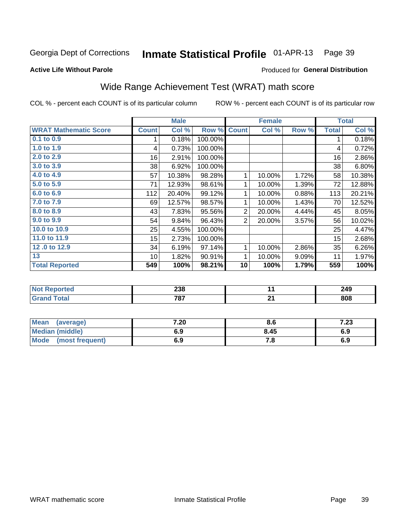#### Inmate Statistical Profile 01-APR-13 Page 39

### **Active Life Without Parole**

# Produced for General Distribution

# Wide Range Achievement Test (WRAT) math score

COL % - percent each COUNT is of its particular column

ROW % - percent each COUNT is of its particular row

 $\overline{21}$ 

|                              |                  | <b>Male</b> |         |                | <b>Female</b> |       |              | <b>Total</b> |
|------------------------------|------------------|-------------|---------|----------------|---------------|-------|--------------|--------------|
| <b>WRAT Mathematic Score</b> | <b>Count</b>     | Col %       | Row %   | <b>Count</b>   | Col %         | Row % | <b>Total</b> | Col %        |
| 0.1 to 0.9                   | 1                | 0.18%       | 100.00% |                |               |       | 1            | 0.18%        |
| 1.0 to 1.9                   | 4                | 0.73%       | 100.00% |                |               |       | 4            | 0.72%        |
| 2.0 to 2.9                   | 16               | 2.91%       | 100.00% |                |               |       | 16           | 2.86%        |
| 3.0 to 3.9                   | 38               | 6.92%       | 100.00% |                |               |       | 38           | 6.80%        |
| 4.0 to 4.9                   | 57               | 10.38%      | 98.28%  | 1              | 10.00%        | 1.72% | 58           | 10.38%       |
| 5.0 to 5.9                   | 71               | 12.93%      | 98.61%  | 1              | 10.00%        | 1.39% | 72           | 12.88%       |
| 6.0 to 6.9                   | 112              | 20.40%      | 99.12%  | 1              | 10.00%        | 0.88% | 113          | 20.21%       |
| 7.0 to 7.9                   | 69               | 12.57%      | 98.57%  | 1              | 10.00%        | 1.43% | 70           | 12.52%       |
| 8.0 to 8.9                   | 43               | 7.83%       | 95.56%  | $\overline{2}$ | 20.00%        | 4.44% | 45           | 8.05%        |
| 9.0 to 9.9                   | 54               | 9.84%       | 96.43%  | $\overline{2}$ | 20.00%        | 3.57% | 56           | 10.02%       |
| 10.0 to 10.9                 | 25               | 4.55%       | 100.00% |                |               |       | 25           | 4.47%        |
| 11.0 to 11.9                 | 15 <sub>15</sub> | 2.73%       | 100.00% |                |               |       | 15           | 2.68%        |
| 12.0 to 12.9                 | 34               | 6.19%       | 97.14%  | 1              | 10.00%        | 2.86% | 35           | 6.26%        |
| 13                           | 10               | 1.82%       | 90.91%  | 1              | 10.00%        | 9.09% | 11           | 1.97%        |
| <b>Total Reported</b>        | 549              | 100%        | 98.21%  | 10             | 100%          | 1.79% | 559          | 100%         |
|                              |                  |             |         |                |               |       |              |              |
| <b>Not Reported</b>          |                  | 238         |         |                | 11            |       |              | 249          |

| <b>Mean</b><br>(average)       | 7.20 | 8.6  | י ה<br>د ۲۰ |
|--------------------------------|------|------|-------------|
| <b>Median (middle)</b>         | 6.9  | 8.45 | 6.9         |
| <b>Mode</b><br>(most frequent) | 6.9  | . о  | 6.9         |

787

**Grand Total** 

 $808$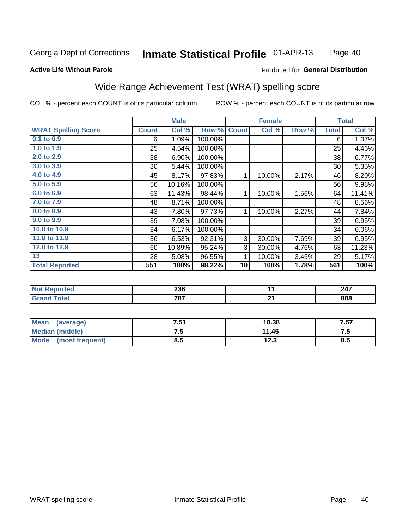#### Inmate Statistical Profile 01-APR-13 Page 40

### **Active Life Without Parole**

## Produced for General Distribution

## Wide Range Achievement Test (WRAT) spelling score

COL % - percent each COUNT is of its particular column

|                            |              | <b>Male</b> |         |              | <b>Female</b> |       |              | <b>Total</b>       |
|----------------------------|--------------|-------------|---------|--------------|---------------|-------|--------------|--------------------|
| <b>WRAT Spelling Score</b> | <b>Count</b> | Col %       | Row %   | <b>Count</b> | Col %         | Row % | <b>Total</b> | Col %              |
| 0.1 to 0.9                 | 6            | 1.09%       | 100.00% |              |               |       | 6            | 1.07%              |
| 1.0 to 1.9                 | 25           | 4.54%       | 100.00% |              |               |       | 25           | 4.46%              |
| 2.0 to 2.9                 | 38           | 6.90%       | 100.00% |              |               |       | 38           | 6.77%              |
| 3.0 to 3.9                 | 30           | 5.44%       | 100.00% |              |               |       | 30           | 5.35%              |
| 4.0 to 4.9                 | 45           | 8.17%       | 97.83%  | 1            | 10.00%        | 2.17% | 46           | 8.20%              |
| 5.0 t0 5.9                 | 56           | 10.16%      | 100.00% |              |               |       | 56           | 9.98%              |
| 6.0 to 6.9                 | 63           | 11.43%      | 98.44%  | 1            | 10.00%        | 1.56% | 64           | 11.41%             |
| 7.0 to 7.9                 | 48           | 8.71%       | 100.00% |              |               |       | 48           | 8.56%              |
| 8.0 to 8.9                 | 43           | 7.80%       | 97.73%  | 1            | 10.00%        | 2.27% | 44           | 7.84%              |
| 9.0 to 9.9                 | 39           | 7.08%       | 100.00% |              |               |       | 39           | 6.95%              |
| 10.0 to 10.9               | 34           | 6.17%       | 100.00% |              |               |       | 34           | 6.06%              |
| 11.0 to 11.9               | 36           | 6.53%       | 92.31%  | 3            | 30.00%        | 7.69% | 39           | 6.95%              |
| 12.0 to 12.9               | 60           | 10.89%      | 95.24%  | 3            | 30.00%        | 4.76% | 63           | 11.23%             |
| 13                         | 28           | 5.08%       | 96.55%  | 1            | 10.00%        | 3.45% | 29           | 5.17%              |
| <b>Total Reported</b>      | 551          | 100%        | 98.22%  | 10           | 100%          | 1.78% | 561          | $\overline{100\%}$ |
|                            |              |             |         |              |               |       |              |                    |
| <b>Not Reported</b>        |              | 236         |         |              | 11            |       |              | 247                |
| <b>Grand Total</b>         |              | 787         |         |              | 21            |       |              | 808                |

| Mean<br>(average)              | 7.51 | 10.38 | 7.57 |
|--------------------------------|------|-------|------|
| <b>Median (middle)</b>         | ں ،  | 11.45 | ن. د |
| <b>Mode</b><br>(most frequent) | 8.5  | 12.3  | 8.5  |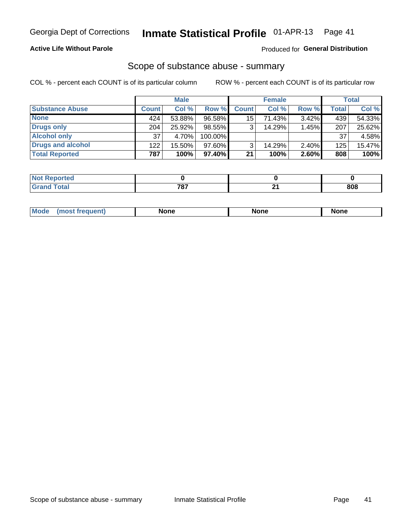## **Active Life Without Parole**

## Produced for General Distribution

## Scope of substance abuse - summary

COL % - percent each COUNT is of its particular column

|                        |              | <b>Male</b> |           |              | <b>Female</b> |          |              | <b>Total</b> |
|------------------------|--------------|-------------|-----------|--------------|---------------|----------|--------------|--------------|
| <b>Substance Abuse</b> | <b>Count</b> | Col %       | Row %     | <b>Count</b> | Col %         | Row %    | <b>Total</b> | Col %        |
| <b>None</b>            | 424          | 53.88%      | 96.58%    | 15           | 71.43%        | 3.42%    | 439          | 54.33%       |
| <b>Drugs only</b>      | 204          | 25.92%      | 98.55%    |              | 14.29%        | 1.45%    | 207          | 25.62%       |
| <b>Alcohol only</b>    | 37           | 4.70%       | 100.00%   |              |               |          | 37           | 4.58%        |
| Drugs and alcohol      | 122          | 15.50%      | $97.60\%$ |              | 14.29%        | $2.40\%$ | 125          | 15.47%       |
| <b>Total Reported</b>  | 787          | 100%        | 97.40%    | 21           | 100%          | 2.60%    | 808          | 100%         |

| <b>NOT</b><br>rtea<br>eoo    |     |    |     |
|------------------------------|-----|----|-----|
| <b>Total</b><br><b>Grand</b> | ラウラ | л. | 808 |

| Mode<br>None<br>None<br>None<br>quenu |
|---------------------------------------|
|---------------------------------------|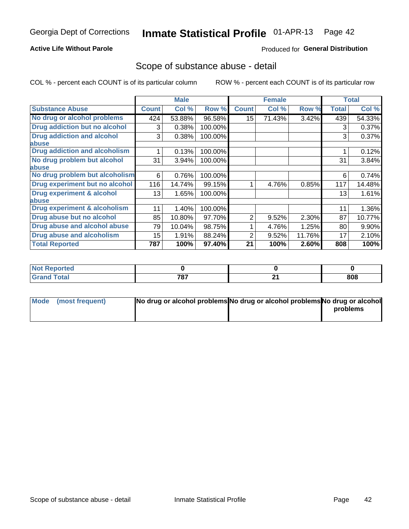## **Active Life Without Parole**

## **Produced for General Distribution**

## Scope of substance abuse - detail

COL % - percent each COUNT is of its particular column

|                                      |                 | <b>Male</b> |         |                  | <b>Female</b> |        |              | <b>Total</b> |
|--------------------------------------|-----------------|-------------|---------|------------------|---------------|--------|--------------|--------------|
| <b>Substance Abuse</b>               | <b>Count</b>    | Col %       | Row %   | <b>Count</b>     | Col %         | Row %  | <b>Total</b> | Col %        |
| No drug or alcohol problems          | 424             | 53.88%      | 96.58%  | 15 <sub>15</sub> | 71.43%        | 3.42%  | 439          | 54.33%       |
| Drug addiction but no alcohol        | 3               | 0.38%       | 100.00% |                  |               |        | 3            | 0.37%        |
| <b>Drug addiction and alcohol</b>    | 3               | 0.38%       | 100.00% |                  |               |        | 3            | 0.37%        |
| abuse                                |                 |             |         |                  |               |        |              |              |
| <b>Drug addiction and alcoholism</b> |                 | 0.13%       | 100.00% |                  |               |        |              | 0.12%        |
| No drug problem but alcohol          | 31              | 3.94%       | 100.00% |                  |               |        | 31           | 3.84%        |
| abuse                                |                 |             |         |                  |               |        |              |              |
| No drug problem but alcoholism       | 6               | 0.76%       | 100.00% |                  |               |        | 6            | 0.74%        |
| Drug experiment but no alcohol       | 116             | 14.74%      | 99.15%  |                  | 4.76%         | 0.85%  | 117          | 14.48%       |
| <b>Drug experiment &amp; alcohol</b> | 13 <sup>1</sup> | 1.65%       | 100.00% |                  |               |        | 13           | 1.61%        |
| abuse                                |                 |             |         |                  |               |        |              |              |
| Drug experiment & alcoholism         | 11              | 1.40%       | 100.00% |                  |               |        | 11           | 1.36%        |
| Drug abuse but no alcohol            | 85              | 10.80%      | 97.70%  | 2                | 9.52%         | 2.30%  | 87           | 10.77%       |
| Drug abuse and alcohol abuse         | 79              | 10.04%      | 98.75%  |                  | 4.76%         | 1.25%  | 80           | 9.90%        |
| <b>Drug abuse and alcoholism</b>     | 15              | 1.91%       | 88.24%  | 2                | 9.52%         | 11.76% | 17           | 2.10%        |
| <b>Total Reported</b>                | 787             | 100%        | 97.40%  | 21               | 100%          | 2.60%  | 808          | 100%         |

| ported         |              |     |
|----------------|--------------|-----|
| $n+n$<br>_____ | フロフ<br>1 O I | 808 |

| Mode (most frequent) | No drug or alcohol problems No drug or alcohol problems No drug or alcohol |          |
|----------------------|----------------------------------------------------------------------------|----------|
|                      |                                                                            | problems |
|                      |                                                                            |          |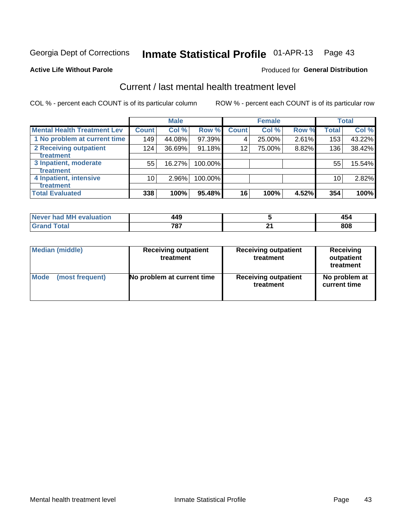# Inmate Statistical Profile 01-APR-13 Page 43

### **Active Life Without Parole**

## **Produced for General Distribution**

# Current / last mental health treatment level

COL % - percent each COUNT is of its particular column

|                                    |              | <b>Male</b> |         |              | <b>Female</b> |       |                 | <b>Total</b> |
|------------------------------------|--------------|-------------|---------|--------------|---------------|-------|-----------------|--------------|
| <b>Mental Health Treatment Lev</b> | <b>Count</b> | Col %       | Row %   | <b>Count</b> | Col %         | Row % | <b>Total</b>    | Col %        |
| 1 No problem at current time       | 149          | 44.08%      | 97.39%  | 4            | 25.00%        | 2.61% | 153             | 43.22%       |
| 2 Receiving outpatient             | 124          | 36.69%      | 91.18%  | 12           | 75.00%        | 8.82% | 136             | 38.42%       |
| <b>Treatment</b>                   |              |             |         |              |               |       |                 |              |
| 3 Inpatient, moderate              | 55           | 16.27%      | 100.00% |              |               |       | 55              | 15.54%       |
| <b>Treatment</b>                   |              |             |         |              |               |       |                 |              |
| 4 Inpatient, intensive             | 10           | 2.96%       | 100.00% |              |               |       | 10 <sub>1</sub> | 2.82%        |
| Treatment                          |              |             |         |              |               |       |                 |              |
| <b>Total Evaluated</b>             | 338          | 100%        | 95.48%  | 16           | 100%          | 4.52% | 354             | 100%         |

| Never had MH evaluation | 449 | "<br>$+5'$ |
|-------------------------|-----|------------|
| Total                   | 707 | 808        |

| <b>Median (middle)</b> | <b>Receiving outpatient</b><br>treatment | <b>Receiving outpatient</b><br>treatment | <b>Receiving</b><br>outpatient<br>treatment |  |  |
|------------------------|------------------------------------------|------------------------------------------|---------------------------------------------|--|--|
| <b>Mode</b>            | No problem at current time               | <b>Receiving outpatient</b>              | No problem at                               |  |  |
| (most frequent)        |                                          | treatment                                | current time                                |  |  |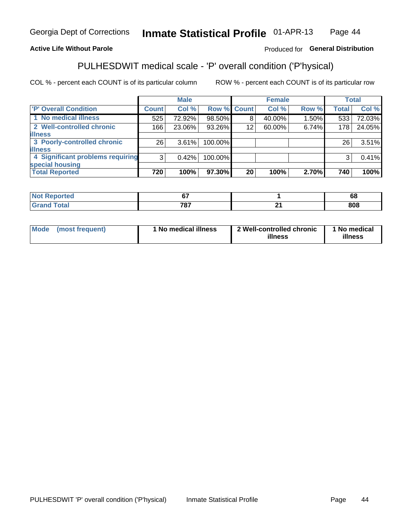#### Inmate Statistical Profile 01-APR-13 Page 44

## **Active Life Without Parole**

## Produced for General Distribution

# PULHESDWIT medical scale - 'P' overall condition ('P'hysical)

COL % - percent each COUNT is of its particular column

|                                  |                 | <b>Male</b> |             |                 | <b>Female</b> |       |              | <b>Total</b> |
|----------------------------------|-----------------|-------------|-------------|-----------------|---------------|-------|--------------|--------------|
| 'P' Overall Condition            | Count l         | Col %       | Row % Count |                 | Col %         | Row % | <b>Total</b> | Col %        |
| 1 No medical illness             | 525             | 72.92%      | 98.50%      | 8               | 40.00%        | 1.50% | 533          | 72.03%       |
| 2 Well-controlled chronic        | 166             | 23.06%      | 93.26%      | 12 <sub>1</sub> | 60.00%        | 6.74% | 178          | 24.05%       |
| <b>illness</b>                   |                 |             |             |                 |               |       |              |              |
| 3 Poorly-controlled chronic      | 26 <sub>1</sub> | 3.61%       | 100.00%     |                 |               |       | 26           | 3.51%        |
| <b>illness</b>                   |                 |             |             |                 |               |       |              |              |
| 4 Significant problems requiring | 3               | 0.42%       | 100.00%     |                 |               |       | 3            | 0.41%        |
| special housing                  |                 |             |             |                 |               |       |              |              |
| <b>Total Reported</b>            | 720             | 100%        | 97.30%      | 20              | 100%          | 2.70% | 740          | 100%         |

| $\sim$ |            | $\sim$<br>юo |
|--------|------------|--------------|
| 707    | --<br>$ -$ | 808          |

| <b>Mode</b> | (most frequent) | 1 No medical illness | 2 Well-controlled chronic<br>illness | 1 No medical<br>illness |
|-------------|-----------------|----------------------|--------------------------------------|-------------------------|
|-------------|-----------------|----------------------|--------------------------------------|-------------------------|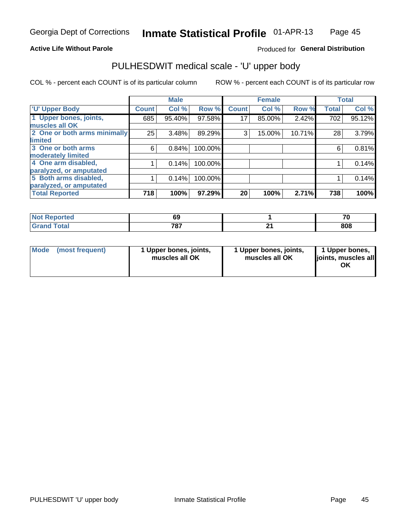## **Active Life Without Parole**

## Produced for General Distribution

# PULHESDWIT medical scale - 'U' upper body

COL % - percent each COUNT is of its particular column

|                              |              | <b>Male</b> |         |              | <b>Female</b> |        |              | <b>Total</b> |
|------------------------------|--------------|-------------|---------|--------------|---------------|--------|--------------|--------------|
| <b>'U' Upper Body</b>        | <b>Count</b> | Col %       | Row %   | <b>Count</b> | Col %         | Row %  | <b>Total</b> | Col %        |
| 1 Upper bones, joints,       | 685          | 95.40%      | 97.58%  | 17           | 85.00%        | 2.42%  | 702          | 95.12%       |
| muscles all OK               |              |             |         |              |               |        |              |              |
| 2 One or both arms minimally | 25           | 3.48%       | 89.29%  | 3            | 15.00%        | 10.71% | 28           | 3.79%        |
| limited                      |              |             |         |              |               |        |              |              |
| 3 One or both arms           | 6            | 0.84%       | 100.00% |              |               |        | 6            | 0.81%        |
| moderately limited           |              |             |         |              |               |        |              |              |
| 4 One arm disabled,          |              | 0.14%       | 100.00% |              |               |        |              | 0.14%        |
| paralyzed, or amputated      |              |             |         |              |               |        |              |              |
| 5 Both arms disabled,        |              | 0.14%       | 100.00% |              |               |        |              | 0.14%        |
| paralyzed, or amputated      |              |             |         |              |               |        |              |              |
| <b>Total Reported</b>        | 718          | 100%        | 97.29%  | 20           | 100%          | 2.71%  | 738          | 100%         |

| <b>Not Reported</b> |              | 70  |
|---------------------|--------------|-----|
| <b>Grand Total</b>  | 707<br>1 O I | 808 |

| Mode (most frequent) | 1 Upper bones, joints,<br>muscles all OK | 1 Upper bones, joints,<br>muscles all OK | 1 Upper bones,<br>joints, muscles all<br>ΟK |
|----------------------|------------------------------------------|------------------------------------------|---------------------------------------------|
|----------------------|------------------------------------------|------------------------------------------|---------------------------------------------|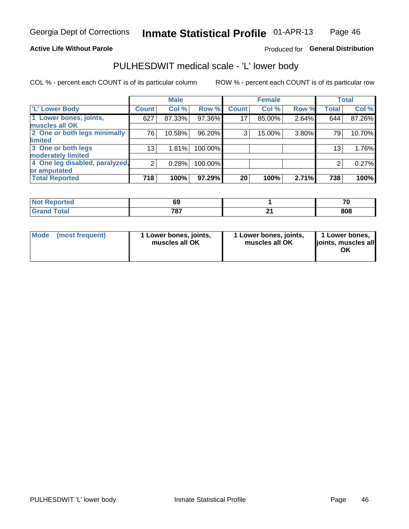## **Active Life Without Parole**

## Produced for General Distribution

## PULHESDWIT medical scale - 'L' lower body

COL % - percent each COUNT is of its particular column

|                                |                | <b>Male</b> |         |              | <b>Female</b> |       |                 | <b>Total</b> |
|--------------------------------|----------------|-------------|---------|--------------|---------------|-------|-----------------|--------------|
| 'L' Lower Body                 | <b>Count</b>   | Col %       | Row %   | <b>Count</b> | Col %         | Row % | <b>Total</b>    | Col %        |
| 1 Lower bones, joints,         | 627            | 87.33%      | 97.36%  | 17           | 85.00%        | 2.64% | 644             | 87.26%       |
| muscles all OK                 |                |             |         |              |               |       |                 |              |
| 2 One or both legs minimally   | 76             | 10.58%      | 96.20%  | 3            | 15.00%        | 3.80% | 79              | 10.70%       |
| limited                        |                |             |         |              |               |       |                 |              |
| 3 One or both legs             | 13             | 1.81%       | 100.00% |              |               |       | 13 <sub>1</sub> | 1.76%        |
| moderately limited             |                |             |         |              |               |       |                 |              |
| 4 One leg disabled, paralyzed, | $\overline{2}$ | 0.28%       | 100.00% |              |               |       | 2               | 0.27%        |
| or amputated                   |                |             |         |              |               |       |                 |              |
| <b>Total Reported</b>          | 718            | 100%        | 97.29%  | 20           | 100%          | 2.71% | 738             | 100%         |

| NO<br>тео. | ບະ           |     | 71  |
|------------|--------------|-----|-----|
|            | 707<br>, v , | . . | 808 |

| Mode | (most frequent) | 1 Lower bones, joints,<br>muscles all OK | 1 Lower bones, joints,<br>muscles all OK | 1 Lower bones,<br>ljoints, muscles all<br>OK |
|------|-----------------|------------------------------------------|------------------------------------------|----------------------------------------------|
|------|-----------------|------------------------------------------|------------------------------------------|----------------------------------------------|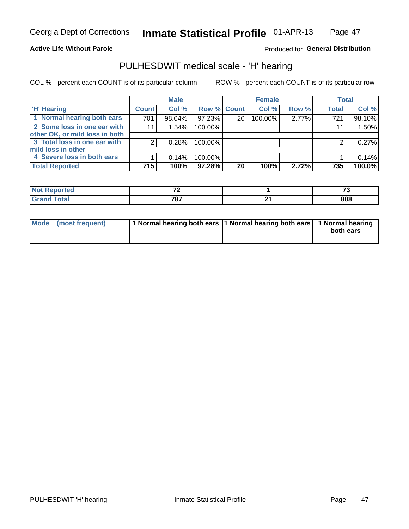## **Active Life Without Parole**

## Produced for General Distribution

# PULHESDWIT medical scale - 'H' hearing

COL % - percent each COUNT is of its particular column

|                                |              | <b>Male</b> |                    |    | <b>Female</b> |       | <b>Total</b> |        |
|--------------------------------|--------------|-------------|--------------------|----|---------------|-------|--------------|--------|
| <b>H' Hearing</b>              | <b>Count</b> | Col %       | <b>Row % Count</b> |    | Col %         | Row % | <b>Total</b> | Col %  |
| 1 Normal hearing both ears     | 701          | 98.04%      | 97.23%             | 20 | 100.00%       | 2.77% | 721          | 98.10% |
| 2 Some loss in one ear with    | 11           | 1.54%       | 100.00%            |    |               |       | 11           | 1.50%  |
| other OK, or mild loss in both |              |             |                    |    |               |       |              |        |
| 3 Total loss in one ear with   | 2            | 0.28%       | 100.00%            |    |               |       | 2            | 0.27%  |
| mild loss in other             |              |             |                    |    |               |       |              |        |
| 4 Severe loss in both ears     |              | 0.14%       | 100.00%            |    |               |       |              | 0.14%  |
| <b>Total Reported</b>          | 715          | 100%        | 97.28%             | 20 | 100%          | 2.72% | 735          | 100.0% |

|       | $-$              |          | $-$ |
|-------|------------------|----------|-----|
| _____ | フロフ<br>$\cdot$ . | . .<br>_ | 808 |

|  | Mode (most frequent) | 1 Normal hearing both ears 1 Normal hearing both ears 1 Normal hearing |  | both ears |
|--|----------------------|------------------------------------------------------------------------|--|-----------|
|--|----------------------|------------------------------------------------------------------------|--|-----------|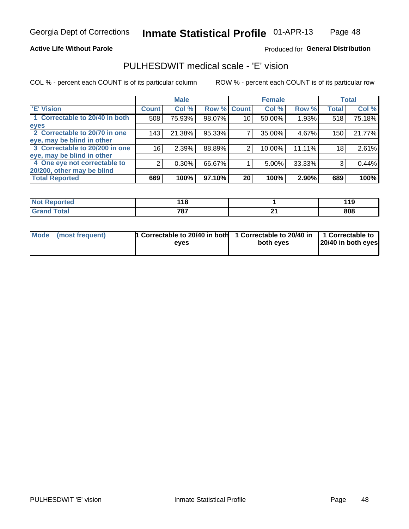## **Active Life Without Parole**

## Produced for General Distribution

## PULHESDWIT medical scale - 'E' vision

COL % - percent each COUNT is of its particular column

ROW % - percent each COUNT is of its particular row

|                                |                 | <b>Male</b> |        |              | <b>Female</b> |        |              | <b>Total</b> |
|--------------------------------|-----------------|-------------|--------|--------------|---------------|--------|--------------|--------------|
| <b>E' Vision</b>               | <b>Count</b>    | Col %       | Row %  | <b>Count</b> | Col %         | Row %  | <b>Total</b> | Col %        |
| 1 Correctable to 20/40 in both | 508             | 75.93%      | 98.07% | 10           | 50.00%        | 1.93%  | 518          | 75.18%       |
| eyes                           |                 |             |        |              |               |        |              |              |
| 2 Correctable to 20/70 in one  | 143             | 21.38%      | 95.33% |              | 35.00%        | 4.67%  | 150          | 21.77%       |
| eye, may be blind in other     |                 |             |        |              |               |        |              |              |
| 3 Correctable to 20/200 in one | 16 <sub>1</sub> | 2.39%       | 88.89% | 2            | 10.00%        | 11.11% | 18           | 2.61%        |
| eye, may be blind in other     |                 |             |        |              |               |        |              |              |
| 4 One eye not correctable to   | 2               | 0.30%       | 66.67% |              | 5.00%         | 33.33% | 3            | 0.44%        |
| 20/200, other may be blind     |                 |             |        |              |               |        |              |              |
| <b>Total Reported</b>          | 669             | 100%        | 97.10% | 20           | 100%          | 2.90%  | 689          | 100%         |

| ా∩rted | .   |        | 11 O |
|--------|-----|--------|------|
| NO     | . . |        | .    |
| Total  | 707 | $\sim$ | 808  |
| r va   | 101 | --     |      |

| Mode (most frequent) | <sup>1</sup> Correctable to 20/40 in both 1 Correctable to 20/40 in 1 Correctable to<br>eves | both eyes | 20/40 in both eyes |
|----------------------|----------------------------------------------------------------------------------------------|-----------|--------------------|
|                      |                                                                                              |           |                    |

48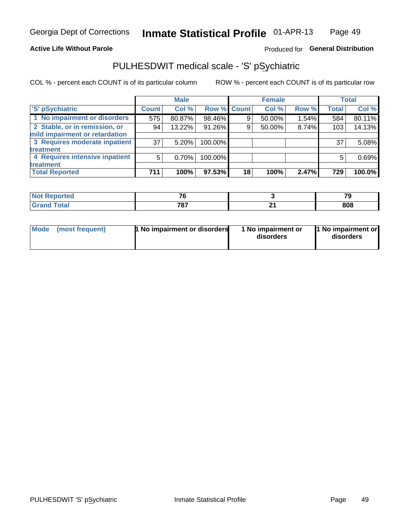## **Active Life Without Parole**

## Produced for General Distribution

# PULHESDWIT medical scale - 'S' pSychiatric

COL % - percent each COUNT is of its particular column

|                                |              | <b>Male</b> |             |    | <b>Female</b> |       |              | <b>Total</b> |
|--------------------------------|--------------|-------------|-------------|----|---------------|-------|--------------|--------------|
| 'S' pSychiatric                | <b>Count</b> | Col %       | Row % Count |    | Col %         | Row % | <b>Total</b> | Col %        |
| 1 No impairment or disorders   | 575          | 80.87%      | 98.46%      |    | 50.00%        | 1.54% | 584          | 80.11%       |
| 2 Stable, or in remission, or  | 94           | 13.22%      | 91.26%      | 9  | 50.00%        | 8.74% | 103          | 14.13%       |
| mild impairment or retardation |              |             |             |    |               |       |              |              |
| 3 Requires moderate inpatient  | 37           | 5.20%       | 100.00%     |    |               |       | 37           | 5.08%        |
| treatment                      |              |             |             |    |               |       |              |              |
| 4 Requires intensive inpatient | 5            | 0.70%       | 100.00%     |    |               |       | 5            | 0.69%        |
| treatment                      |              |             |             |    |               |       |              |              |
| <b>Total Reported</b>          | 711          | 100%        | 97.53%      | 18 | 100%          | 2.47% | 729          | 100.0%       |

| тео | $\overline{\phantom{a}}$    |    | 71<br>. . |
|-----|-----------------------------|----|-----------|
|     | 707<br>٬Ο.<br>$\sim$ $\sim$ | п. | 808       |

| Mode | (most frequent) | <b>1 No impairment or disorders</b> | 1 No impairment or<br>disorders | 11 No impairment or<br>disorders |
|------|-----------------|-------------------------------------|---------------------------------|----------------------------------|
|------|-----------------|-------------------------------------|---------------------------------|----------------------------------|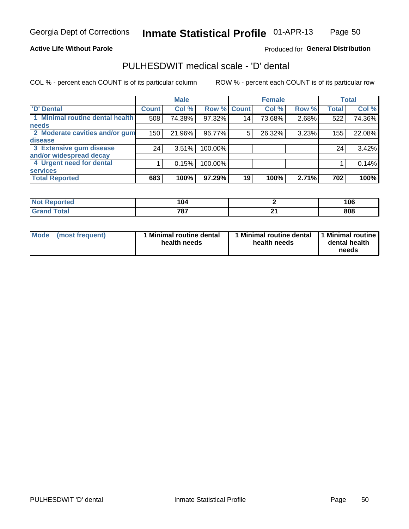## **Active Life Without Parole**

## Produced for General Distribution

## PULHESDWIT medical scale - 'D' dental

COL % - percent each COUNT is of its particular column

|                                 |                 | <b>Male</b> |             |    | <b>Female</b> |       |              | <b>Total</b> |
|---------------------------------|-----------------|-------------|-------------|----|---------------|-------|--------------|--------------|
| 'D' Dental                      | <b>Count</b>    | Col %       | Row % Count |    | Col %         | Row % | <b>Total</b> | Col %        |
| 1 Minimal routine dental health | 508             | 74.38%      | 97.32%      | 14 | 73.68%        | 2.68% | 522          | 74.36%       |
| <b>needs</b>                    |                 |             |             |    |               |       |              |              |
| 2 Moderate cavities and/or gum  | 150             | 21.96%      | 96.77%      | 5  | 26.32%        | 3.23% | 155          | 22.08%       |
| disease                         |                 |             |             |    |               |       |              |              |
| 3 Extensive gum disease         | 24 <sub>1</sub> | 3.51%       | 100.00%     |    |               |       | 24           | 3.42%        |
| and/or widespread decay         |                 |             |             |    |               |       |              |              |
| 4 Urgent need for dental        |                 | 0.15%       | 100.00%     |    |               |       |              | 0.14%        |
| <b>services</b>                 |                 |             |             |    |               |       |              |              |
| <b>Total Reported</b>           | 683             | 100%        | 97.29%      | 19 | 100%          | 2.71% | 702          | 100%         |

| orted<br><b>NOT REDO</b><br>. | 104          |            | 06  |
|-------------------------------|--------------|------------|-----|
| Total                         | 707<br>1 O I | . .<br>. . | 808 |

| <b>Mode</b> | (most frequent) | Minimal routine dental<br>health needs | 1 Minimal routine dental 11 Minimal routine<br>health needs | dental health<br>needs |
|-------------|-----------------|----------------------------------------|-------------------------------------------------------------|------------------------|
|-------------|-----------------|----------------------------------------|-------------------------------------------------------------|------------------------|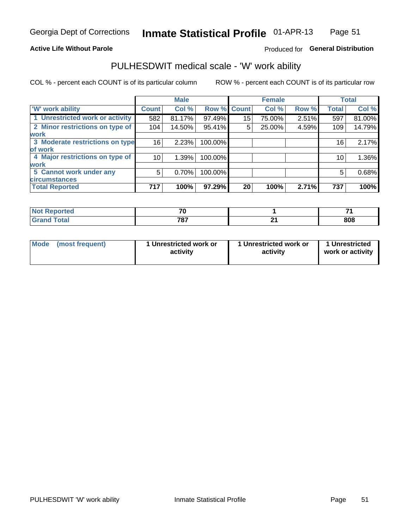## **Active Life Without Parole**

## Produced for General Distribution

# PULHESDWIT medical scale - 'W' work ability

COL % - percent each COUNT is of its particular column

|                                 |                 | <b>Male</b> |         |             | <b>Female</b> |       |              | <b>Total</b> |
|---------------------------------|-----------------|-------------|---------|-------------|---------------|-------|--------------|--------------|
| <b>W' work ability</b>          | <b>Count</b>    | Col %       |         | Row % Count | Col %         | Row % | <b>Total</b> | Col %        |
| 1 Unrestricted work or activity | 582             | 81.17%      | 97.49%  | 15          | 75.00%        | 2.51% | 597          | 81.00%       |
| 2 Minor restrictions on type of | 104             | 14.50%      | 95.41%  | 5           | 25.00%        | 4.59% | 109          | 14.79%       |
| <b>work</b>                     |                 |             |         |             |               |       |              |              |
| 3 Moderate restrictions on type | 16 <sub>1</sub> | 2.23%       | 100.00% |             |               |       | 16           | 2.17%        |
| of work                         |                 |             |         |             |               |       |              |              |
| 4 Major restrictions on type of | 10              | 1.39%       | 100.00% |             |               |       | 10           | 1.36%        |
| <b>work</b>                     |                 |             |         |             |               |       |              |              |
| 5 Cannot work under any         | 5               | 0.70%       | 100.00% |             |               |       | 5            | 0.68%        |
| <b>circumstances</b>            |                 |             |         |             |               |       |              |              |
| <b>Total Reported</b>           | 717             | 100%        | 97.29%  | 20          | 100%          | 2.71% | 737          | 100%         |

| <b>Not Reported</b>          | $\mathbf{z}$ |     |     |
|------------------------------|--------------|-----|-----|
| <b>Total</b><br><b>Grand</b> | 707<br>101   | . . | 808 |

| <b>Mode</b>     | 1 Unrestricted work or | 1 Unrestricted work or | 1 Unrestricted   |
|-----------------|------------------------|------------------------|------------------|
| (most frequent) | activity               | activity               | work or activity |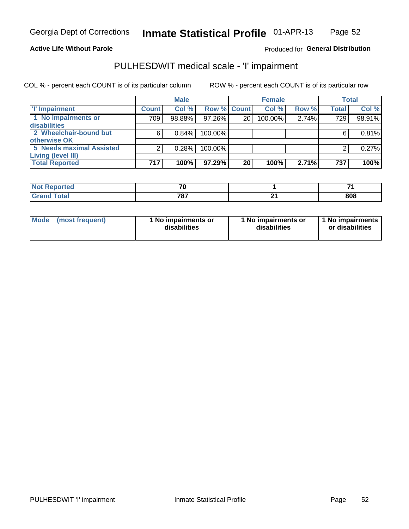### **Active Life Without Parole**

Produced for General Distribution

# PULHESDWIT medical scale - 'I' impairment

|                                 |              | <b>Male</b> |                    |    | <b>Female</b> |       |              | <b>Total</b> |
|---------------------------------|--------------|-------------|--------------------|----|---------------|-------|--------------|--------------|
| <b>T' Impairment</b>            | <b>Count</b> | Col %       | <b>Row % Count</b> |    | Col %         | Row % | <b>Total</b> | Col%         |
| 1 No impairments or             | 709          | 98.88%      | $97.26\%$          | 20 | 100.00%       | 2.74% | 729          | 98.91%       |
| <b>disabilities</b>             |              |             |                    |    |               |       |              |              |
| 2 Wheelchair-bound but          | 6            | 0.84%       | 100.00%            |    |               |       |              | 0.81%        |
| otherwise OK                    |              |             |                    |    |               |       |              |              |
| <b>5 Needs maximal Assisted</b> | 2            | 0.28%       | 100.00%            |    |               |       |              | 0.27%        |
| <b>Living (level III)</b>       |              |             |                    |    |               |       |              |              |
| <b>Total Reported</b>           | 717          | 100%        | 97.29%             | 20 | 100%          | 2.71% | 737          | 100%         |
|                                 |              |             |                    |    |               |       |              |              |

| المنتصب المساء<br><b>eported</b><br><b>NOT</b><br>. | 70                       | -<br>–  |
|-----------------------------------------------------|--------------------------|---------|
| $\mathsf{Total}$                                    | 707<br><u>'o.</u><br>___ | <br>808 |

| <b>Mode</b>     | 1 No impairments or | 1 No impairments or | 1 1 No impairments |
|-----------------|---------------------|---------------------|--------------------|
| (most frequent) | disabilities        | disabilities        | or disabilities    |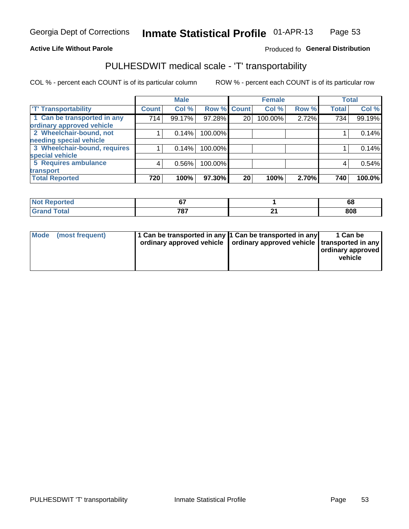## **Active Life Without Parole**

## Produced fo General Distribution

# PULHESDWIT medical scale - 'T' transportability

COL % - percent each COUNT is of its particular column

|                                                          |              | <b>Male</b> |             |    | <b>Female</b> |       |              | <b>Total</b> |
|----------------------------------------------------------|--------------|-------------|-------------|----|---------------|-------|--------------|--------------|
| <b>T' Transportability</b>                               | <b>Count</b> | Col %       | Row % Count |    | Col %         | Row % | <b>Total</b> | Col %        |
| 1 Can be transported in any<br>ordinary approved vehicle | 714          | 99.17%      | 97.28%      | 20 | 100.00%       | 2.72% | 734          | 99.19%       |
| 2 Wheelchair-bound, not                                  |              | 0.14%       | 100.00%     |    |               |       |              | 0.14%        |
| needing special vehicle                                  |              |             |             |    |               |       |              |              |
| 3 Wheelchair-bound, requires                             |              | 0.14%       | 100.00%     |    |               |       |              | 0.14%        |
| special vehicle                                          |              |             |             |    |               |       |              |              |
| 5 Requires ambulance                                     | 4            | 0.56%       | 100.00%     |    |               |       | 4            | 0.54%        |
| transport                                                |              |             |             |    |               |       |              |              |
| <b>Total Reported</b>                                    | 720          | 100%        | 97.30%      | 20 | 100%          | 2.70% | 740          | 100.0%       |

| Reported     | $\sim$<br>v. | cc<br>oo |
|--------------|--------------|----------|
| <b>Total</b> | 787          | 808      |

| <b>Mode</b> | (most frequent) | 11 Can be transported in any 1 Can be transported in any<br>ordinary approved vehicle   ordinary approved vehicle   transported in any |  | 1 Can be<br>ordinary approved<br>vehicle |
|-------------|-----------------|----------------------------------------------------------------------------------------------------------------------------------------|--|------------------------------------------|
|-------------|-----------------|----------------------------------------------------------------------------------------------------------------------------------------|--|------------------------------------------|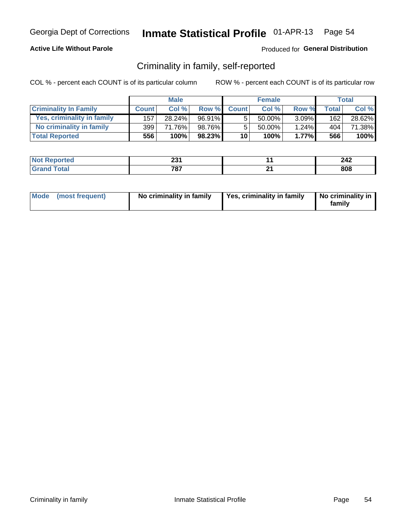## **Active Life Without Parole**

## Produced for General Distribution

## Criminality in family, self-reported

COL % - percent each COUNT is of its particular column

|                              |              | <b>Male</b> |        |                 | <b>Female</b> |          |       | Total  |
|------------------------------|--------------|-------------|--------|-----------------|---------------|----------|-------|--------|
| <b>Criminality In Family</b> | <b>Count</b> | Col%        | Row %  | <b>Count</b>    | Col %         | Row %    | Total | Col %  |
| Yes, criminality in family   | 157          | 28.24%      | 96.91% | 5               | $50.00\%$ ,   | $3.09\%$ | 162   | 28.62% |
| No criminality in family     | 399          | 71.76%      | 98.76% | 5               | 50.00%        | $1.24\%$ | 404   | 71.38% |
| <b>Total Reported</b>        | 556          | 100%        | 98.23% | 10 <sup>1</sup> | 100%          | 1.77%    | 566   | 100%   |

| keported<br>NO | nn 4<br>LJ I | 240<br>LTL |
|----------------|--------------|------------|
| <b>otal</b>    | 707<br>о.    | 808        |

|  | Mode (most frequent) | No criminality in family | Yes, criminality in family | No criminality in<br>family |
|--|----------------------|--------------------------|----------------------------|-----------------------------|
|--|----------------------|--------------------------|----------------------------|-----------------------------|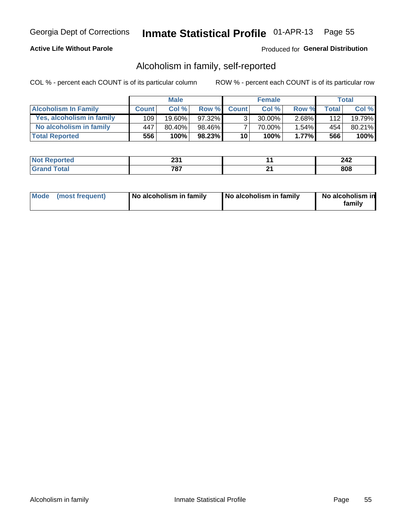## **Active Life Without Parole**

## Produced for General Distribution

## Alcoholism in family, self-reported

COL % - percent each COUNT is of its particular column

|                             |              | <b>Male</b> |           |              | <b>Female</b> |          |                    | Total  |
|-----------------------------|--------------|-------------|-----------|--------------|---------------|----------|--------------------|--------|
| <b>Alcoholism In Family</b> | <b>Count</b> | Col%        | Row %     | <b>Count</b> | Col%          | Row %    | Total <sub>I</sub> | Col %  |
| Yes, alcoholism in family   | 109          | $19.60\%$   | $97.32\%$ | $\mathbf{r}$ | $30.00\%$     | $2.68\%$ | 112                | 19.79% |
| No alcoholism in family     | 447          | 80.40%      | 98.46%    |              | 70.00%        | $1.54\%$ | 454                | 80.21% |
| <b>Total Reported</b>       | 556          | 100%        | 98.23%    | 10           | 100%          | $1.77\%$ | 566                | 100%   |

| المنتشر بالتعبير<br><b>ceported</b> | ົ<br>ZJ I  |           | <b>140</b>            |
|-------------------------------------|------------|-----------|-----------------------|
| <b>otal</b>                         | 707<br>יס. | . רי<br>_ | $\overline{0}$<br>ovo |

|  | Mode (most frequent) | No alcoholism in family | No alcoholism in family | No alcoholism in<br>family |
|--|----------------------|-------------------------|-------------------------|----------------------------|
|--|----------------------|-------------------------|-------------------------|----------------------------|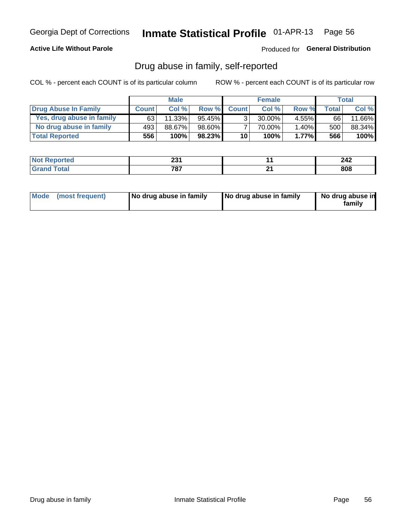## **Active Life Without Parole**

Produced for General Distribution

## Drug abuse in family, self-reported

COL % - percent each COUNT is of its particular column

|                           |              | <b>Male</b> |           |                 | <b>Female</b> |          |              | Total   |
|---------------------------|--------------|-------------|-----------|-----------------|---------------|----------|--------------|---------|
| Drug Abuse In Family      | <b>Count</b> | Col%        | Row %     | <b>Count</b>    | Col%          | Row %    | <b>Total</b> | Col %   |
| Yes, drug abuse in family | 63           | 11.33%      | 95.45% ∎  | 3 <sub>1</sub>  | $30.00\%$     | $4.55\%$ | 66           | 11.66%  |
| No drug abuse in family   | 493          | 88.67%      | 98.60%    |                 | 70.00%        | 1.40%    | 500          | 88.34%  |
| <b>Total Reported</b>     | 556          | 100%        | $98.23\%$ | 10 <sub>1</sub> | 100%          | $1.77\%$ | 566          | $100\%$ |

| المنتشر بالتعبير<br><b>ceported</b> | ົ<br>ZJ I  |           | <b>140</b>            |
|-------------------------------------|------------|-----------|-----------------------|
| <b>otal</b>                         | 707<br>יס. | . רי<br>_ | $\overline{0}$<br>ovo |

|  | Mode (most frequent) | No drug abuse in family | No drug abuse in family | No drug abuse in<br>familv |
|--|----------------------|-------------------------|-------------------------|----------------------------|
|--|----------------------|-------------------------|-------------------------|----------------------------|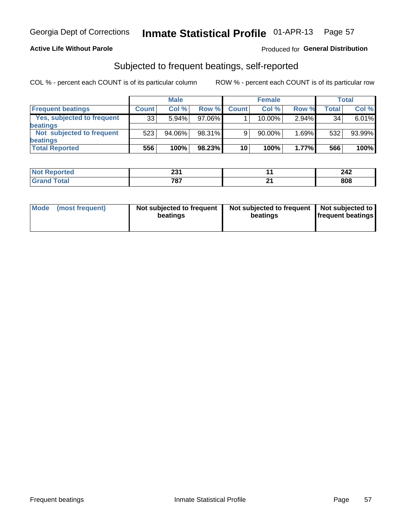## **Active Life Without Parole**

## Produced for General Distribution

## Subjected to frequent beatings, self-reported

COL % - percent each COUNT is of its particular column

|                                   |              | <b>Male</b> |           |              | <b>Female</b> |          |       | Total  |
|-----------------------------------|--------------|-------------|-----------|--------------|---------------|----------|-------|--------|
| <b>Frequent beatings</b>          | <b>Count</b> | Col %       | Row %     | <b>Count</b> | Col %         | Row %    | Total | Col %  |
| <b>Yes, subjected to frequent</b> | 33           | 5.94%       | 97.06%    |              | 10.00%        | $2.94\%$ | 34    | 6.01%  |
| <b>beatings</b>                   |              |             |           |              |               |          |       |        |
| Not subjected to frequent         | 523          | 94.06%      | 98.31%    | 9            | 90.00%        | 1.69%    | 532   | 93.99% |
| <b>beatings</b>                   |              |             |           |              |               |          |       |        |
| <b>Total Reported</b>             | 556          | 100%        | $98.23\%$ | 10           | 100%          | 1.77%    | 566   | 100%   |

| <b>Not Reported</b> | 0.24<br>ZJ I | 242 |
|---------------------|--------------|-----|
| Total               | 787          | 808 |

| Mode (most frequent) | Not subjected to frequent<br>beatings | Not subjected to frequent<br>beatings | Not subjected to<br><b>frequent beatings</b> |
|----------------------|---------------------------------------|---------------------------------------|----------------------------------------------|
|                      |                                       |                                       |                                              |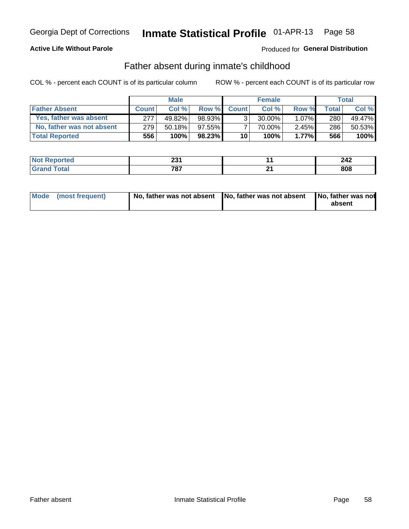## **Active Life Without Parole**

## Produced for General Distribution

## Father absent during inmate's childhood

COL % - percent each COUNT is of its particular column

|                           |              | <b>Male</b> |           |                | <b>Female</b> |          |              | <b>Total</b> |
|---------------------------|--------------|-------------|-----------|----------------|---------------|----------|--------------|--------------|
| <b>Father Absent</b>      | <b>Count</b> | Col%        | Row %     | <b>Count</b>   | Col%          | Row %    | <b>Total</b> | Col %        |
| Yes, father was absent    | 277          | 49.82%      | 98.93%    | 3 <sub>1</sub> | $30.00\%$     | $1.07\%$ | 280          | 49.47%       |
| No, father was not absent | 279          | 50.18%      | 97.55%    |                | 70.00%        | $2.45\%$ | 286          | 50.53%       |
| <b>Total Reported</b>     | 556          | $100\%$     | $98.23\%$ | 10             | 100%          | $1.77\%$ | 566          | 100%         |

| <b>Not Reported</b> | nn.<br>ZJ I | 212<br>444 |
|---------------------|-------------|------------|
| `otal<br>' Grano    | 707<br>о.   | 808        |

| Mode (most frequent) |  | No, father was not absent No, father was not absent No, father was not | absent |
|----------------------|--|------------------------------------------------------------------------|--------|
|----------------------|--|------------------------------------------------------------------------|--------|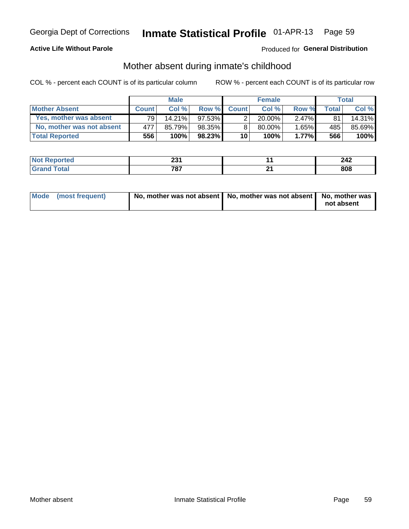## **Active Life Without Parole**

## **Produced for General Distribution**

## Mother absent during inmate's childhood

COL % - percent each COUNT is of its particular column

|                           |              | <b>Male</b> |        |              | <b>Female</b> |          |                | <b>Total</b> |
|---------------------------|--------------|-------------|--------|--------------|---------------|----------|----------------|--------------|
| <b>Mother Absent</b>      | <b>Count</b> | Col%        | Row %  | <b>Count</b> | Col%          | Row %    | <b>Total</b> I | Col %        |
| Yes, mother was absent    | 791          | 14.21%      | 97.53% | ◠            | $20.00\%$     | $2.47\%$ | 81             | 14.31%       |
| No, mother was not absent | 477          | 85.79%      | 98.35% | 8            | $80.00\%$     | $1.65\%$ | 485            | 85.69%       |
| <b>Total Reported</b>     | 556          | 100%        | 98.23% | 10           | 100%          | $1.77\%$ | 566            | 100%         |

| <b>Not Reported</b> | ິ<br>20 I | . <i>. .</i> |
|---------------------|-----------|--------------|
| "otal<br>Gran       | 707<br>v, | 808          |

| Mode (most frequent) | No, mother was not absent   No, mother was not absent   No, mother was | not absent |
|----------------------|------------------------------------------------------------------------|------------|
|                      |                                                                        |            |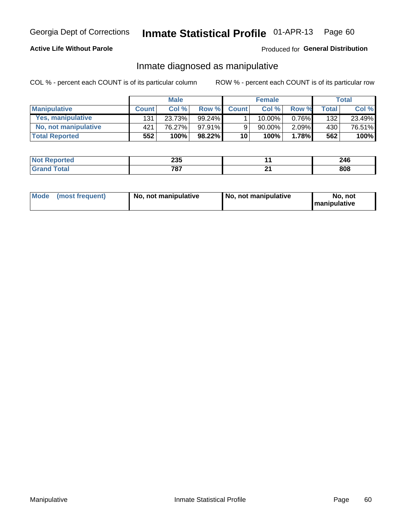## **Active Life Without Parole**

## Produced for General Distribution

## Inmate diagnosed as manipulative

COL % - percent each COUNT is of its particular column

|                          |              | <b>Male</b> |           |                 | <b>Female</b> |       |              | Total  |
|--------------------------|--------------|-------------|-----------|-----------------|---------------|-------|--------------|--------|
| <b>Manipulative</b>      | <b>Count</b> | Col %       | Row %     | <b>Count</b>    | Col %         | Row % | <b>Total</b> | Col %  |
| <b>Yes, manipulative</b> | 131          | 23.73%      | $99.24\%$ |                 | $10.00\%$ ,   | 0.76% | 132          | 23.49% |
| No, not manipulative     | 421          | 76.27%      | $97.91\%$ | 9               | 90.00%        | 2.09% | 430          | 76.51% |
| <b>Total Reported</b>    | 552          | 100%        | $98.22\%$ | 10 <sup>1</sup> | 100%          | 1.78% | 562          | 100%   |

| тето | 88 F<br>⊸∪∪<br>- - |    | 246 |
|------|--------------------|----|-----|
|      | 707                | п. | 808 |

|  | Mode (most frequent) | No, not manipulative | No, not manipulative | No. not<br><b>I</b> manipulative |
|--|----------------------|----------------------|----------------------|----------------------------------|
|--|----------------------|----------------------|----------------------|----------------------------------|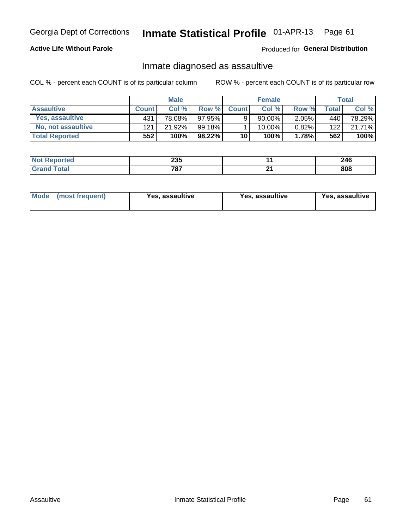#### Inmate Statistical Profile 01-APR-13 Page 61

## **Active Life Without Parole**

Produced for General Distribution

## Inmate diagnosed as assaultive

COL % - percent each COUNT is of its particular column

|                       |              | <b>Male</b> |           |              | <b>Female</b> |          |       | Total  |
|-----------------------|--------------|-------------|-----------|--------------|---------------|----------|-------|--------|
| <b>Assaultive</b>     | <b>Count</b> | Col%        | Row %     | <b>Count</b> | Col%          | Row %    | Total | Col %  |
| Yes, assaultive       | 431          | 78.08%      | $97.95\%$ | 9            | 90.00%        | $2.05\%$ | 440   | 78.29% |
| No, not assaultive    | 121          | 21.92%      | 99.18%    |              | $10.00\%$ .   | $0.82\%$ | 122   | 21.71% |
| <b>Total Reported</b> | 552          | 100%        | 98.22%    | 10           | 100%          | 1.78%    | 562   | 100%   |

| Reported    | <b>OOE</b> |    | つハド            |
|-------------|------------|----|----------------|
| <b>NO</b>   | ∠ວວ        |    | 47 V           |
| <b>otal</b> | 707        | ┅. | $\overline{0}$ |
|             | ιо.        |    | ουο            |

| Mode (most frequent)<br>Yes, assaultive | Yes, assaultive | <b>Yes, assaultive</b> |
|-----------------------------------------|-----------------|------------------------|
|-----------------------------------------|-----------------|------------------------|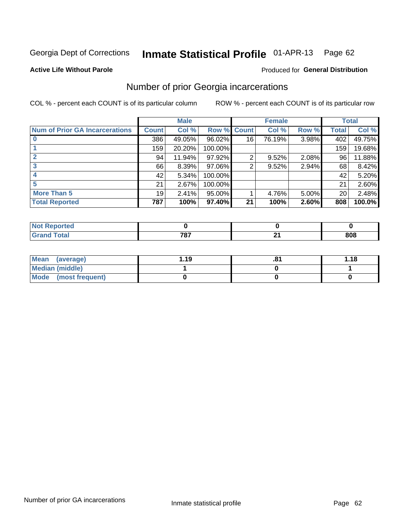#### Inmate Statistical Profile 01-APR-13 Page 62

### **Active Life Without Parole**

### Produced for General Distribution

## Number of prior Georgia incarcerations

COL % - percent each COUNT is of its particular column

|                                       |                 | <b>Male</b> |                    |    | <b>Female</b> | <b>Total</b> |       |        |
|---------------------------------------|-----------------|-------------|--------------------|----|---------------|--------------|-------|--------|
| <b>Num of Prior GA Incarcerations</b> | <b>Count</b>    | Col %       | <b>Row % Count</b> |    | Col %         | Row %        | Total | Col %  |
|                                       | 386             | 49.05%      | 96.02%             | 16 | 76.19%        | 3.98%        | 402   | 49.75% |
|                                       | 159             | 20.20%      | 100.00%            |    |               |              | 159   | 19.68% |
|                                       | 94              | 11.94%      | 97.92%             | 2  | 9.52%         | 2.08%        | 96    | 11.88% |
| 3                                     | 66              | 8.39%       | 97.06%             | 2  | 9.52%         | 2.94%        | 68    | 8.42%  |
|                                       | 42              | 5.34%       | 100.00%            |    |               |              | 42    | 5.20%  |
| 5                                     | 21              | 2.67%       | 100.00%            |    |               |              | 21    | 2.60%  |
| <b>More Than 5</b>                    | 19 <sup>1</sup> | 2.41%       | 95.00%             |    | 4.76%         | 5.00%        | 20    | 2.48%  |
| <b>Total Reported</b>                 | 787             | 100%        | 97.40%             | 21 | 100%          | 2.60%        | 808   | 100.0% |

| Reported<br>N. |     |    |     |
|----------------|-----|----|-----|
| <b>Total</b>   | 707 | л. | 808 |

| Mean (average)       | 1.19 | .о | 1.18 |
|----------------------|------|----|------|
| Median (middle)      |      |    |      |
| Mode (most frequent) |      |    |      |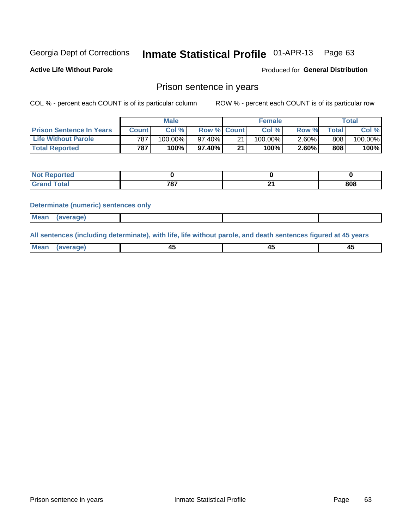#### Inmate Statistical Profile 01-APR-13 Page 63

**Active Life Without Parole** 

Produced for General Distribution

## Prison sentence in years

COL % - percent each COUNT is of its particular column

ROW % - percent each COUNT is of its particular row

|                                 | <b>Male</b>  |            |             | <b>Female</b> |            |          | Total       |         |
|---------------------------------|--------------|------------|-------------|---------------|------------|----------|-------------|---------|
| <b>Prison Sentence In Years</b> | <b>Count</b> | Col %      | Row % Count |               | Col%       | Row %    | $\tau$ otal | Col %   |
| <b>Life Without Parole</b>      | 787          | $100.00\%$ | 97.40%      | 21            | $100.00\%$ | 2.60%    | 808         | 100.00% |
| <b>Total Reported</b>           | 787          | 100%       | 97.40%      | 21            | 100%       | $2.60\%$ | 808         | 100%    |

| <b>Not Reported</b> |                     |     |
|---------------------|---------------------|-----|
| <b>Total</b>        | フロフ<br>$\mathbf{o}$ | 808 |

### **Determinate (numeric) sentences only**

| Mean | (average) |  |  |
|------|-----------|--|--|
|      |           |  |  |

All sentences (including determinate), with life, life without parole, and death sentences figured at 45 years

| Mea<br>ЯМА.<br>1119811 | _ |  |
|------------------------|---|--|
|                        |   |  |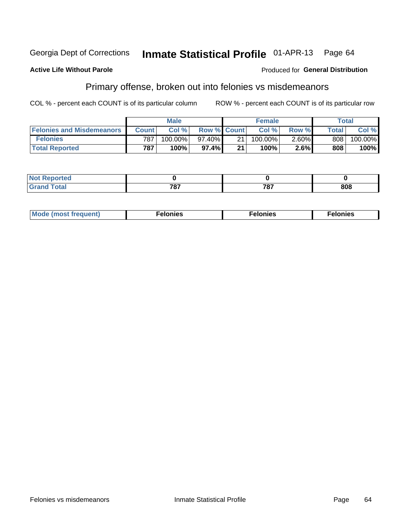### **Active Life Without Parole**

### Produced for General Distribution

## Primary offense, broken out into felonies vs misdemeanors

COL % - percent each COUNT is of its particular column

|                                  | <b>Male</b>  |           |                    | <b>Female</b> |         |          | Total        |         |
|----------------------------------|--------------|-----------|--------------------|---------------|---------|----------|--------------|---------|
| <b>Felonies and Misdemeanors</b> | <b>Count</b> | Col %     | <b>Row % Count</b> |               | Col%    | Row %    | <b>Total</b> | Col %   |
| <b>Felonies</b>                  | 787」         | 100.00%   | 97.40%             | 21            | 100.00% | $2.60\%$ | 808          | 100.00% |
| <b>Total Reported</b>            | 787          | $100\%$ . | 97.4%              | 21            | 100%    | 2.6%     | 808          | 100%    |

| <b>Not Reported</b>         |            |     |     |
|-----------------------------|------------|-----|-----|
| <b>Total</b><br>Gran<br>uuu | 707<br>. . | 707 | 808 |

| Mode (most frequent)<br>elonies | Felonies | Felonies |
|---------------------------------|----------|----------|
|---------------------------------|----------|----------|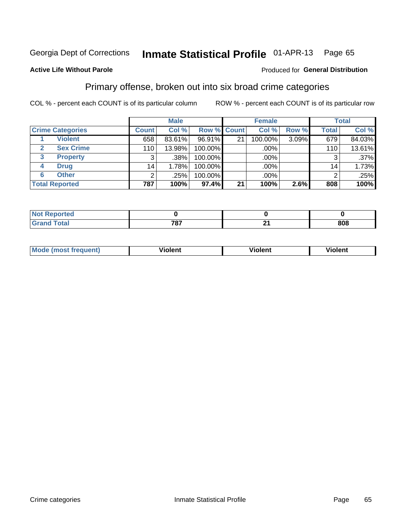#### Inmate Statistical Profile 01-APR-13 Page 65

## **Active Life Without Parole**

### Produced for General Distribution

## Primary offense, broken out into six broad crime categories

COL % - percent each COUNT is of its particular column

|                         | <b>Male</b>     |        |         | <b>Female</b> |         |       | <b>Total</b>    |        |
|-------------------------|-----------------|--------|---------|---------------|---------|-------|-----------------|--------|
| <b>Crime Categories</b> | <b>Count</b>    | Col %  |         | Row % Count   | Col %   | Row % | <b>Total</b>    | Col %  |
| <b>Violent</b>          | 658             | 83.61% | 96.91%  | 21            | 100.00% | 3.09% | 679             | 84.03% |
| <b>Sex Crime</b>        | 110             | 13.98% | 100.00% |               | .00%    |       | 110             | 13.61% |
| 3<br><b>Property</b>    | 3               | .38%   | 100.00% |               | .00%    |       |                 | .37%   |
| <b>Drug</b><br>4        | 14 <sub>1</sub> | 1.78%  | 100.00% |               | .00%    |       | 14 <sub>1</sub> | 1.73%  |
| <b>Other</b><br>6       | 2               | .25%   | 100.00% |               | .00%    |       | າ               | .25%   |
| <b>Total Reported</b>   | 787             | 100%   | 97.4%   | 21            | 100%    | 2.6%  | 808             | 100%   |

| <b>Not Reported</b> |            |     |
|---------------------|------------|-----|
| Total               | 707<br>ו ט | 808 |

| М | ,,, | - -- -<br>וחו | m |
|---|-----|---------------|---|
|   |     |               |   |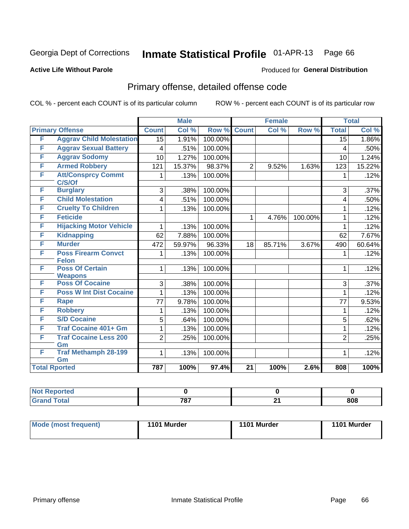#### Inmate Statistical Profile 01-APR-13 Page 66

### **Active Life Without Parole**

### Produced for General Distribution

# Primary offense, detailed offense code

COL % - percent each COUNT is of its particular column

|   |                                          |                 | <b>Male</b> |         |                 | <b>Female</b> |         | <b>Total</b>    |        |
|---|------------------------------------------|-----------------|-------------|---------|-----------------|---------------|---------|-----------------|--------|
|   | <b>Primary Offense</b>                   | <b>Count</b>    | Col %       | Row %   | <b>Count</b>    | Col %         | Row %   | <b>Total</b>    | Col %  |
| F | <b>Aggrav Child Molestation</b>          | $\overline{15}$ | 1.91%       | 100.00% |                 |               |         | $\overline{15}$ | 1.86%  |
| F | <b>Aggrav Sexual Battery</b>             | 4               | .51%        | 100.00% |                 |               |         | 4               | .50%   |
| F | <b>Aggrav Sodomy</b>                     | 10              | 1.27%       | 100.00% |                 |               |         | 10              | 1.24%  |
| F | <b>Armed Robbery</b>                     | 121             | 15.37%      | 98.37%  | $\overline{2}$  | 9.52%         | 1.63%   | 123             | 15.22% |
| F | <b>Att/Consprcy Commt</b><br>C/S/Of      | 1               | .13%        | 100.00% |                 |               |         |                 | .12%   |
| F | <b>Burglary</b>                          | 3               | .38%        | 100.00% |                 |               |         | 3               | .37%   |
| F | <b>Child Molestation</b>                 | 4               | .51%        | 100.00% |                 |               |         | 4               | .50%   |
| F | <b>Cruelty To Children</b>               | 1               | .13%        | 100.00% |                 |               |         | 1               | .12%   |
| F | <b>Feticide</b>                          |                 |             |         | 1               | 4.76%         | 100.00% | 1               | .12%   |
| F | <b>Hijacking Motor Vehicle</b>           | 1               | .13%        | 100.00% |                 |               |         | 1               | .12%   |
| F | <b>Kidnapping</b>                        | 62              | 7.88%       | 100.00% |                 |               |         | 62              | 7.67%  |
| F | <b>Murder</b>                            | 472             | 59.97%      | 96.33%  | 18              | 85.71%        | 3.67%   | 490             | 60.64% |
| F | <b>Poss Firearm Convct</b>               | 1               | .13%        | 100.00% |                 |               |         | 1               | .12%   |
|   | <b>Felon</b>                             |                 |             |         |                 |               |         |                 |        |
| F | <b>Poss Of Certain</b><br><b>Weapons</b> | 1               | .13%        | 100.00% |                 |               |         | $\mathbf 1$     | .12%   |
| F | <b>Poss Of Cocaine</b>                   | 3               | .38%        | 100.00% |                 |               |         | 3               | .37%   |
| F | <b>Poss W Int Dist Cocaine</b>           | 1               | .13%        | 100.00% |                 |               |         | 1               | .12%   |
| F | <b>Rape</b>                              | 77              | 9.78%       | 100.00% |                 |               |         | 77              | 9.53%  |
| F | <b>Robbery</b>                           | 1               | .13%        | 100.00% |                 |               |         | 1               | .12%   |
| F | <b>S/D Cocaine</b>                       | 5               | .64%        | 100.00% |                 |               |         | 5               | .62%   |
| F | <b>Traf Cocaine 401+ Gm</b>              | 1               | .13%        | 100.00% |                 |               |         | 1               | .12%   |
| F | <b>Traf Cocaine Less 200</b>             | $\overline{2}$  | .25%        | 100.00% |                 |               |         | $\overline{2}$  | .25%   |
| F | Gm<br><b>Traf Methamph 28-199</b>        | 1               | .13%        | 100.00% |                 |               |         | 1               | .12%   |
|   | Gm                                       |                 |             |         |                 |               |         |                 |        |
|   | <b>Total Rported</b>                     | 787             | 100%        | 97.4%   | $\overline{21}$ | 100%          | 2.6%    | 808             | 100%   |

| rted<br>w   |            |          |     |
|-------------|------------|----------|-----|
| <b>otal</b> | 707<br>، ت | ີ<br>- - | 808 |

| Mode (most frequent) | 1101 Murder | 1101 Murder | 1101 Murder |
|----------------------|-------------|-------------|-------------|
|                      |             |             |             |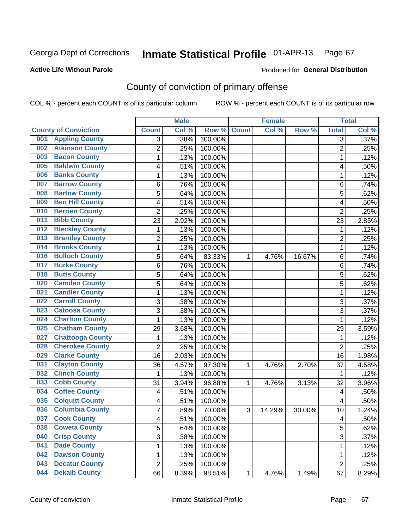Produced for **General Distribution**

## **Active Life Without Parole**

# County of conviction of primary offense

|                                |                | <b>Male</b> |         |              | <b>Female</b> |        |                | <b>Total</b> |
|--------------------------------|----------------|-------------|---------|--------------|---------------|--------|----------------|--------------|
| <b>County of Conviction</b>    | <b>Count</b>   | Col %       | Row %   | <b>Count</b> | Col %         | Row %  | <b>Total</b>   | Col %        |
| <b>Appling County</b><br>001   | 3              | .38%        | 100.00% |              |               |        | 3              | .37%         |
| <b>Atkinson County</b><br>002  | $\overline{2}$ | .25%        | 100.00% |              |               |        | $\overline{2}$ | .25%         |
| <b>Bacon County</b><br>003     | 1              | .13%        | 100.00% |              |               |        | 1              | .12%         |
| <b>Baldwin County</b><br>005   | 4              | .51%        | 100.00% |              |               |        | 4              | .50%         |
| <b>Banks County</b><br>006     | 1              | .13%        | 100.00% |              |               |        | $\mathbf{1}$   | .12%         |
| <b>Barrow County</b><br>007    | 6              | .76%        | 100.00% |              |               |        | 6              | .74%         |
| <b>Bartow County</b><br>008    | 5              | .64%        | 100.00% |              |               |        | 5              | .62%         |
| <b>Ben Hill County</b><br>009  | 4              | .51%        | 100.00% |              |               |        | 4              | .50%         |
| <b>Berrien County</b><br>010   | $\overline{2}$ | .25%        | 100.00% |              |               |        | $\overline{2}$ | .25%         |
| <b>Bibb County</b><br>011      | 23             | 2.92%       | 100.00% |              |               |        | 23             | 2.85%        |
| <b>Bleckley County</b><br>012  | 1              | .13%        | 100.00% |              |               |        | 1              | .12%         |
| <b>Brantley County</b><br>013  | $\overline{2}$ | .25%        | 100.00% |              |               |        | $\overline{2}$ | .25%         |
| <b>Brooks County</b><br>014    | 1              | .13%        | 100.00% |              |               |        | $\mathbf{1}$   | .12%         |
| <b>Bulloch County</b><br>016   | 5              | .64%        | 83.33%  | 1            | 4.76%         | 16.67% | 6              | .74%         |
| <b>Burke County</b><br>017     | 6              | .76%        | 100.00% |              |               |        | 6              | .74%         |
| <b>Butts County</b><br>018     | 5              | .64%        | 100.00% |              |               |        | 5              | .62%         |
| <b>Camden County</b><br>020    | 5              | .64%        | 100.00% |              |               |        | 5              | .62%         |
| <b>Candler County</b><br>021   | 1              | .13%        | 100.00% |              |               |        | $\mathbf{1}$   | .12%         |
| <b>Carroll County</b><br>022   | 3              | .38%        | 100.00% |              |               |        | 3              | .37%         |
| <b>Catoosa County</b><br>023   | 3              | .38%        | 100.00% |              |               |        | $\overline{3}$ | .37%         |
| <b>Charlton County</b><br>024  | 1              | .13%        | 100.00% |              |               |        | 1              | .12%         |
| <b>Chatham County</b><br>025   | 29             | 3.68%       | 100.00% |              |               |        | 29             | 3.59%        |
| <b>Chattooga County</b><br>027 | 1              | .13%        | 100.00% |              |               |        | 1              | .12%         |
| <b>Cherokee County</b><br>028  | $\overline{2}$ | .25%        | 100.00% |              |               |        | $\overline{2}$ | .25%         |
| <b>Clarke County</b><br>029    | 16             | 2.03%       | 100.00% |              |               |        | 16             | 1.98%        |
| <b>Clayton County</b><br>031   | 36             | 4.57%       | 97.30%  | 1            | 4.76%         | 2.70%  | 37             | 4.58%        |
| <b>Clinch County</b><br>032    | 1              | .13%        | 100.00% |              |               |        | 1              | .12%         |
| <b>Cobb County</b><br>033      | 31             | 3.94%       | 96.88%  | 1            | 4.76%         | 3.13%  | 32             | 3.96%        |
| <b>Coffee County</b><br>034    | 4              | .51%        | 100.00% |              |               |        | 4              | .50%         |
| <b>Colquitt County</b><br>035  | 4              | .51%        | 100.00% |              |               |        | 4              | .50%         |
| <b>Columbia County</b><br>036  | 7              | .89%        | 70.00%  | 3            | 14.29%        | 30.00% | 10             | 1.24%        |
| 037<br><b>Cook County</b>      | 4              | .51%        | 100.00% |              |               |        | 4              | .50%         |
| <b>Coweta County</b><br>038    | 5              | .64%        | 100.00% |              |               |        | 5              | .62%         |
| 040<br><b>Crisp County</b>     | 3              | .38%        | 100.00% |              |               |        | $\overline{3}$ | .37%         |
| <b>Dade County</b><br>041      | 1              | .13%        | 100.00% |              |               |        | $\mathbf{1}$   | .12%         |
| <b>Dawson County</b><br>042    | 1              | .13%        | 100.00% |              |               |        | 1              | .12%         |
| <b>Decatur County</b><br>043   | $\overline{2}$ | .25%        | 100.00% |              |               |        | $\overline{2}$ | .25%         |
| <b>Dekalb County</b><br>044    | 66             | 8.39%       | 98.51%  | 1            | 4.76%         | 1.49%  | 67             | 8.29%        |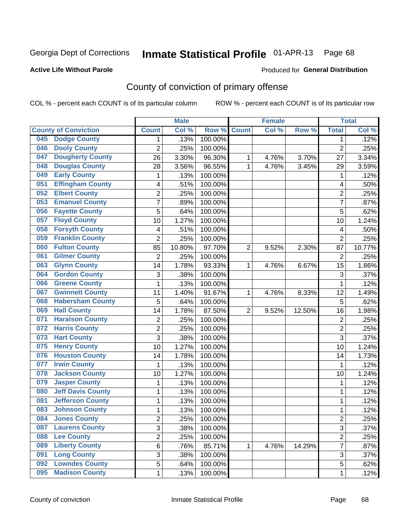## **Active Life Without Parole**

### Produced for **General Distribution**

# County of conviction of primary offense

|     |                             |                | <b>Male</b> |         |                | <b>Female</b> |        |                | <b>Total</b> |
|-----|-----------------------------|----------------|-------------|---------|----------------|---------------|--------|----------------|--------------|
|     | <b>County of Conviction</b> | <b>Count</b>   | Col %       | Row %   | <b>Count</b>   | Col %         | Row %  | <b>Total</b>   | Col %        |
| 045 | <b>Dodge County</b>         | 1              | .13%        | 100.00% |                |               |        | 1              | .12%         |
| 046 | <b>Dooly County</b>         | $\overline{2}$ | .25%        | 100.00% |                |               |        | $\overline{2}$ | .25%         |
| 047 | <b>Dougherty County</b>     | 26             | 3.30%       | 96.30%  | 1              | 4.76%         | 3.70%  | 27             | 3.34%        |
| 048 | <b>Douglas County</b>       | 28             | 3.56%       | 96.55%  | 1              | 4.76%         | 3.45%  | 29             | 3.59%        |
| 049 | <b>Early County</b>         | $\mathbf{1}$   | .13%        | 100.00% |                |               |        | $\mathbf{1}$   | .12%         |
| 051 | <b>Effingham County</b>     | 4              | .51%        | 100.00% |                |               |        | 4              | .50%         |
| 052 | <b>Elbert County</b>        | $\overline{c}$ | .25%        | 100.00% |                |               |        | $\overline{2}$ | .25%         |
| 053 | <b>Emanuel County</b>       | $\overline{7}$ | .89%        | 100.00% |                |               |        | $\overline{7}$ | .87%         |
| 056 | <b>Fayette County</b>       | 5              | .64%        | 100.00% |                |               |        | 5              | .62%         |
| 057 | <b>Floyd County</b>         | 10             | 1.27%       | 100.00% |                |               |        | 10             | 1.24%        |
| 058 | <b>Forsyth County</b>       | 4              | .51%        | 100.00% |                |               |        | 4              | .50%         |
| 059 | <b>Franklin County</b>      | $\overline{2}$ | .25%        | 100.00% |                |               |        | $\overline{2}$ | .25%         |
| 060 | <b>Fulton County</b>        | 85             | 10.80%      | 97.70%  | $\overline{2}$ | 9.52%         | 2.30%  | 87             | 10.77%       |
| 061 | <b>Gilmer County</b>        | $\overline{2}$ | .25%        | 100.00% |                |               |        | $\overline{2}$ | .25%         |
| 063 | <b>Glynn County</b>         | 14             | 1.78%       | 93.33%  | 1              | 4.76%         | 6.67%  | 15             | 1.86%        |
| 064 | <b>Gordon County</b>        | 3              | .38%        | 100.00% |                |               |        | 3              | .37%         |
| 066 | <b>Greene County</b>        | 1              | .13%        | 100.00% |                |               |        | $\mathbf{1}$   | .12%         |
| 067 | <b>Gwinnett County</b>      | 11             | 1.40%       | 91.67%  | 1              | 4.76%         | 8.33%  | 12             | 1.49%        |
| 068 | <b>Habersham County</b>     | 5              | .64%        | 100.00% |                |               |        | 5              | .62%         |
| 069 | <b>Hall County</b>          | 14             | 1.78%       | 87.50%  | $\overline{2}$ | 9.52%         | 12.50% | 16             | 1.98%        |
| 071 | <b>Haralson County</b>      | $\overline{c}$ | .25%        | 100.00% |                |               |        | $\overline{2}$ | .25%         |
| 072 | <b>Harris County</b>        | $\overline{2}$ | .25%        | 100.00% |                |               |        | $\overline{2}$ | .25%         |
| 073 | <b>Hart County</b>          | 3              | .38%        | 100.00% |                |               |        | 3              | .37%         |
| 075 | <b>Henry County</b>         | 10             | 1.27%       | 100.00% |                |               |        | 10             | 1.24%        |
| 076 | <b>Houston County</b>       | 14             | 1.78%       | 100.00% |                |               |        | 14             | 1.73%        |
| 077 | <b>Irwin County</b>         | $\mathbf{1}$   | .13%        | 100.00% |                |               |        | $\mathbf{1}$   | .12%         |
| 078 | <b>Jackson County</b>       | 10             | 1.27%       | 100.00% |                |               |        | 10             | 1.24%        |
| 079 | <b>Jasper County</b>        | 1              | .13%        | 100.00% |                |               |        | 1              | .12%         |
| 080 | <b>Jeff Davis County</b>    | 1              | .13%        | 100.00% |                |               |        | 1              | .12%         |
| 081 | <b>Jefferson County</b>     | 1              | .13%        | 100.00% |                |               |        | 1              | .12%         |
| 083 | <b>Johnson County</b>       | $\mathbf{1}$   | .13%        | 100.00% |                |               |        | 1              | .12%         |
| 084 | <b>Jones County</b>         | 2              | .25%        | 100.00% |                |               |        | 2              | .25%         |
| 087 | <b>Laurens County</b>       | 3              | .38%        | 100.00% |                |               |        | $\overline{3}$ | .37%         |
| 088 | <b>Lee County</b>           | $\overline{2}$ | .25%        | 100.00% |                |               |        | $\overline{2}$ | .25%         |
| 089 | <b>Liberty County</b>       | 6              | .76%        | 85.71%  | 1              | 4.76%         | 14.29% | $\overline{7}$ | .87%         |
| 091 | <b>Long County</b>          | 3              | .38%        | 100.00% |                |               |        | 3              | .37%         |
| 092 | <b>Lowndes County</b>       | 5              | .64%        | 100.00% |                |               |        | 5              | .62%         |
| 095 | <b>Madison County</b>       | 1              | .13%        | 100.00% |                |               |        | $\mathbf 1$    | .12%         |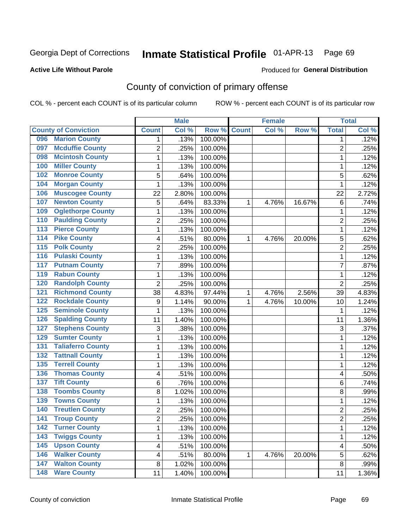## **Active Life Without Parole**

### Produced for **General Distribution**

# County of conviction of primary offense

|                                            |                         | <b>Male</b> |         |              | <b>Female</b> |        |                | <b>Total</b> |
|--------------------------------------------|-------------------------|-------------|---------|--------------|---------------|--------|----------------|--------------|
| <b>County of Conviction</b>                | <b>Count</b>            | Col %       | Row %   | <b>Count</b> | Col %         | Row %  | <b>Total</b>   | Col %        |
| <b>Marion County</b><br>096                | 1                       | .13%        | 100.00% |              |               |        | 1              | .12%         |
| <b>Mcduffie County</b><br>097              | $\overline{2}$          | .25%        | 100.00% |              |               |        | $\overline{2}$ | .25%         |
| <b>Mcintosh County</b><br>098              | 1                       | .13%        | 100.00% |              |               |        | $\mathbf 1$    | .12%         |
| <b>Miller County</b><br>100                | 1                       | .13%        | 100.00% |              |               |        | 1              | .12%         |
| <b>Monroe County</b><br>102                | 5                       | .64%        | 100.00% |              |               |        | 5              | .62%         |
| <b>Morgan County</b><br>104                | 1                       | .13%        | 100.00% |              |               |        | 1              | .12%         |
| <b>Muscogee County</b><br>106              | 22                      | 2.80%       | 100.00% |              |               |        | 22             | 2.72%        |
| <b>Newton County</b><br>107                | 5                       | .64%        | 83.33%  | 1            | 4.76%         | 16.67% | 6              | .74%         |
| <b>Oglethorpe County</b><br>109            | 1                       | .13%        | 100.00% |              |               |        | 1              | .12%         |
| <b>Paulding County</b><br>110              | $\overline{c}$          | .25%        | 100.00% |              |               |        | $\overline{2}$ | .25%         |
| <b>Pierce County</b><br>$\overline{113}$   | 1                       | .13%        | 100.00% |              |               |        | $\mathbf 1$    | .12%         |
| <b>Pike County</b><br>114                  | 4                       | .51%        | 80.00%  | 1            | 4.76%         | 20.00% | 5              | .62%         |
| <b>Polk County</b><br>115                  | 2                       | .25%        | 100.00% |              |               |        | $\overline{2}$ | .25%         |
| <b>Pulaski County</b><br>116               | 1                       | .13%        | 100.00% |              |               |        | $\mathbf 1$    | .12%         |
| <b>Putnam County</b><br>117                | $\overline{7}$          | .89%        | 100.00% |              |               |        | $\overline{7}$ | .87%         |
| <b>Rabun County</b><br>119                 | 1                       | .13%        | 100.00% |              |               |        | $\mathbf 1$    | .12%         |
| <b>Randolph County</b><br>120              | $\overline{2}$          | .25%        | 100.00% |              |               |        | $\overline{2}$ | .25%         |
| <b>Richmond County</b><br>$\overline{121}$ | 38                      | 4.83%       | 97.44%  | 1            | 4.76%         | 2.56%  | 39             | 4.83%        |
| <b>Rockdale County</b><br>122              | $\boldsymbol{9}$        | 1.14%       | 90.00%  | 1            | 4.76%         | 10.00% | 10             | 1.24%        |
| <b>Seminole County</b><br>125              | 1                       | .13%        | 100.00% |              |               |        | 1              | .12%         |
| <b>Spalding County</b><br>126              | 11                      | 1.40%       | 100.00% |              |               |        | 11             | 1.36%        |
| <b>Stephens County</b><br>127              | 3                       | .38%        | 100.00% |              |               |        | 3              | .37%         |
| <b>Sumter County</b><br>129                | 1                       | .13%        | 100.00% |              |               |        | 1              | .12%         |
| <b>Taliaferro County</b><br>131            | 1                       | .13%        | 100.00% |              |               |        | 1              | .12%         |
| <b>Tattnall County</b><br>132              | 1                       | .13%        | 100.00% |              |               |        | 1              | .12%         |
| <b>Terrell County</b><br>135               | 1                       | .13%        | 100.00% |              |               |        | 1              | .12%         |
| <b>Thomas County</b><br>136                | 4                       | .51%        | 100.00% |              |               |        | 4              | .50%         |
| <b>Tift County</b><br>137                  | 6                       | .76%        | 100.00% |              |               |        | 6              | .74%         |
| <b>Toombs County</b><br>138                | 8                       | 1.02%       | 100.00% |              |               |        | 8              | .99%         |
| <b>Towns County</b><br>139                 | 1                       | .13%        | 100.00% |              |               |        | $\mathbf 1$    | .12%         |
| <b>Treutlen County</b><br>140              | $\overline{2}$          | .25%        | 100.00% |              |               |        | $\overline{2}$ | .25%         |
| 141<br><b>Troup County</b>                 | 2                       | .25%        | 100.00% |              |               |        | $\overline{c}$ | .25%         |
| <b>Turner County</b><br>142                | 1                       | .13%        | 100.00% |              |               |        | $\mathbf{1}$   | .12%         |
| <b>Twiggs County</b><br>$\overline{143}$   | 1                       | .13%        | 100.00% |              |               |        | $\mathbf{1}$   | .12%         |
| <b>Upson County</b><br>145                 | $\overline{\mathbf{4}}$ | .51%        | 100.00% |              |               |        | 4              | .50%         |
| <b>Walker County</b><br>146                | 4                       | .51%        | 80.00%  | 1            | 4.76%         | 20.00% | 5              | .62%         |
| <b>Walton County</b><br>147                | $\bf 8$                 | 1.02%       | 100.00% |              |               |        | 8              | .99%         |
| <b>Ware County</b><br>$\overline{148}$     | 11                      | 1.40%       | 100.00% |              |               |        | 11             | 1.36%        |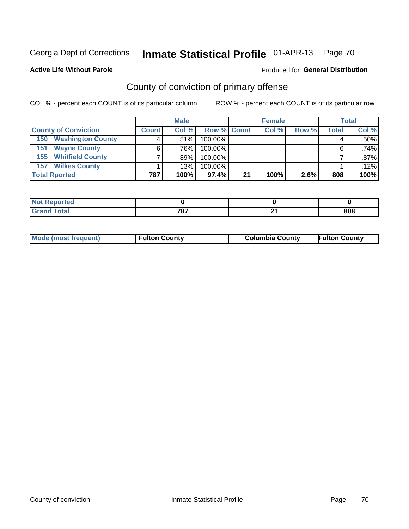### **Active Life Without Parole**

### Produced for **General Distribution**

# County of conviction of primary offense

|                                 | <b>Male</b><br><b>Female</b> |         |                    |    | <b>Total</b> |       |       |         |
|---------------------------------|------------------------------|---------|--------------------|----|--------------|-------|-------|---------|
| <b>County of Conviction</b>     | <b>Count</b>                 | Col%    | <b>Row % Count</b> |    | Col %        | Row % | Total | Col %   |
| <b>Washington County</b><br>150 |                              | $.51\%$ | 100.00%            |    |              |       |       | $.50\%$ |
| <b>Wayne County</b><br>151      |                              | .76%    | 100.00%            |    |              |       | 6     | .74%    |
| <b>155 Whitfield County</b>     |                              | .89%    | 100.00%            |    |              |       |       | $.87\%$ |
| <b>Wilkes County</b><br>157     |                              | $.13\%$ | 100.00%            |    |              |       |       | .12%    |
| <b>Total Rported</b>            | 787                          | 100%    | 97.4%              | 21 | 100%         | 2.6%  | 808   | 100%    |

| w<br>$\bullet$ in the following |                   |         |     |
|---------------------------------|-------------------|---------|-----|
| ota.<br>-                       | 707<br>10.<br>___ | м.<br>_ | 808 |

|  | <b>Mode (most frequent)</b> | <b>Fulton County</b> | <b>Columbia County</b> | <b>Fulton County</b> |
|--|-----------------------------|----------------------|------------------------|----------------------|
|--|-----------------------------|----------------------|------------------------|----------------------|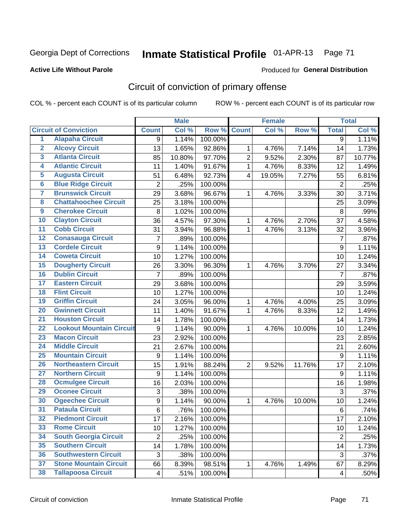## **Active Life Without Parole**

### Produced for **General Distribution**

# Circuit of conviction of primary offense

|                         |                                 |                  | <b>Male</b> |         |                | <b>Female</b> |        |                          | <b>Total</b> |
|-------------------------|---------------------------------|------------------|-------------|---------|----------------|---------------|--------|--------------------------|--------------|
|                         | <b>Circuit of Conviction</b>    | <b>Count</b>     | Col %       | Row %   | <b>Count</b>   | Col %         | Row %  | <b>Total</b>             | Col %        |
| 1                       | <b>Alapaha Circuit</b>          | 9                | 1.14%       | 100.00% |                |               |        | 9                        | 1.11%        |
| $\overline{2}$          | <b>Alcovy Circuit</b>           | 13               | 1.65%       | 92.86%  | 1              | 4.76%         | 7.14%  | 14                       | 1.73%        |
| $\overline{\mathbf{3}}$ | <b>Atlanta Circuit</b>          | 85               | 10.80%      | 97.70%  | $\overline{2}$ | 9.52%         | 2.30%  | 87                       | 10.77%       |
| 4                       | <b>Atlantic Circuit</b>         | 11               | 1.40%       | 91.67%  | $\mathbf{1}$   | 4.76%         | 8.33%  | 12                       | 1.49%        |
| $\overline{5}$          | <b>Augusta Circuit</b>          | 51               | 6.48%       | 92.73%  | 4              | 19.05%        | 7.27%  | 55                       | 6.81%        |
| $6\overline{6}$         | <b>Blue Ridge Circuit</b>       | $\overline{2}$   | .25%        | 100.00% |                |               |        | $\overline{2}$           | .25%         |
| 7                       | <b>Brunswick Circuit</b>        | 29               | 3.68%       | 96.67%  | 1              | 4.76%         | 3.33%  | 30                       | 3.71%        |
| 8                       | <b>Chattahoochee Circuit</b>    | 25               | 3.18%       | 100.00% |                |               |        | 25                       | 3.09%        |
| $\overline{9}$          | <b>Cherokee Circuit</b>         | 8                | 1.02%       | 100.00% |                |               |        | 8                        | .99%         |
| 10                      | <b>Clayton Circuit</b>          | 36               | 4.57%       | 97.30%  | 1              | 4.76%         | 2.70%  | 37                       | 4.58%        |
| $\overline{11}$         | <b>Cobb Circuit</b>             | 31               | 3.94%       | 96.88%  | $\mathbf{1}$   | 4.76%         | 3.13%  | 32                       | 3.96%        |
| $\overline{12}$         | <b>Conasauga Circuit</b>        | $\overline{7}$   | .89%        | 100.00% |                |               |        | $\overline{7}$           | .87%         |
| $\overline{13}$         | <b>Cordele Circuit</b>          | 9                | 1.14%       | 100.00% |                |               |        | 9                        | 1.11%        |
| $\overline{14}$         | <b>Coweta Circuit</b>           | 10               | 1.27%       | 100.00% |                |               |        | 10                       | 1.24%        |
| $\overline{15}$         | <b>Dougherty Circuit</b>        | 26               | 3.30%       | 96.30%  | 1              | 4.76%         | 3.70%  | 27                       | 3.34%        |
| 16                      | <b>Dublin Circuit</b>           | $\overline{7}$   | .89%        | 100.00% |                |               |        | $\overline{7}$           | .87%         |
| $\overline{17}$         | <b>Eastern Circuit</b>          | 29               | 3.68%       | 100.00% |                |               |        | 29                       | 3.59%        |
| 18                      | <b>Flint Circuit</b>            | 10               | 1.27%       | 100.00% |                |               |        | 10                       | 1.24%        |
| 19                      | <b>Griffin Circuit</b>          | 24               | 3.05%       | 96.00%  | 1              | 4.76%         | 4.00%  | 25                       | 3.09%        |
| 20                      | <b>Gwinnett Circuit</b>         | 11               | 1.40%       | 91.67%  | 1              | 4.76%         | 8.33%  | 12                       | 1.49%        |
| $\overline{21}$         | <b>Houston Circuit</b>          | 14               | 1.78%       | 100.00% |                |               |        | 14                       | 1.73%        |
| $\overline{22}$         | <b>Lookout Mountain Circuit</b> | $\boldsymbol{9}$ | 1.14%       | 90.00%  | $\mathbf{1}$   | 4.76%         | 10.00% | 10                       | 1.24%        |
| 23                      | <b>Macon Circuit</b>            | 23               | 2.92%       | 100.00% |                |               |        | 23                       | 2.85%        |
| $\overline{24}$         | <b>Middle Circuit</b>           | 21               | 2.67%       | 100.00% |                |               |        | 21                       | 2.60%        |
| $\overline{25}$         | <b>Mountain Circuit</b>         | 9                | 1.14%       | 100.00% |                |               |        | 9                        | 1.11%        |
| 26                      | <b>Northeastern Circuit</b>     | 15               | 1.91%       | 88.24%  | $\overline{2}$ | 9.52%         | 11.76% | 17                       | 2.10%        |
| $\overline{27}$         | <b>Northern Circuit</b>         | 9                | 1.14%       | 100.00% |                |               |        | 9                        | 1.11%        |
| 28                      | <b>Ocmulgee Circuit</b>         | 16               | 2.03%       | 100.00% |                |               |        | 16                       | 1.98%        |
| 29                      | <b>Oconee Circuit</b>           | 3                | .38%        | 100.00% |                |               |        | $\mathfrak{S}$           | .37%         |
| 30                      | <b>Ogeechee Circuit</b>         | 9                | 1.14%       | 90.00%  | 1              | 4.76%         | 10.00% | 10                       | 1.24%        |
| $\overline{31}$         | <b>Pataula Circuit</b>          | 6                | .76%        | 100.00% |                |               |        | $\,6$                    | .74%         |
| 32                      | <b>Piedmont Circuit</b>         | 17               | 2.16%       | 100.00% |                |               |        | 17                       | 2.10%        |
| 33                      | <b>Rome Circuit</b>             | 10               | 1.27%       | 100.00% |                |               |        | 10                       | 1.24%        |
| 34                      | <b>South Georgia Circuit</b>    | $\mathbf 2$      | .25%        | 100.00% |                |               |        | $\overline{2}$           | .25%         |
| 35                      | <b>Southern Circuit</b>         | 14               | 1.78%       | 100.00% |                |               |        | 14                       | 1.73%        |
| 36                      | <b>Southwestern Circuit</b>     | 3                | .38%        | 100.00% |                |               |        | 3                        | .37%         |
| 37                      | <b>Stone Mountain Circuit</b>   | 66               | 8.39%       | 98.51%  | 1              | 4.76%         | 1.49%  | 67                       | 8.29%        |
| 38                      | <b>Tallapoosa Circuit</b>       | 4                | .51%        | 100.00% |                |               |        | $\overline{\mathcal{A}}$ | .50%         |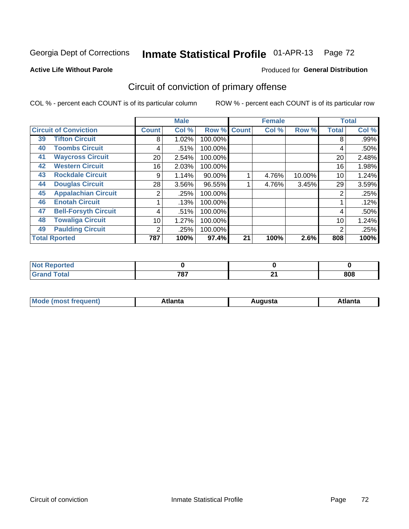### **Active Life Without Parole**

### Produced for **General Distribution**

# Circuit of conviction of primary offense

|    |                              |                 | <b>Male</b> |         |              | <b>Female</b> |        |              | <b>Total</b> |
|----|------------------------------|-----------------|-------------|---------|--------------|---------------|--------|--------------|--------------|
|    | <b>Circuit of Conviction</b> | <b>Count</b>    | Col %       | Row %   | <b>Count</b> | Col %         | Row %  | <b>Total</b> | Col %        |
| 39 | <b>Tifton Circuit</b>        | 8               | 1.02%       | 100.00% |              |               |        | 8            | $.99\%$      |
| 40 | <b>Toombs Circuit</b>        | 4               | .51%        | 100.00% |              |               |        | 4            | .50%         |
| 41 | <b>Waycross Circuit</b>      | 20 <sub>1</sub> | 2.54%       | 100.00% |              |               |        | 20           | 2.48%        |
| 42 | <b>Western Circuit</b>       | 16              | 2.03%       | 100.00% |              |               |        | 16           | 1.98%        |
| 43 | <b>Rockdale Circuit</b>      | 9               | 1.14%       | 90.00%  |              | 4.76%         | 10.00% | 10           | 1.24%        |
| 44 | <b>Douglas Circuit</b>       | 28              | 3.56%       | 96.55%  |              | 4.76%         | 3.45%  | 29           | 3.59%        |
| 45 | <b>Appalachian Circuit</b>   | 2               | .25%        | 100.00% |              |               |        | 2            | .25%         |
| 46 | <b>Enotah Circuit</b>        |                 | .13%        | 100.00% |              |               |        |              | .12%         |
| 47 | <b>Bell-Forsyth Circuit</b>  | 4               | .51%        | 100.00% |              |               |        | 4            | .50%         |
| 48 | <b>Towaliga Circuit</b>      | 10              | 1.27%       | 100.00% |              |               |        | 10           | 1.24%        |
| 49 | <b>Paulding Circuit</b>      | $\overline{2}$  | .25%        | 100.00% |              |               |        | 2            | .25%         |
|    | <b>Total Rported</b>         | 787             | 100%        | 97.4%   | 21           | 100%          | 2.6%   | 808          | 100%         |

| orted<br>N   |              |               |     |
|--------------|--------------|---------------|-----|
| <b>Total</b> | 707<br>. o i | $\sim$<br>- 1 | 808 |

| М<br>. In n tr<br>.<br>.<br>wanta<br>Πū<br>31.<br>$\sim$ $\sim$ $\sim$ |
|------------------------------------------------------------------------|
|------------------------------------------------------------------------|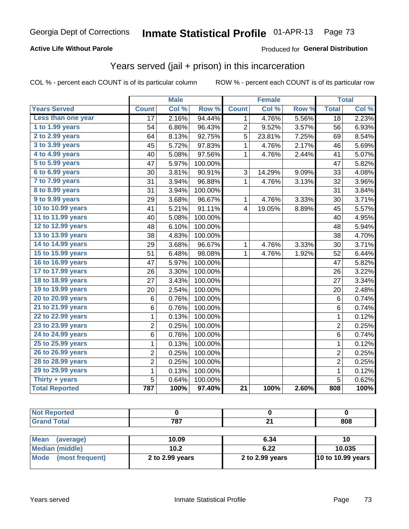### **Active Life Without Parole**

#### Produced for **General Distribution**

## Years served (jail + prison) in this incarceration

|                       | <b>Male</b>     |       | <b>Female</b> |                 |        | <b>Total</b> |                         |       |
|-----------------------|-----------------|-------|---------------|-----------------|--------|--------------|-------------------------|-------|
| <b>Years Served</b>   | <b>Count</b>    | Col % | Row %         | <b>Count</b>    | Col %  | Row %        | <b>Total</b>            | Col % |
| Less than one year    | $\overline{17}$ | 2.16% | 94.44%        | $\mathbf{1}$    | 4.76%  | 5.56%        | $\overline{18}$         | 2.23% |
| 1 to 1.99 years       | 54              | 6.86% | 96.43%        | 2               | 9.52%  | 3.57%        | 56                      | 6.93% |
| 2 to 2.99 years       | 64              | 8.13% | 92.75%        | 5               | 23.81% | 7.25%        | 69                      | 8.54% |
| 3 to 3.99 years       | 45              | 5.72% | 97.83%        | 1               | 4.76%  | 2.17%        | 46                      | 5.69% |
| 4 to 4.99 years       | 40              | 5.08% | 97.56%        | $\mathbf{1}$    | 4.76%  | 2.44%        | 41                      | 5.07% |
| 5 to 5.99 years       | 47              | 5.97% | 100.00%       |                 |        |              | 47                      | 5.82% |
| 6 to 6.99 years       | 30              | 3.81% | 90.91%        | 3               | 14.29% | 9.09%        | 33                      | 4.08% |
| 7 to 7.99 years       | 31              | 3.94% | 96.88%        | $\mathbf{1}$    | 4.76%  | 3.13%        | 32                      | 3.96% |
| 8 to 8.99 years       | 31              | 3.94% | 100.00%       |                 |        |              | 31                      | 3.84% |
| 9 to 9.99 years       | 29              | 3.68% | 96.67%        | 1               | 4.76%  | 3.33%        | 30                      | 3.71% |
| 10 to 10.99 years     | 41              | 5.21% | 91.11%        | $\overline{4}$  | 19.05% | 8.89%        | 45                      | 5.57% |
| 11 to 11.99 years     | 40              | 5.08% | 100.00%       |                 |        |              | 40                      | 4.95% |
| 12 to 12.99 years     | 48              | 6.10% | 100.00%       |                 |        |              | 48                      | 5.94% |
| 13 to 13.99 years     | 38              | 4.83% | 100.00%       |                 |        |              | 38                      | 4.70% |
| 14 to 14.99 years     | 29              | 3.68% | 96.67%        | 1               | 4.76%  | 3.33%        | 30                      | 3.71% |
| 15 to 15.99 years     | 51              | 6.48% | 98.08%        | $\mathbf{1}$    | 4.76%  | 1.92%        | 52                      | 6.44% |
| 16 to 16.99 years     | 47              | 5.97% | 100.00%       |                 |        |              | 47                      | 5.82% |
| 17 to 17.99 years     | 26              | 3.30% | 100.00%       |                 |        |              | 26                      | 3.22% |
| 18 to 18.99 years     | 27              | 3.43% | 100.00%       |                 |        |              | 27                      | 3.34% |
| 19 to 19.99 years     | 20              | 2.54% | 100.00%       |                 |        |              | 20                      | 2.48% |
| 20 to 20.99 years     | 6               | 0.76% | 100.00%       |                 |        |              | 6                       | 0.74% |
| 21 to 21.99 years     | 6               | 0.76% | 100.00%       |                 |        |              | 6                       | 0.74% |
| 22 to 22.99 years     | 1               | 0.13% | 100.00%       |                 |        |              | $\mathbf{1}$            | 0.12% |
| 23 to 23.99 years     | $\overline{c}$  | 0.25% | 100.00%       |                 |        |              | $\overline{c}$          | 0.25% |
| 24 to 24.99 years     | $\,6$           | 0.76% | 100.00%       |                 |        |              | 6                       | 0.74% |
| 25 to 25.99 years     | $\mathbf{1}$    | 0.13% | 100.00%       |                 |        |              | $\mathbf{1}$            | 0.12% |
| 26 to 26.99 years     | 2               | 0.25% | 100.00%       |                 |        |              | $\overline{\mathbf{c}}$ | 0.25% |
| 28 to 28.99 years     | $\overline{2}$  | 0.25% | 100.00%       |                 |        |              | $\overline{c}$          | 0.25% |
| 29 to 29.99 years     | $\mathbf 1$     | 0.13% | 100.00%       |                 |        |              | $\mathbf 1$             | 0.12% |
| Thirty + years        | 5               | 0.64% | 100.00%       |                 |        |              | 5                       | 0.62% |
| <b>Total Reported</b> | 787             | 100%  | 97.40%        | $\overline{21}$ | 100%   | 2.60%        | 808                     | 100%  |

| <b>Not Reported</b>      |                 |                 |                   |
|--------------------------|-----------------|-----------------|-------------------|
| <b>Grand Total</b>       | 787             | 21              | 808               |
|                          |                 |                 |                   |
| <b>Mean</b><br>(average) | 10.09           | 6.34            | 10                |
| Median (middle)          | 10.2            | 6.22            | 10.035            |
| Mode<br>(most frequent)  | 2 to 2.99 years | 2 to 2.99 years | 10 to 10.99 years |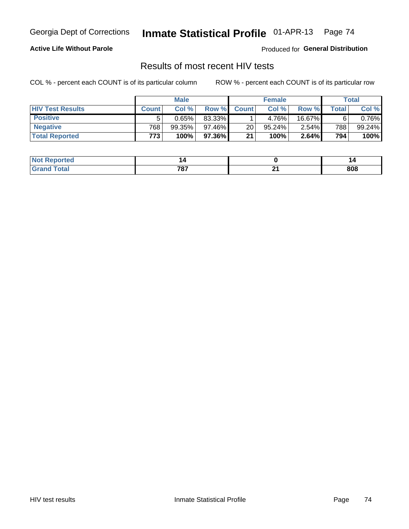#### **Active Life Without Parole**

Produced for **General Distribution**

## Results of most recent HIV tests

|                         | <b>Male</b>      |        |                 | <b>Female</b> |        |          | Total |           |
|-------------------------|------------------|--------|-----------------|---------------|--------|----------|-------|-----------|
| <b>HIV Test Results</b> | <b>Count</b>     | Col %  | Row %I          | <b>Count</b>  | Col %  | Row %    | Total | Col %     |
| <b>Positive</b>         | 5                | 0.65%  | 83.33%          |               | 4.76%  | 16.67%   | 6     | $0.76\%$  |
| <b>Negative</b>         | 768              | 99.35% | $97.46\%$       | 20            | 95.24% | $2.54\%$ | 788   | $99.24\%$ |
| <b>Total Reported</b>   | 773 <sub>1</sub> | 100%   | 97.36% <b>I</b> | 21            | 100%   | 2.64%    | 794   | 100%      |

| ported<br><b>NOT</b>      |              |     |
|---------------------------|--------------|-----|
| $int^{\bullet}$<br>$\sim$ | ラウラ<br>1 O I | 808 |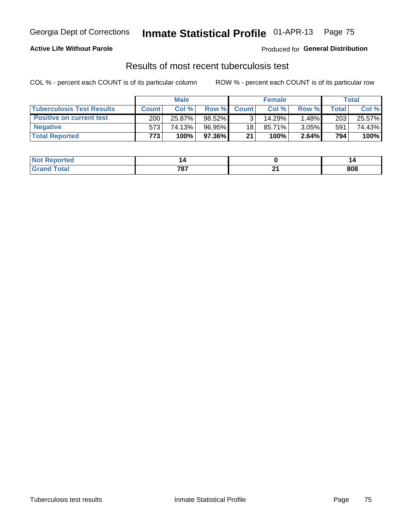### **Active Life Without Parole**

Produced for **General Distribution**

## Results of most recent tuberculosis test

|                                  | <b>Male</b>      |        |         | <b>Female</b>   |        |          | Total |        |
|----------------------------------|------------------|--------|---------|-----------------|--------|----------|-------|--------|
| <b>Tuberculosis Test Results</b> | <b>Count</b>     | Col%   | Row %I  | <b>Count</b>    | Col%   | Row %    | Total | Col %  |
| <b>Positive on current test</b>  | 200              | 25.87% | 98.52%  |                 | 14.29% | 1.48%∎   | 203   | 25.57% |
| <b>Negative</b>                  | 573'             | 74.13% | 96.95%I | 18 <sub>1</sub> | 85.71% | $3.05\%$ | 591   | 74.43% |
| <b>Total Reported</b>            | 773 <sub>1</sub> | 100%   | 97.36%I | 21              | 100%   | 2.64%    | 794   | 100%   |

| ported<br><b>NOT</b>      |              |     |
|---------------------------|--------------|-----|
| $int^{\bullet}$<br>$\sim$ | ラウラ<br>1 O I | 808 |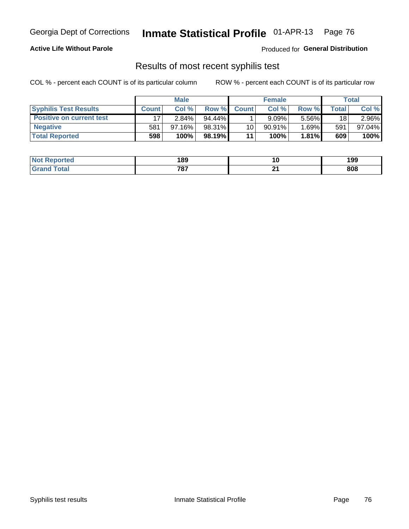### **Active Life Without Parole**

Produced for **General Distribution**

## Results of most recent syphilis test

|                                 | <b>Male</b>  |           |           | <b>Female</b>   |           |          | Total   |        |
|---------------------------------|--------------|-----------|-----------|-----------------|-----------|----------|---------|--------|
| <b>Syphilis Test Results</b>    | <b>Count</b> | Col%      | Row %I    | <b>Count</b>    | Col %     | Row %    | Total i | Col %  |
| <b>Positive on current test</b> |              | $2.84\%$  | $94.44\%$ |                 | 9.09%     | 5.56%    | 18      | 2.96%  |
| <b>Negative</b>                 | 581          | $97.16\%$ | 98.31%    | 10 <sup>1</sup> | $90.91\%$ | $1.69\%$ | 591     | 97.04% |
| <b>Total Reported</b>           | 598          | 100%      | 98.19%    | 11              | 100%      | 1.81%    | 609     | 100%   |

| <b>Not Reported</b> | 189 |          | 199 |
|---------------------|-----|----------|-----|
| <b>Total</b>        | 787 | ົ<br>. . | 808 |